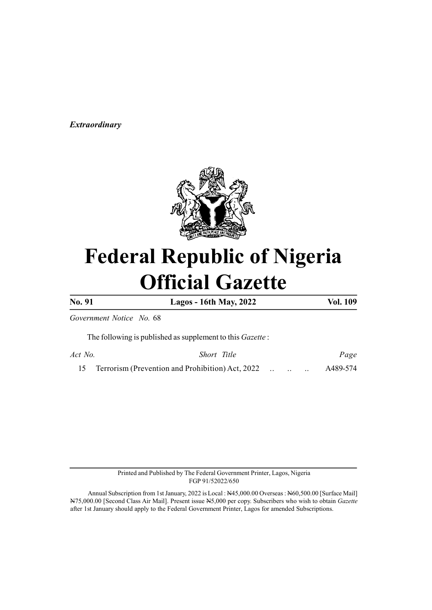# Extraordinary



# Federal Republic of Nigeria Official Gazette

No. 91 Lagos - 16th May, 2022 Vol. 109

Government Notice No. 68

The following is published as supplement to this Gazette :

Act No. Short Title Page 15 Terrorism (Prevention and Prohibition) Act, 2022 ... .. .. A489-574

> Printed and Published by The Federal Government Printer, Lagos, Nigeria FGP 91/52022/650

Annual Subscription from 1st January, 2022 is Local : N45,000.00 Overseas : N60,500.00 [Surface Mail] N75,000.00 [Second Class Air Mail]. Present issue N5,000 per copy. Subscribers who wish to obtain Gazette after 1st January should apply to the Federal Government Printer, Lagos for amended Subscriptions.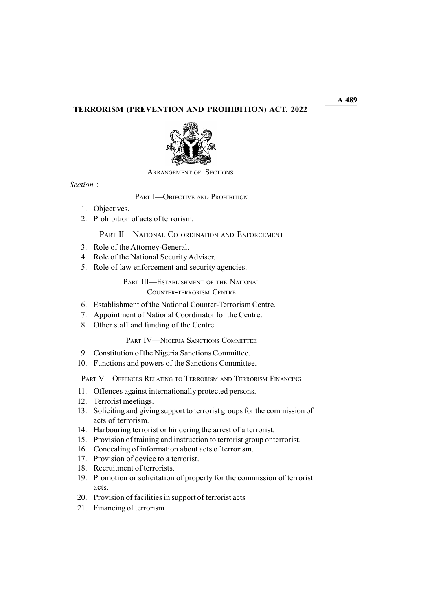# TERRORISM (PREVENTION AND PROHIBITION) ACT, 2022



ARRANGEMENT OF SECTIONS

Section :

PART **I**-OBJECTIVE AND PROHIBITION

- 1. Objectives.
- 2. Prohibition of acts of terrorism.

PART II—NATIONAL CO-ORDINATION AND ENFORCEMENT

- 3. Role of the Attorney-General.
- 4. Role of the National Security Adviser.
- 5. Role of law enforcement and security agencies.

PART III—ESTABLISHMENT OF THE NATIONAL COUNTER-TERRORISM CENTRE

- 6. Establishment of the National Counter-Terrorism Centre.
- 7. Appointment of National Coordinator for the Centre.
- 8. Other staff and funding of the Centre .

## PART IV—NIGERIA SANCTIONS COMMITTEE

- 9. Constitution of the Nigeria Sanctions Committee.
- 10. Functions and powers of the Sanctions Committee.

PART V—OFFENCES RELATING TO TERRORISM AND TERRORISM FINANCING

- 11. Offences against internationally protected persons.
- 12. Terrorist meetings.
- 13. Soliciting and giving support to terrorist groups for the commission of acts of terrorism.
- 14. Harbouring terrorist or hindering the arrest of a terrorist.
- 15. Provision of training and instruction to terrorist group or terrorist.
- 16. Concealing of information about acts of terrorism.
- 17. Provision of device to a terrorist.
- 18. Recruitment of terrorists.
- 19. Promotion or solicitation of property for the commission of terrorist acts.
- 20. Provision of facilities in support of terrorist acts
- 21. Financing of terrorism

 $A<sub>489</sub>$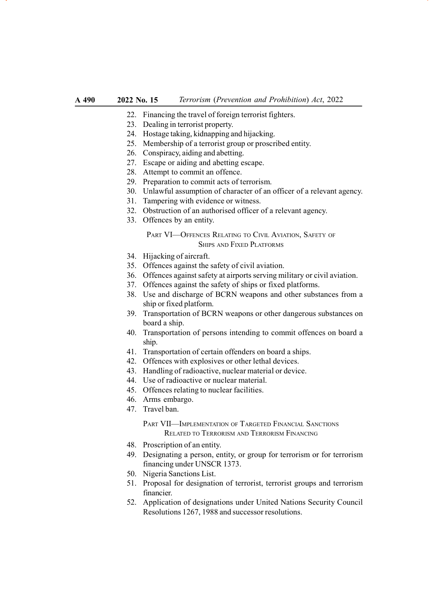- 22. Financing the travel of foreign terrorist fighters.
- 23. Dealing in terrorist property.
- 24. Hostage taking, kidnapping and hijacking.
- 25. Membership of a terrorist group or proscribed entity.
- 26. Conspiracy, aiding and abetting.
- 27. Escape or aiding and abetting escape.
- 28. Attempt to commit an offence.
- 29. Preparation to commit acts of terrorism.
- 30. Unlawful assumption of character of an officer of a relevant agency.
- 31. Tampering with evidence or witness.
- 32. Obstruction of an authorised officer of a relevant agency.
- 33. Offences by an entity.

# PART VI-OFFENCES RELATING TO CIVIL AVIATION, SAFETY OF SHIPS AND FIXED PLATFORMS

- 34. Hijacking of aircraft.
- 35. Offences against the safety of civil aviation.
- 36. Offences against safety at airports serving military or civil aviation.
- 37. Offences against the safety of ships or fixed platforms.
- 38. Use and discharge of BCRN weapons and other substances from a ship or fixed platform.
- 39. Transportation of BCRN weapons or other dangerous substances on board a ship.
- 40. Transportation of persons intending to commit offences on board a ship.
- 41. Transportation of certain offenders on board a ships.
- 42. Offences with explosives or other lethal devices.
- 43. Handling of radioactive, nuclear material or device.
- 44. Use of radioactive or nuclear material.
- 45. Offences relating to nuclear facilities.
- 46. Arms embargo.
- 47. Travel ban.

PART VII—IMPLEMENTATION OF TARGETED FINANCIAL SANCTIONS RELATED TO TERRORISM AND TERRORISM FINANCING

- 48. Proscription of an entity.
- 49. Designating a person, entity, or group for terrorism or for terrorism financing under UNSCR 1373.
- 50. Nigeria Sanctions List.
- 51. Proposal for designation of terrorist, terrorist groups and terrorism financier.
- 52. Application of designations under United Nations Security Council Resolutions 1267, 1988 and successor resolutions.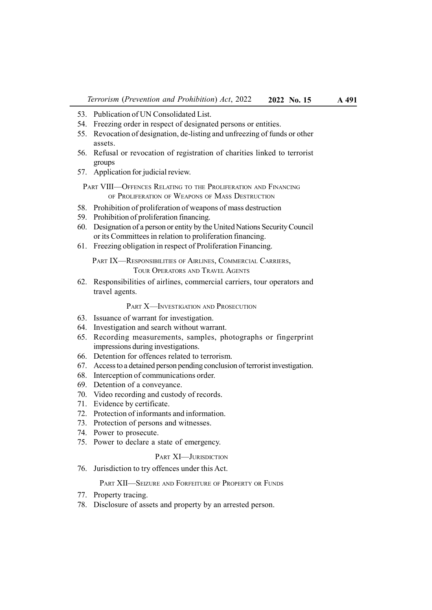- 53. Publication of UN Consolidated List.
- 54. Freezing order in respect of designated persons or entities.
- 55. Revocation of designation, de-listing and unfreezing of funds or other assets.
- 56. Refusal or revocation of registration of charities linked to terrorist groups
- 57. Application for judicial review.
- PART VIII-OFFENCES RELATING TO THE PROLIFERATION AND FINANCING OF PROLIFERATION OF WEAPONS OF MASS DESTRUCTION
- 58. Prohibition of proliferation of weapons of mass destruction
- 59. Prohibition of proliferation financing.
- 60. Designation of a person or entity by the United Nations Security Council or its Committees in relation to proliferation financing.
- 61. Freezing obligation in respect of Proliferation Financing.

PART IX—RESPONSIBILITIES OF AIRLINES, COMMERCIAL CARRIERS, TOUR OPERATORS AND TRAVEL AGENTS

62. Responsibilities of airlines, commercial carriers, tour operators and travel agents.

PART **X—INVESTIGATION AND PROSECUTION** 

- 63. Issuance of warrant for investigation.
- 64. Investigation and search without warrant.
- 65. Recording measurements, samples, photographs or fingerprint impressions during investigations.
- 66. Detention for offences related to terrorism.
- 67. Access to a detained person pending conclusion of terrorist investigation.
- 68. Interception of communications order.
- 69. Detention of a conveyance.
- 70. Video recording and custody of records.
- 71. Evidence by certificate.
- 72. Protection of informants and information.
- 73. Protection of persons and witnesses.
- 74. Power to prosecute.
- 75. Power to declare a state of emergency.

## PART XI—JURISDICTION

76. Jurisdiction to try offences under this Act.

#### PART XII—SEIZURE AND FORFEITURE OF PROPERTY OR FUNDS

- 77. Property tracing.
- 78. Disclosure of assets and property by an arrested person.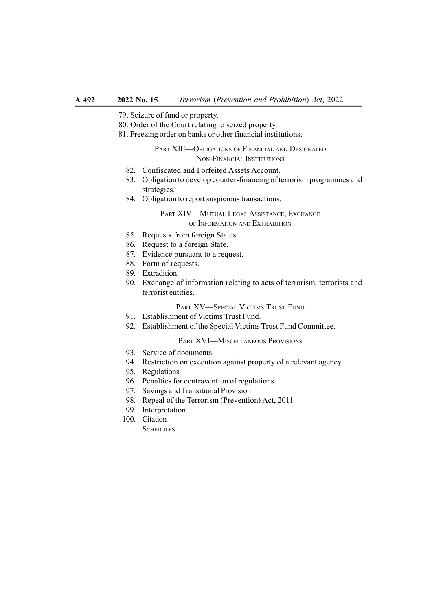- 79. Seizure of fund or property.
- 80. Order of the Court relating to seized property.
- 81. Freezing order on banks or other financial institutions.

### PART XIII—OBLIGATIONS OF FINANCIAL AND DESIGNATED NON-FINANCIAL INSTITUTIONS

- 82. Confiscated and Forfeited Assets Account.
- 83. Obligation to develop counter-financing of terrorism programmes and strategies.
- 84. Obligation to report suspicious transactions.

### PART XIV—MUTUAL LEGAL ASSISTANCE, EXCHANGE OF INFORMATION AND EXTRADITION

- 85. Requests from foreign States.
- 86. Request to a foreign State.
- 87. Evidence pursuant to a request.
- 88. Form of requests.
- 89. Extradition.
- 90. Exchange of information relating to acts of terrorism, terrorists and terrorist entities.

#### PART XV—SPECIAL VICTIMS TRUST FUND

- 91. Establishment of Victims Trust Fund.
- 92. Establishment of the Special Victims Trust Fund Committee.

### PART XVI—MISCELLANEOUS PROVISIONS

- 93. Service of documents
- 94. Restriction on execution against property of a relevant agency
- 95. Regulations
- 96. Penalties for contravention of regulations
- 97. Savings and Transitional Provision
- 98. Repeal of the Terrorism (Prevention) Act, 2011
- 99. Interpretation
- 100. Citation

**SCHEDULES**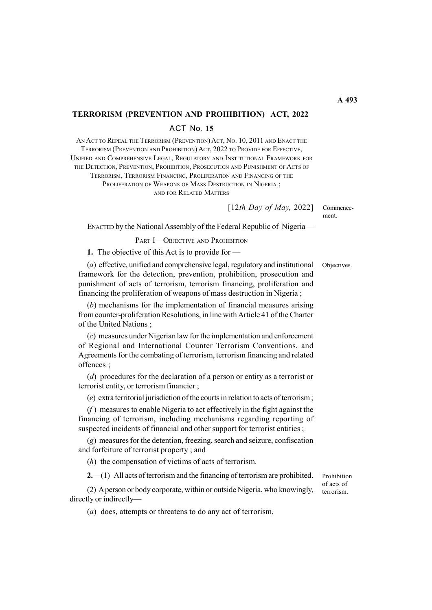# TERRORISM (PREVENTION AND PROHIBITION) ACT, 2022 ACT No. 15

AN ACT TO REPEAL THE TERRORISM (PREVENTION) ACT, No. 10, 2011 AND ENACT THE TERRORISM (PREVENTION AND PROHIBITION) ACT, 2022 TO PROVIDE FOR EFFECTIVE, UNIFIED AND COMPREHENSIVE LEGAL, REGULATORY AND INSTITUTIONAL FRAMEWORK FOR THE DETECTION, PREVENTION, PROHIBITION, PROSECUTION AND PUNISHMENT OF ACTS OF

TERRORISM, TERRORISM FINANCING, PROLIFERATION AND FINANCING OF THE PROLIFERATION OF WEAPONS OF MASS DESTRUCTION IN NIGERIA; AND FOR RELATED MATTERS

[12th Day of May, 2022]

Commencement.

ENACTED by the National Assembly of the Federal Republic of Nigeria—

#### PART **I**-OBJECTIVE AND PROHIBITION

1. The objective of this Act is to provide for —

(a) effective, unified and comprehensive legal, regulatory and institutional framework for the detection, prevention, prohibition, prosecution and punishment of acts of terrorism, terrorism financing, proliferation and financing the proliferation of weapons of mass destruction in Nigeria ;

(b) mechanisms for the implementation of financial measures arising from counter-proliferation Resolutions, in line with Article 41 of the Charter of the United Nations ;

(c) measures under Nigerian law for the implementation and enforcement of Regional and International Counter Terrorism Conventions, and Agreements for the combating of terrorism, terrorism financing and related offences ;

(d) procedures for the declaration of a person or entity as a terrorist or terrorist entity, or terrorism financier ;

(e) extra territorial jurisdiction of the courts in relation to acts of terrorism ;

 $(f)$  measures to enable Nigeria to act effectively in the fight against the financing of terrorism, including mechanisms regarding reporting of suspected incidents of financial and other support for terrorist entities ;

(g) measures for the detention, freezing, search and seizure, confiscation and forfeiture of terrorist property ; and

(h) the compensation of victims of acts of terrorism.

2.—(1) All acts of terrorism and the financing of terrorism are prohibited.

(2) A person or body corporate, within or outside Nigeria, who knowingly, directly or indirectly—

Prohibition of acts of terrorism.

(a) does, attempts or threatens to do any act of terrorism,

Objectives.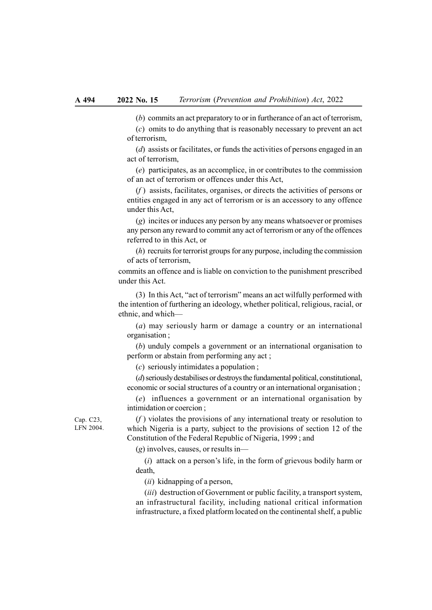(b) commits an act preparatory to or in furtherance of an act of terrorism,

(c) omits to do anything that is reasonably necessary to prevent an act of terrorism,

(d) assists or facilitates, or funds the activities of persons engaged in an act of terrorism,

(e) participates, as an accomplice, in or contributes to the commission of an act of terrorism or offences under this Act,

 $(f)$  assists, facilitates, organises, or directs the activities of persons or entities engaged in any act of terrorism or is an accessory to any offence under this Act,

(g) incites or induces any person by any means whatsoever or promises any person any reward to commit any act of terrorism or any of the offences referred to in this Act, or

(h) recruits for terrorist groups for any purpose, including the commission of acts of terrorism,

commits an offence and is liable on conviction to the punishment prescribed under this Act.

(3) In this Act, "act of terrorism" means an act wilfully performed with the intention of furthering an ideology, whether political, religious, racial, or ethnic, and which—

(a) may seriously harm or damage a country or an international organisation ;

(b) unduly compels a government or an international organisation to perform or abstain from performing any act ;

(c) seriously intimidates a population ;

(d) seriously destabilises or destroys the fundamental political, constitutional, economic or social structures of a country or an international organisation ;

(e) influences a government or an international organisation by intimidation or coercion ;

 $(f)$  violates the provisions of any international treaty or resolution to which Nigeria is a party, subject to the provisions of section 12 of the Constitution of the Federal Republic of Nigeria, 1999 ; and

 $(g)$  involves, causes, or results in—

 $(i)$  attack on a person's life, in the form of grievous bodily harm or death,

(ii) kidnapping of a person,

(iii) destruction of Government or public facility, a transport system, an infrastructural facility, including national critical information infrastructure, a fixed platform located on the continental shelf, a public

Cap. C23, LFN 2004.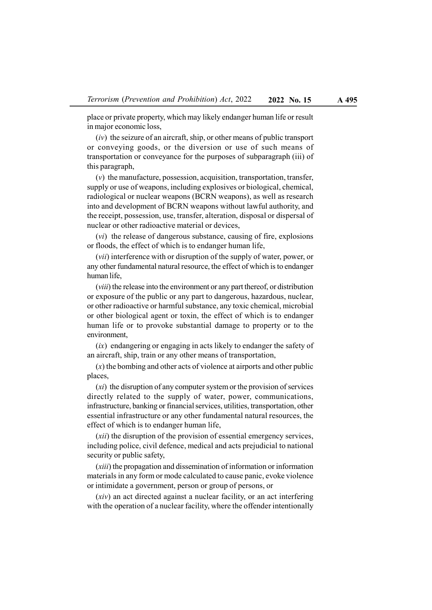place or private property, which may likely endanger human life or result in major economic loss,

 $(iv)$  the seizure of an aircraft, ship, or other means of public transport or conveying goods, or the diversion or use of such means of transportation or conveyance for the purposes of subparagraph (iii) of this paragraph,

(v) the manufacture, possession, acquisition, transportation, transfer, supply or use of weapons, including explosives or biological, chemical, radiological or nuclear weapons (BCRN weapons), as well as research into and development of BCRN weapons without lawful authority, and the receipt, possession, use, transfer, alteration, disposal or dispersal of nuclear or other radioactive material or devices,

(vi) the release of dangerous substance, causing of fire, explosions or floods, the effect of which is to endanger human life,

(vii) interference with or disruption of the supply of water, power, or any other fundamental natural resource, the effect of which is to endanger human life,

(viii) the release into the environment or any part thereof, or distribution or exposure of the public or any part to dangerous, hazardous, nuclear, or other radioactive or harmful substance, any toxic chemical, microbial or other biological agent or toxin, the effect of which is to endanger human life or to provoke substantial damage to property or to the environment,

 $(ix)$  endangering or engaging in acts likely to endanger the safety of an aircraft, ship, train or any other means of transportation,

 $(x)$  the bombing and other acts of violence at airports and other public places,

 $(x<sub>i</sub>)$  the disruption of any computer system or the provision of services directly related to the supply of water, power, communications, infrastructure, banking or financial services, utilities, transportation, other essential infrastructure or any other fundamental natural resources, the effect of which is to endanger human life,

(xii) the disruption of the provision of essential emergency services, including police, civil defence, medical and acts prejudicial to national security or public safety,

(xiii) the propagation and dissemination of information or information materials in any form or mode calculated to cause panic, evoke violence or intimidate a government, person or group of persons, or

(xiv) an act directed against a nuclear facility, or an act interfering with the operation of a nuclear facility, where the offender intentionally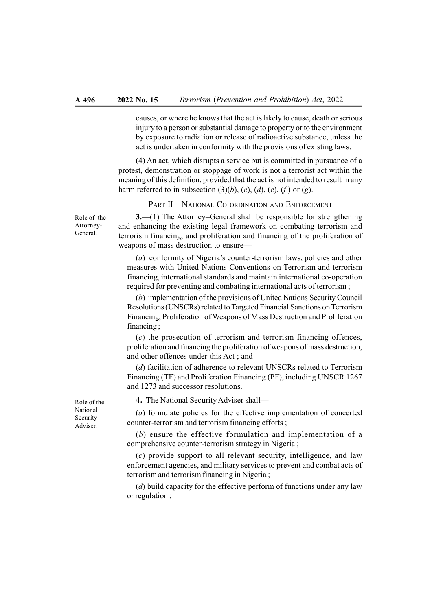causes, or where he knows that the act is likely to cause, death or serious injury to a person or substantial damage to property or to the environment by exposure to radiation or release of radioactive substance, unless the act is undertaken in conformity with the provisions of existing laws.

(4) An act, which disrupts a service but is committed in pursuance of a protest, demonstration or stoppage of work is not a terrorist act within the meaning of this definition, provided that the act is not intended to result in any harm referred to in subsection  $(3)(b)$ ,  $(c)$ ,  $(d)$ ,  $(e)$ ,  $(f)$  or  $(g)$ .

PART II-NATIONAL CO-ORDINATION AND ENFORCEMENT

Role of the Attorney-General.

3.—(1) The Attorney–General shall be responsible for strengthening and enhancing the existing legal framework on combating terrorism and terrorism financing, and proliferation and financing of the proliferation of weapons of mass destruction to ensure—

(a) conformity of Nigeria's counter-terrorism laws, policies and other measures with United Nations Conventions on Terrorism and terrorism financing, international standards and maintain international co-operation required for preventing and combating international acts of terrorism ;

(b) implementation of the provisions of United Nations Security Council Resolutions (UNSCRs) related to Targeted Financial Sanctions on Terrorism Financing, Proliferation of Weapons of Mass Destruction and Proliferation financing ;

(c) the prosecution of terrorism and terrorism financing offences, proliferation and financing the proliferation of weapons of mass destruction, and other offences under this Act ; and

(d) facilitation of adherence to relevant UNSCRs related to Terrorism Financing (TF) and Proliferation Financing (PF), including UNSCR 1267 and 1273 and successor resolutions.

4. The National Security Adviser shall—

(a) formulate policies for the effective implementation of concerted counter-terrorism and terrorism financing efforts ;

(b) ensure the effective formulation and implementation of a comprehensive counter-terrorism strategy in Nigeria ;

(c) provide support to all relevant security, intelligence, and law enforcement agencies, and military services to prevent and combat acts of terrorism and terrorism financing in Nigeria ;

 $(d)$  build capacity for the effective perform of functions under any law or regulation ;

Role of the National Security Adviser.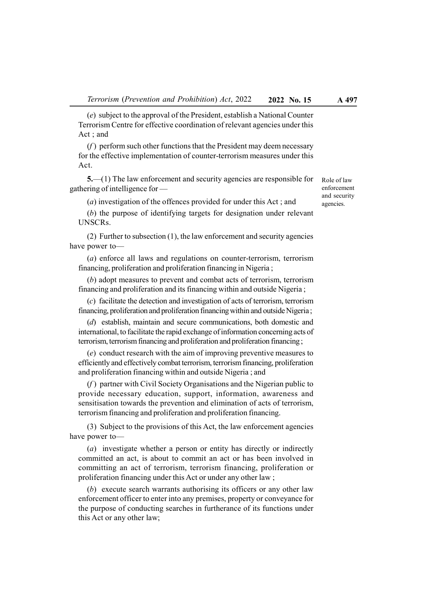(e) subject to the approval of the President, establish a National Counter Terrorism Centre for effective coordination of relevant agencies under this Act ; and

 $(f)$  perform such other functions that the President may deem necessary for the effective implementation of counter-terrorism measures under this Act.

5.—(1) The law enforcement and security agencies are responsible for gathering of intelligence for —

(a) investigation of the offences provided for under this Act ; and

(b) the purpose of identifying targets for designation under relevant UNSCRs.

(2) Further to subsection (1), the law enforcement and security agencies have power to—

(a) enforce all laws and regulations on counter-terrorism, terrorism financing, proliferation and proliferation financing in Nigeria ;

(b) adopt measures to prevent and combat acts of terrorism, terrorism financing and proliferation and its financing within and outside Nigeria ;

(c) facilitate the detection and investigation of acts of terrorism, terrorism financing, proliferation and proliferation financing within and outside Nigeria ;

(d) establish, maintain and secure communications, both domestic and international, to facilitate the rapid exchange of information concerning acts of terrorism, terrorism financing and proliferation and proliferation financing ;

(e) conduct research with the aim of improving preventive measures to efficiently and effectively combat terrorism, terrorism financing, proliferation and proliferation financing within and outside Nigeria ; and

 $(f)$  partner with Civil Society Organisations and the Nigerian public to provide necessary education, support, information, awareness and sensitisation towards the prevention and elimination of acts of terrorism, terrorism financing and proliferation and proliferation financing.

(3) Subject to the provisions of this Act, the law enforcement agencies have power to—

(a) investigate whether a person or entity has directly or indirectly committed an act, is about to commit an act or has been involved in committing an act of terrorism, terrorism financing, proliferation or proliferation financing under this Act or under any other law ;

(b) execute search warrants authorising its officers or any other law enforcement officer to enter into any premises, property or conveyance for the purpose of conducting searches in furtherance of its functions under this Act or any other law;

Role of law enforcement and security agencies.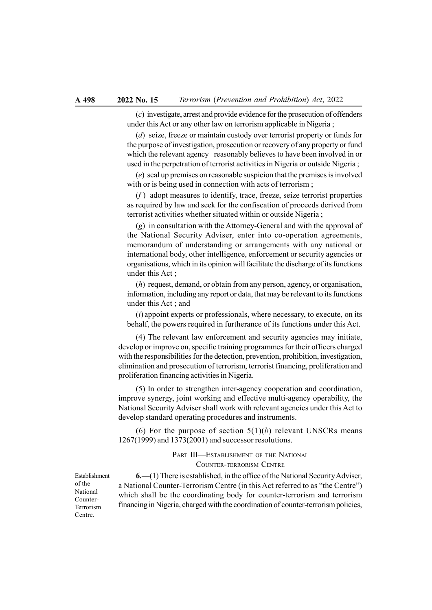(c) investigate, arrest and provide evidence for the prosecution of offenders under this Act or any other law on terrorism applicable in Nigeria ;

(d) seize, freeze or maintain custody over terrorist property or funds for the purpose of investigation, prosecution or recovery of any property or fund which the relevant agency reasonably believes to have been involved in or used in the perpetration of terrorist activities in Nigeria or outside Nigeria ;

(e) seal up premises on reasonable suspicion that the premises is involved with or is being used in connection with acts of terrorism;

 $(f)$  adopt measures to identify, trace, freeze, seize terrorist properties as required by law and seek for the confiscation of proceeds derived from terrorist activities whether situated within or outside Nigeria ;

(g) in consultation with the Attorney-General and with the approval of the National Security Adviser, enter into co-operation agreements, memorandum of understanding or arrangements with any national or international body, other intelligence, enforcement or security agencies or organisations, which in its opinion will facilitate the discharge of its functions under this Act ;

(h) request, demand, or obtain from any person, agency, or organisation, information, including any report or data, that may be relevant to its functions under this Act ; and

 $(i)$  appoint experts or professionals, where necessary, to execute, on its behalf, the powers required in furtherance of its functions under this Act.

(4) The relevant law enforcement and security agencies may initiate, develop or improve on, specific training programmes for their officers charged with the responsibilities for the detection, prevention, prohibition, investigation, elimination and prosecution of terrorism, terrorist financing, proliferation and proliferation financing activities in Nigeria.

(5) In order to strengthen inter-agency cooperation and coordination, improve synergy, joint working and effective multi-agency operability, the National Security Adviser shall work with relevant agencies under this Act to develop standard operating procedures and instruments.

(6) For the purpose of section  $5(1)(b)$  relevant UNSCRs means 1267(1999) and 1373(2001) and successor resolutions.

> PART III—ESTABLISHMENT OF THE NATIONAL COUNTER-TERRORISM CENTRE

Establishment of the National Counter-Terrorism Centre.

 $6.$ —(1) There is established, in the office of the National Security Adviser, a National Counter-Terrorism Centre (in this Act referred to as "the Centre") which shall be the coordinating body for counter-terrorism and terrorism financing in Nigeria, charged with the coordination of counter-terrorism policies,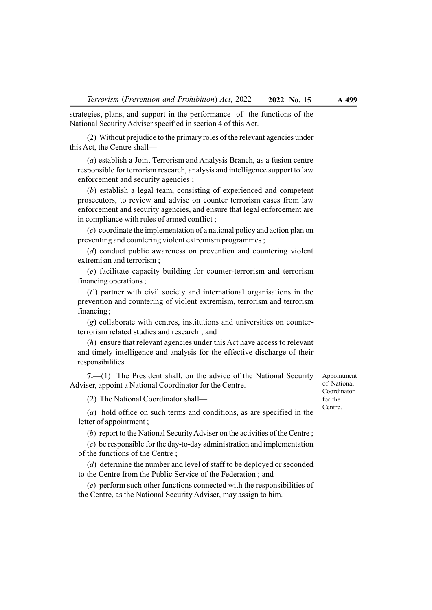strategies, plans, and support in the performance of the functions of the National Security Adviser specified in section 4 of this Act.

(2) Without prejudice to the primary roles of the relevant agencies under this Act, the Centre shall—

(a) establish a Joint Terrorism and Analysis Branch, as a fusion centre responsible for terrorism research, analysis and intelligence support to law enforcement and security agencies ;

(b) establish a legal team, consisting of experienced and competent prosecutors, to review and advise on counter terrorism cases from law enforcement and security agencies, and ensure that legal enforcement are in compliance with rules of armed conflict ;

(c) coordinate the implementation of a national policy and action plan on preventing and countering violent extremism programmes ;

(d) conduct public awareness on prevention and countering violent extremism and terrorism ;

(e) facilitate capacity building for counter-terrorism and terrorism financing operations ;

 $(f)$  partner with civil society and international organisations in the prevention and countering of violent extremism, terrorism and terrorism financing ;

(g) collaborate with centres, institutions and universities on counterterrorism related studies and research ; and

(h) ensure that relevant agencies under this Act have access to relevant and timely intelligence and analysis for the effective discharge of their responsibilities.

7.—(1) The President shall, on the advice of the National Security Adviser, appoint a National Coordinator for the Centre.

(2) The National Coordinator shall—

(a) hold office on such terms and conditions, as are specified in the letter of appointment ;

(b) report to the National Security Adviser on the activities of the Centre ;

(c) be responsible for the day-to-day administration and implementation of the functions of the Centre ;

(d) determine the number and level of staff to be deployed or seconded to the Centre from the Public Service of the Federation ; and

(e) perform such other functions connected with the responsibilities of the Centre, as the National Security Adviser, may assign to him.

Appointment of National Coordinator for the Centre.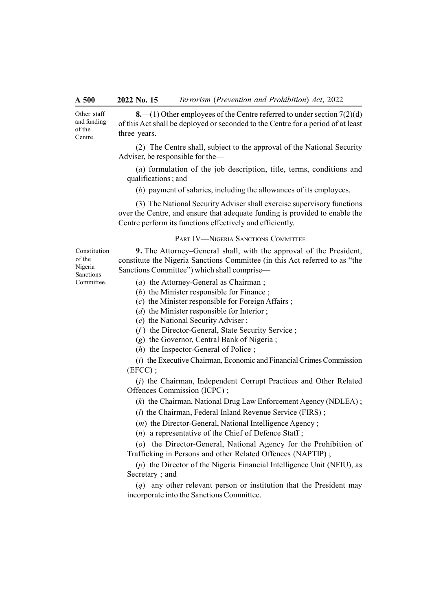Other staff and funding of the Centre.

8.—(1) Other employees of the Centre referred to under section  $7(2)(d)$ of this Act shall be deployed or seconded to the Centre for a period of at least three years.

(2) The Centre shall, subject to the approval of the National Security Adviser, be responsible for the—

(a) formulation of the job description, title, terms, conditions and qualifications ; and

(b) payment of salaries, including the allowances of its employees.

(3) The National Security Adviser shall exercise supervisory functions over the Centre, and ensure that adequate funding is provided to enable the Centre perform its functions effectively and efficiently.

#### PART IV—NIGERIA SANCTIONS COMMITTEE

Constitution of the Nigeria Sanctions Committee.

9. The Attorney–General shall, with the approval of the President, constitute the Nigeria Sanctions Committee (in this Act referred to as "the Sanctions Committee") which shall comprise—

- (a) the Attorney-General as Chairman ;
- (b) the Minister responsible for Finance;

 $(c)$  the Minister responsible for Foreign Affairs;

- ( $d$ ) the Minister responsible for Interior ;
- (e) the National Security Adviser ;
- $(f)$  the Director-General, State Security Service ;
- (g) the Governor, Central Bank of Nigeria ;
- (h) the Inspector-General of Police ;

(i) the Executive Chairman, Economic and Financial Crimes Commission (EFCC) ;

(j) the Chairman, Independent Corrupt Practices and Other Related Offences Commission (ICPC) ;

(k) the Chairman, National Drug Law Enforcement Agency (NDLEA) ;

 $(l)$  the Chairman, Federal Inland Revenue Service (FIRS) :

(*m*) the Director-General, National Intelligence Agency;

 $(n)$  a representative of the Chief of Defence Staff;

(o) the Director-General, National Agency for the Prohibition of Trafficking in Persons and other Related Offences (NAPTIP) ;

(p) the Director of the Nigeria Financial Intelligence Unit (NFIU), as Secretary ; and

(q) any other relevant person or institution that the President may incorporate into the Sanctions Committee.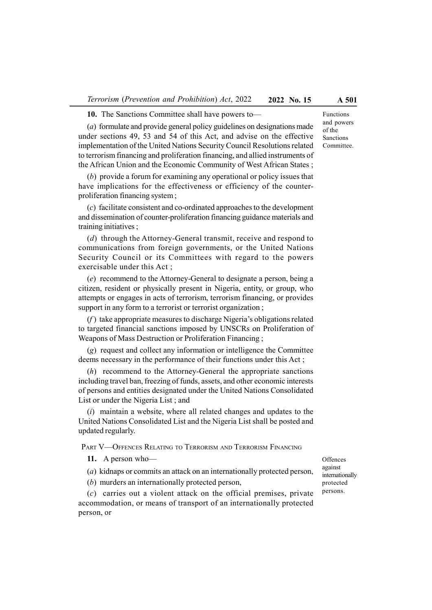10. The Sanctions Committee shall have powers to—

(a) formulate and provide general policy guidelines on designations made under sections 49, 53 and 54 of this Act, and advise on the effective implementation of the United Nations Security Council Resolutions related to terrorism financing and proliferation financing, and allied instruments of the African Union and the Economic Community of West African States ;

(b) provide a forum for examining any operational or policy issues that have implications for the effectiveness or efficiency of the counterproliferation financing system ;

(c) facilitate consistent and co-ordinated approaches to the development and dissemination of counter-proliferation financing guidance materials and training initiatives ;

(d) through the Attorney-General transmit, receive and respond to communications from foreign governments, or the United Nations Security Council or its Committees with regard to the powers exercisable under this Act ;

(e) recommend to the Attorney-General to designate a person, being a citizen, resident or physically present in Nigeria, entity, or group, who attempts or engages in acts of terrorism, terrorism financing, or provides support in any form to a terrorist or terrorist organization ;

 $(f)$  take appropriate measures to discharge Nigeria's obligations related to targeted financial sanctions imposed by UNSCRs on Proliferation of Weapons of Mass Destruction or Proliferation Financing ;

(g) request and collect any information or intelligence the Committee deems necessary in the performance of their functions under this Act ;

(h) recommend to the Attorney-General the appropriate sanctions including travel ban, freezing of funds, assets, and other economic interests of persons and entities designated under the United Nations Consolidated List or under the Nigeria List ; and

 $(i)$  maintain a website, where all related changes and updates to the United Nations Consolidated List and the Nigeria List shall be posted and updated regularly.

PART V-OFFENCES RELATING TO TERRORISM AND TERRORISM FINANCING

11. A person who—

(a) kidnaps or commits an attack on an internationally protected person,

(b) murders an internationally protected person,

(c) carries out a violent attack on the official premises, private accommodation, or means of transport of an internationally protected person, or

**Offences** against internationally protected persons.

Functions and powers of the Sanctions Committee.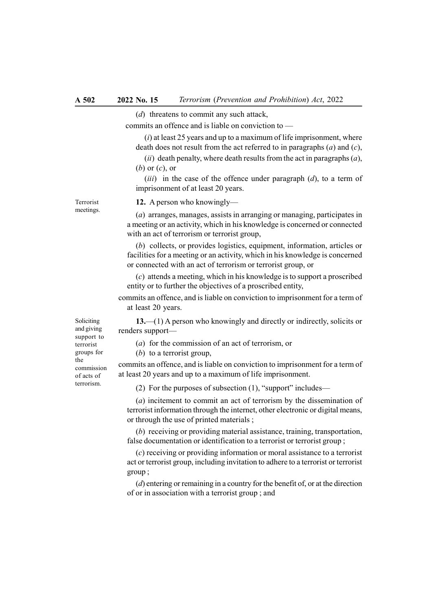(d) threatens to commit any such attack,

commits an offence and is liable on conviction to —

 $(i)$  at least 25 years and up to a maximum of life imprisonment, where death does not result from the act referred to in paragraphs  $(a)$  and  $(c)$ ,

(ii) death penalty, where death results from the act in paragraphs  $(a)$ ,  $(b)$  or  $(c)$ , or

(*iii*) in the case of the offence under paragraph  $(d)$ , to a term of imprisonment of at least 20 years.

Terrorist meetings.

#### 12. A person who knowingly—

(a) arranges, manages, assists in arranging or managing, participates in a meeting or an activity, which in his knowledge is concerned or connected with an act of terrorism or terrorist group,

(b) collects, or provides logistics, equipment, information, articles or facilities for a meeting or an activity, which in his knowledge is concerned or connected with an act of terrorism or terrorist group, or

(c) attends a meeting, which in his knowledge is to support a proscribed entity or to further the objectives of a proscribed entity,

commits an offence, and is liable on conviction to imprisonment for a term of at least 20 years.

13.—(1) A person who knowingly and directly or indirectly, solicits or renders support—

(a) for the commission of an act of terrorism, or

 $(b)$  to a terrorist group,

commits an offence, and is liable on conviction to imprisonment for a term of at least 20 years and up to a maximum of life imprisonment.

(2) For the purposes of subsection (1), "support" includes—

(a) incitement to commit an act of terrorism by the dissemination of terrorist information through the internet, other electronic or digital means, or through the use of printed materials ;

(b) receiving or providing material assistance, training, transportation, false documentation or identification to a terrorist or terrorist group ;

(c) receiving or providing information or moral assistance to a terrorist act or terrorist group, including invitation to adhere to a terrorist or terrorist group ;

(d) entering or remaining in a country for the benefit of, or at the direction of or in association with a terrorist group ; and

Soliciting and giving support to terrorist groups for the commission of acts of terrorism.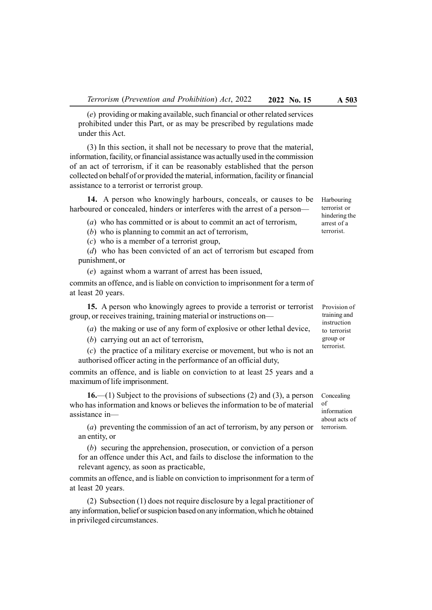(e) providing or making available, such financial or other related services prohibited under this Part, or as may be prescribed by regulations made under this Act.

(3) In this section, it shall not be necessary to prove that the material, information, facility, or financial assistance was actually used in the commission of an act of terrorism, if it can be reasonably established that the person collected on behalf of or provided the material, information, facility or financial assistance to a terrorist or terrorist group.

14. A person who knowingly harbours, conceals, or causes to be harboured or concealed, hinders or interferes with the arrest of a person—

- (a) who has committed or is about to commit an act of terrorism,
- (b) who is planning to commit an act of terrorism,

(c) who is a member of a terrorist group,

(d) who has been convicted of an act of terrorism but escaped from punishment, or

(e) against whom a warrant of arrest has been issued,

commits an offence, and is liable on conviction to imprisonment for a term of at least 20 years.

15. A person who knowingly agrees to provide a terrorist or terrorist group, or receives training, training material or instructions on—

- (a) the making or use of any form of explosive or other lethal device,
- (b) carrying out an act of terrorism,

(c) the practice of a military exercise or movement, but who is not an authorised officer acting in the performance of an official duty,

commits an offence, and is liable on conviction to at least 25 years and a maximum of life imprisonment.

16.—(1) Subject to the provisions of subsections  $(2)$  and  $(3)$ , a person who has information and knows or believes the information to be of material assistance in—

(a) preventing the commission of an act of terrorism, by any person or an entity, or

(b) securing the apprehension, prosecution, or conviction of a person for an offence under this Act, and fails to disclose the information to the relevant agency, as soon as practicable,

commits an offence, and is liable on conviction to imprisonment for a term of at least 20 years.

(2) Subsection (1) does not require disclosure by a legal practitioner of any information, belief or suspicion based on any information, which he obtained in privileged circumstances.

Provision of training and instruction to terrorist group or terrorist.

Concealing of information about acts of terrorism.

Harbouring terrorist or hindering the arrest of a terrorist.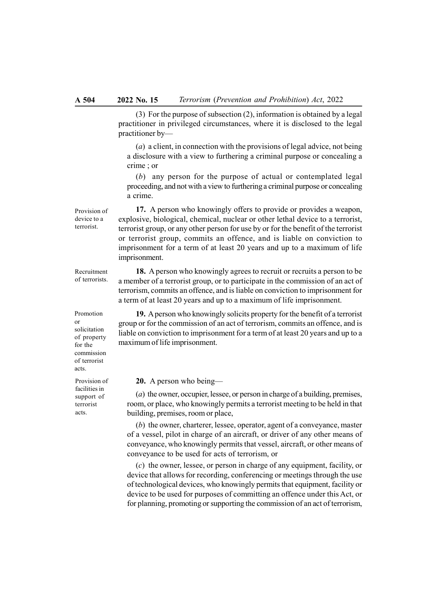(3) For the purpose of subsection (2), information is obtained by a legal practitioner in privileged circumstances, where it is disclosed to the legal practitioner by—

(a) a client, in connection with the provisions of legal advice, not being a disclosure with a view to furthering a criminal purpose or concealing a crime ; or

(b) any person for the purpose of actual or contemplated legal proceeding, and not with a view to furthering a criminal purpose or concealing a crime.

17. A person who knowingly offers to provide or provides a weapon, explosive, biological, chemical, nuclear or other lethal device to a terrorist, terrorist group, or any other person for use by or for the benefit of the terrorist or terrorist group, commits an offence, and is liable on conviction to imprisonment for a term of at least 20 years and up to a maximum of life imprisonment.

18. A person who knowingly agrees to recruit or recruits a person to be a member of a terrorist group, or to participate in the commission of an act of terrorism, commits an offence, and is liable on conviction to imprisonment for a term of at least 20 years and up to a maximum of life imprisonment.

19. A person who knowingly solicits property for the benefit of a terrorist group or for the commission of an act of terrorism, commits an offence, and is liable on conviction to imprisonment for a term of at least 20 years and up to a maximum of life imprisonment.

20. A person who being—

(a) the owner, occupier, lessee, or person in charge of a building, premises, room, or place, who knowingly permits a terrorist meeting to be held in that building, premises, room or place,

(b) the owner, charterer, lessee, operator, agent of a conveyance, master of a vessel, pilot in charge of an aircraft, or driver of any other means of conveyance, who knowingly permits that vessel, aircraft, or other means of conveyance to be used for acts of terrorism, or

(c) the owner, lessee, or person in charge of any equipment, facility, or device that allows for recording, conferencing or meetings through the use of technological devices, who knowingly permits that equipment, facility or device to be used for purposes of committing an offence under this Act, or for planning, promoting or supporting the commission of an act of terrorism,

terrorist.

Provision of device to a

Recruitment of terrorists.

Promotion or solicitation of property for the commission of terrorist acts.

Provision of facilities in support of terrorist acts.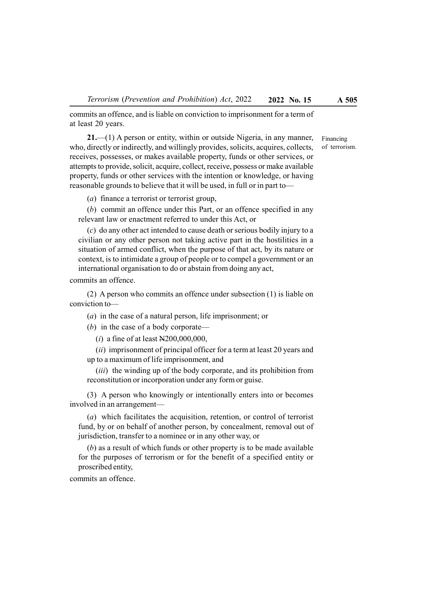commits an offence, and is liable on conviction to imprisonment for a term of at least 20 years.

21.—(1) A person or entity, within or outside Nigeria, in any manner, who, directly or indirectly, and willingly provides, solicits, acquires, collects, receives, possesses, or makes available property, funds or other services, or attempts to provide, solicit, acquire, collect, receive, possess or make available property, funds or other services with the intention or knowledge, or having reasonable grounds to believe that it will be used, in full or in part to—

(a) finance a terrorist or terrorist group,

(b) commit an offence under this Part, or an offence specified in any relevant law or enactment referred to under this Act, or

(c) do any other act intended to cause death or serious bodily injury to a civilian or any other person not taking active part in the hostilities in a situation of armed conflict, when the purpose of that act, by its nature or context, is to intimidate a group of people or to compel a government or an international organisation to do or abstain from doing any act,

commits an offence.

(2) A person who commits an offence under subsection (1) is liable on conviction to—

(a) in the case of a natural person, life imprisonment; or

(b) in the case of a body corporate—

(*i*) a fine of at least  $N200,000,000$ ,

(ii) imprisonment of principal officer for a term at least 20 years and up to a maximum of life imprisonment, and

(*iii*) the winding up of the body corporate, and its prohibition from reconstitution or incorporation under any form or guise.

(3) A person who knowingly or intentionally enters into or becomes involved in an arrangement—

(a) which facilitates the acquisition, retention, or control of terrorist fund, by or on behalf of another person, by concealment, removal out of jurisdiction, transfer to a nominee or in any other way, or

(b) as a result of which funds or other property is to be made available for the purposes of terrorism or for the benefit of a specified entity or proscribed entity,

commits an offence.

Financing of terrorism.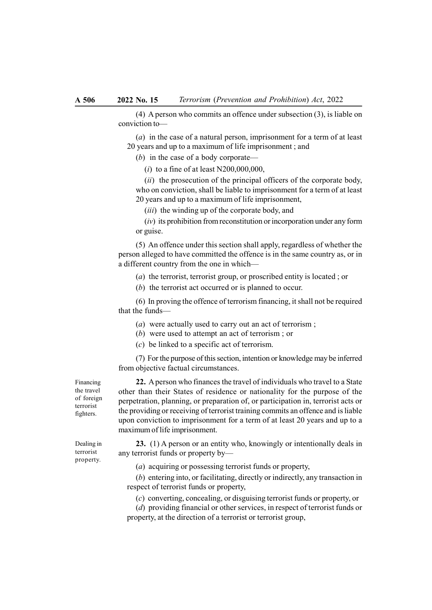(4) A person who commits an offence under subsection (3), is liable on conviction to—

(a) in the case of a natural person, imprisonment for a term of at least 20 years and up to a maximum of life imprisonment ; and

(b) in the case of a body corporate—

 $(i)$  to a fine of at least N200,000,000,

 $(ii)$  the prosecution of the principal officers of the corporate body, who on conviction, shall be liable to imprisonment for a term of at least 20 years and up to a maximum of life imprisonment,

(*iii*) the winding up of the corporate body, and

 $(iv)$  its prohibition from reconstitution or incorporation under any form or guise.

(5) An offence under this section shall apply, regardless of whether the person alleged to have committed the offence is in the same country as, or in a different country from the one in which—

(a) the terrorist, terrorist group, or proscribed entity is located ; or

(b) the terrorist act occurred or is planned to occur.

(6) In proving the offence of terrorism financing, it shall not be required that the funds—

(a) were actually used to carry out an act of terrorism ;

(b) were used to attempt an act of terrorism ; or

(c) be linked to a specific act of terrorism.

(7) For the purpose of this section, intention or knowledge may be inferred from objective factual circumstances.

Financing the travel of foreign

22. A person who finances the travel of individuals who travel to a State other than their States of residence or nationality for the purpose of the perpetration, planning, or preparation of, or participation in, terrorist acts or the providing or receiving of terrorist training commits an offence and is liable upon conviction to imprisonment for a term of at least 20 years and up to a maximum of life imprisonment.

23. (1) A person or an entity who, knowingly or intentionally deals in any terrorist funds or property by—

(a) acquiring or possessing terrorist funds or property,

(b) entering into, or facilitating, directly or indirectly, any transaction in respect of terrorist funds or property,

(c) converting, concealing, or disguising terrorist funds or property, or

(d) providing financial or other services, in respect of terrorist funds or property, at the direction of a terrorist or terrorist group,

terrorist fighters.

Dealing in terrorist property.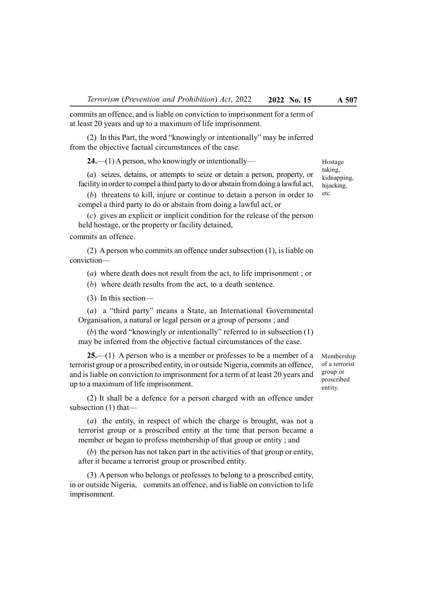commits an offence, and is liable on conviction to imprisonment for a term of at least 20 years and up to a maximum of life imprisonment.

(2) In this Part, the word "knowingly or intentionally" may be inferred from the objective factual circumstances of the case.

24.—(1) A person, who knowingly or intentionally—

(a) seizes, detains, or attempts to seize or detain a person, property, or facility in order to compel a third party to do or abstain from doing a lawful act,

(b) threatens to kill, injure or continue to detain a person in order to compel a third party to do or abstain from doing a lawful act, or

(c) gives an explicit or implicit condition for the release of the person held hostage, or the property or facility detained,

commits an offence.

(2) A person who commits an offence under subsection (1), is liable on conviction—

(a) where death does not result from the act, to life imprisonment ; or

(b) where death results from the act, to a death sentence.

(3) In this section—

(a) a "third party" means a State, an International Governmental Organisation, a natural or legal person or a group of persons ; and

(b) the word "knowingly or intentionally" referred to in subsection (1) may be inferred from the objective factual circumstances of the case.

 $25$ —(1) A person who is a member or professes to be a member of a terrorist group or a proscribed entity, in or outside Nigeria, commits an offence, and is liable on conviction to imprisonment for a term of at least 20 years and up to a maximum of life imprisonment.

(2) It shall be a defence for a person charged with an offence under subsection (1) that—

(a) the entity, in respect of which the charge is brought, was not a terrorist group or a proscribed entity at the time that person became a member or began to profess membership of that group or entity ; and

(b) the person has not taken part in the activities of that group or entity, after it became a terrorist group or proscribed entity.

(3) A person who belongs or professes to belong to a proscribed entity, in or outside Nigeria, commits an offence, and is liable on conviction to life imprisonment.

Membership of a terrorist group or proscribed entity.

Hostage taking, kidnapping, hijacking, etc.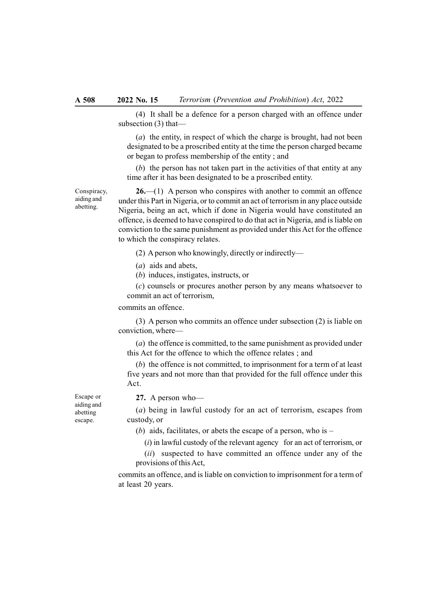(4) It shall be a defence for a person charged with an offence under subsection (3) that—

(a) the entity, in respect of which the charge is brought, had not been designated to be a proscribed entity at the time the person charged became or began to profess membership of the entity ; and

(b) the person has not taken part in the activities of that entity at any time after it has been designated to be a proscribed entity.

26.—(1) A person who conspires with another to commit an offence under this Part in Nigeria, or to commit an act of terrorism in any place outside Nigeria, being an act, which if done in Nigeria would have constituted an offence, is deemed to have conspired to do that act in Nigeria, and is liable on conviction to the same punishment as provided under this Act for the offence to which the conspiracy relates.

(2) A person who knowingly, directly or indirectly—

(a) aids and abets,

(b) induces, instigates, instructs, or

(c) counsels or procures another person by any means whatsoever to commit an act of terrorism,

commits an offence.

(3) A person who commits an offence under subsection (2) is liable on conviction, where—

(a) the offence is committed, to the same punishment as provided under this Act for the offence to which the offence relates ; and

(b) the offence is not committed, to imprisonment for a term of at least five years and not more than that provided for the full offence under this Act.

Escape or aiding and abetting escape.

27. A person who—

(a) being in lawful custody for an act of terrorism, escapes from custody, or

(b) aids, facilitates, or abets the escape of a person, who is  $-$ 

 $(i)$  in lawful custody of the relevant agency for an act of terrorism, or

(ii) suspected to have committed an offence under any of the provisions of this Act,

commits an offence, and is liable on conviction to imprisonment for a term of at least 20 years.

Conspiracy, aiding and abetting.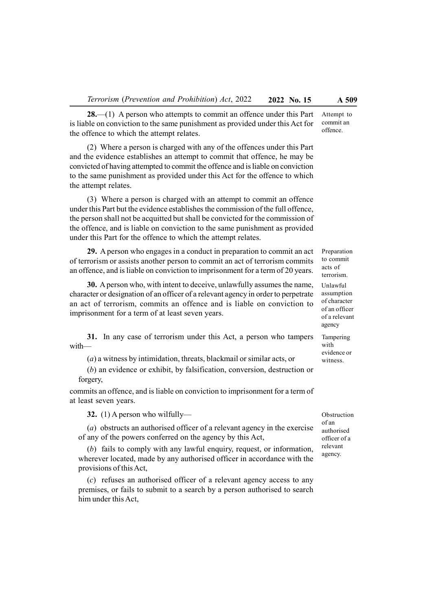28.—(1) A person who attempts to commit an offence under this Part is liable on conviction to the same punishment as provided under this Act for the offence to which the attempt relates.

(2) Where a person is charged with any of the offences under this Part and the evidence establishes an attempt to commit that offence, he may be convicted of having attempted to commit the offence and is liable on conviction to the same punishment as provided under this Act for the offence to which the attempt relates.

(3) Where a person is charged with an attempt to commit an offence under this Part but the evidence establishes the commission of the full offence, the person shall not be acquitted but shall be convicted for the commission of the offence, and is liable on conviction to the same punishment as provided under this Part for the offence to which the attempt relates.

29. A person who engages in a conduct in preparation to commit an act of terrorism or assists another person to commit an act of terrorism commits an offence, and is liable on conviction to imprisonment for a term of 20 years.

30. A person who, with intent to deceive, unlawfully assumes the name, character or designation of an officer of a relevant agency in order to perpetrate an act of terrorism, commits an offence and is liable on conviction to imprisonment for a term of at least seven years.

31. In any case of terrorism under this Act, a person who tampers with—

(a) a witness by intimidation, threats, blackmail or similar acts, or

(b) an evidence or exhibit, by falsification, conversion, destruction or forgery,

commits an offence, and is liable on conviction to imprisonment for a term of at least seven years.

32. (1) A person who wilfully—

(a) obstructs an authorised officer of a relevant agency in the exercise of any of the powers conferred on the agency by this Act,

(b) fails to comply with any lawful enquiry, request, or information, wherever located, made by any authorised officer in accordance with the provisions of this Act,

(c) refuses an authorised officer of a relevant agency access to any premises, or fails to submit to a search by a person authorised to search him under this Act,

Obstruction of an authorised officer of a relevant agency.

Attempt to commit an offence.

Preparation to commit acts of terrorism.

Unlawful assumption of character of an officer of a relevant agency

Tampering with evidence or witness.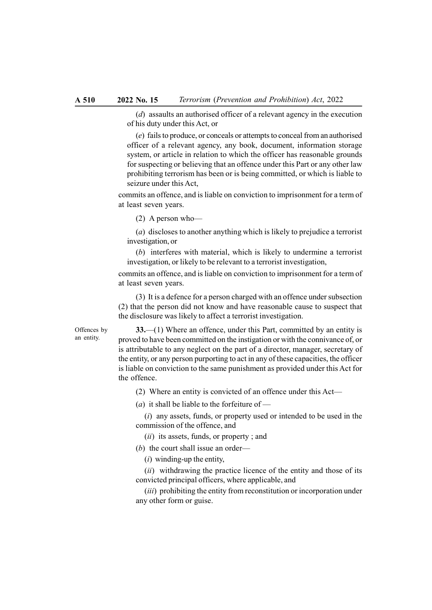(d) assaults an authorised officer of a relevant agency in the execution of his duty under this Act, or

(e) fails to produce, or conceals or attempts to conceal from an authorised officer of a relevant agency, any book, document, information storage system, or article in relation to which the officer has reasonable grounds for suspecting or believing that an offence under this Part or any other law prohibiting terrorism has been or is being committed, or which is liable to seizure under this Act,

commits an offence, and is liable on conviction to imprisonment for a term of at least seven years.

(2) A person who—

(a) discloses to another anything which is likely to prejudice a terrorist investigation, or

(b) interferes with material, which is likely to undermine a terrorist investigation, or likely to be relevant to a terrorist investigation,

commits an offence, and is liable on conviction to imprisonment for a term of at least seven years.

(3) It is a defence for a person charged with an offence under subsection (2) that the person did not know and have reasonable cause to suspect that the disclosure was likely to affect a terrorist investigation.

Offences by an entity.

33.—(1) Where an offence, under this Part, committed by an entity is proved to have been committed on the instigation or with the connivance of, or is attributable to any neglect on the part of a director, manager, secretary of the entity, or any person purporting to act in any of these capacities, the officer is liable on conviction to the same punishment as provided under this Act for the offence.

(2) Where an entity is convicted of an offence under this Act—

(*a*) it shall be liable to the forfeiture of —

 $(i)$  any assets, funds, or property used or intended to be used in the commission of the offence, and

(ii) its assets, funds, or property ; and

(b) the court shall issue an order—

 $(i)$  winding-up the entity,

(*ii*) withdrawing the practice licence of the entity and those of its convicted principal officers, where applicable, and

(*iii*) prohibiting the entity from reconstitution or incorporation under any other form or guise.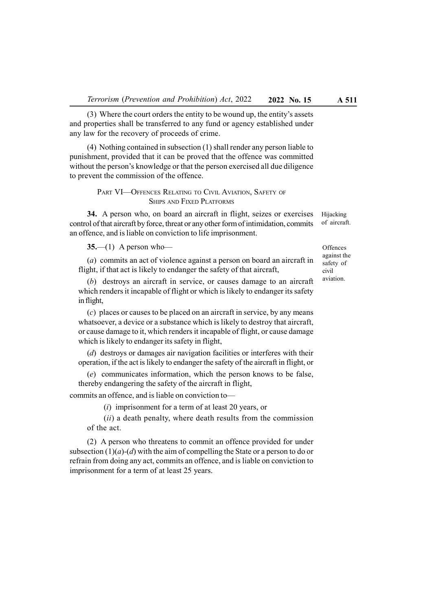(3) Where the court orders the entity to be wound up, the entity's assets and properties shall be transferred to any fund or agency established under any law for the recovery of proceeds of crime.

(4) Nothing contained in subsection (1) shall render any person liable to punishment, provided that it can be proved that the offence was committed without the person's knowledge or that the person exercised all due diligence to prevent the commission of the offence.

> PART VI—OFFENCES RELATING TO CIVIL AVIATION, SAFETY OF SHIPS AND FIXED PLATFORMS

34. A person who, on board an aircraft in flight, seizes or exercises control of that aircraft by force, threat or any other form of intimidation, commits an offence, and is liable on conviction to life imprisonment.

 $35- (1)$  A person who-

(a) commits an act of violence against a person on board an aircraft in flight, if that act is likely to endanger the safety of that aircraft,

(b) destroys an aircraft in service, or causes damage to an aircraft which renders it incapable of flight or which is likely to endanger its safety in flight,

(c) places or causes to be placed on an aircraft in service, by any means whatsoever, a device or a substance which is likely to destroy that aircraft, or cause damage to it, which renders it incapable of flight, or cause damage which is likely to endanger its safety in flight,

(d) destroys or damages air navigation facilities or interferes with their operation, if the act is likely to endanger the safety of the aircraft in flight, or

(e) communicates information, which the person knows to be false, thereby endangering the safety of the aircraft in flight,

commits an offence, and is liable on conviction to—

(i) imprisonment for a term of at least 20 years, or

 $(ii)$  a death penalty, where death results from the commission of the act.

(2) A person who threatens to commit an offence provided for under subsection  $(1)(a)-(d)$  with the aim of compelling the State or a person to do or refrain from doing any act, commits an offence, and is liable on conviction to imprisonment for a term of at least 25 years.

Hijacking of aircraft.

> **Offences** against the safety of civil aviation.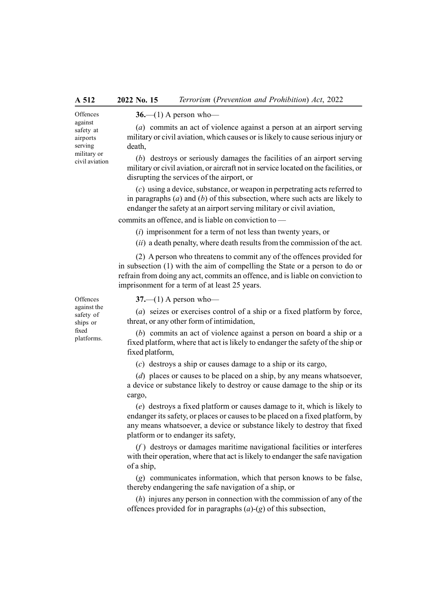against safety at airports serving military or civil aviation

**Offences** 

 $36$ — $(1)$  A person who—

(a) commits an act of violence against a person at an airport serving military or civil aviation, which causes or is likely to cause serious injury or death,

(b) destroys or seriously damages the facilities of an airport serving military or civil aviation, or aircraft not in service located on the facilities, or disrupting the services of the airport, or

(c) using a device, substance, or weapon in perpetrating acts referred to in paragraphs  $(a)$  and  $(b)$  of this subsection, where such acts are likely to endanger the safety at an airport serving military or civil aviation,

commits an offence, and is liable on conviction to —

(i) imprisonment for a term of not less than twenty years, or

(ii) a death penalty, where death results from the commission of the act.

(2) A person who threatens to commit any of the offences provided for in subsection (1) with the aim of compelling the State or a person to do or refrain from doing any act, commits an offence, and is liable on conviction to imprisonment for a term of at least 25 years.

**Offences** against the safety of ships or fixed

platforms.

 $37$ —(1) A person who—

(a) seizes or exercises control of a ship or a fixed platform by force, threat, or any other form of intimidation,

(b) commits an act of violence against a person on board a ship or a fixed platform, where that act is likely to endanger the safety of the ship or fixed platform,

(c) destroys a ship or causes damage to a ship or its cargo,

(d) places or causes to be placed on a ship, by any means whatsoever, a device or substance likely to destroy or cause damage to the ship or its cargo,

(e) destroys a fixed platform or causes damage to it, which is likely to endanger its safety, or places or causes to be placed on a fixed platform, by any means whatsoever, a device or substance likely to destroy that fixed platform or to endanger its safety,

 $(f)$  destroys or damages maritime navigational facilities or interferes with their operation, where that act is likely to endanger the safe navigation of a ship,

(g) communicates information, which that person knows to be false, thereby endangering the safe navigation of a ship, or

(h) injures any person in connection with the commission of any of the offences provided for in paragraphs  $(a)-(g)$  of this subsection,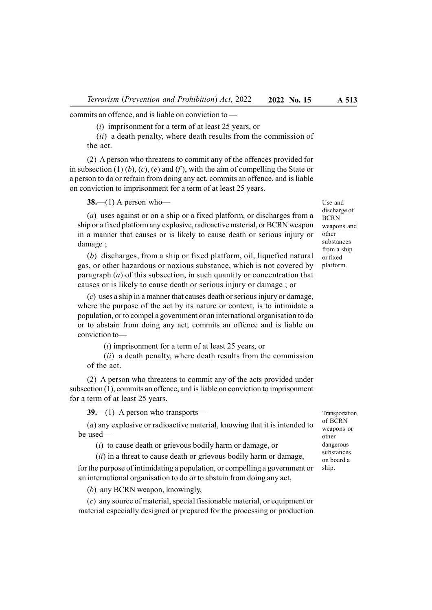commits an offence, and is liable on conviction to —

(i) imprisonment for a term of at least 25 years, or

(ii) a death penalty, where death results from the commission of the act.

(2) A person who threatens to commit any of the offences provided for in subsection  $(1)$   $(b)$ ,  $(c)$ ,  $(e)$  and  $(f)$ , with the aim of compelling the State or a person to do or refrain from doing any act, commits an offence, and is liable on conviction to imprisonment for a term of at least 25 years.

 $38$ —(1) A person who—

(a) uses against or on a ship or a fixed platform, or discharges from a ship or a fixed platform any explosive, radioactive material, or BCRN weapon in a manner that causes or is likely to cause death or serious injury or damage ;

(b) discharges, from a ship or fixed platform, oil, liquefied natural gas, or other hazardous or noxious substance, which is not covered by paragraph  $(a)$  of this subsection, in such quantity or concentration that causes or is likely to cause death or serious injury or damage ; or

(c) uses a ship in a manner that causes death or serious injury or damage, where the purpose of the act by its nature or context, is to intimidate a population, or to compel a government or an international organisation to do or to abstain from doing any act, commits an offence and is liable on conviction to—

(i) imprisonment for a term of at least 25 years, or

 $(ii)$  a death penalty, where death results from the commission of the act.

(2) A person who threatens to commit any of the acts provided under subsection (1), commits an offence, and is liable on conviction to imprisonment for a term of at least 25 years.

39.—(1) A person who transports—

(a) any explosive or radioactive material, knowing that it is intended to be used—

(i) to cause death or grievous bodily harm or damage, or

 $(ii)$  in a threat to cause death or grievous bodily harm or damage,

for the purpose of intimidating a population, or compelling a government or an international organisation to do or to abstain from doing any act,

(b) any BCRN weapon, knowingly,

(c) any source of material, special fissionable material, or equipment or material especially designed or prepared for the processing or production Use and discharge of BCRN weapons and other substances from a ship or fixed platform.

Transportation of BCRN weapons or other dangerous substances on board a ship.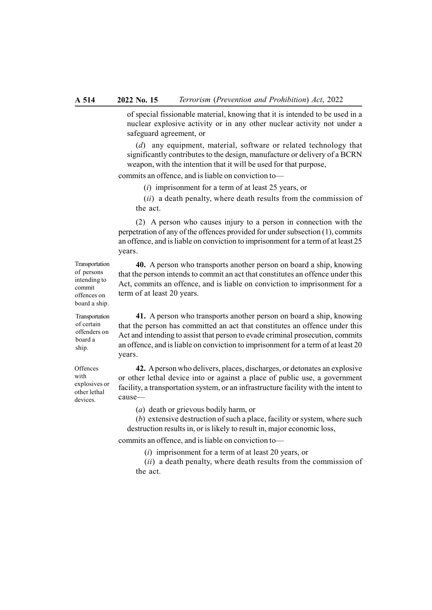of special fissionable material, knowing that it is intended to be used in a nuclear explosive activity or in any other nuclear activity not under a safeguard agreement, or

(d) any equipment, material, software or related technology that significantly contributes to the design, manufacture or delivery of a BCRN weapon, with the intention that it will be used for that purpose,

commits an offence, and is liable on conviction to—

(i) imprisonment for a term of at least 25 years, or

(*ii*) a death penalty, where death results from the commission of the act.

(2) A person who causes injury to a person in connection with the perpetration of any of the offences provided for under subsection (1), commits an offence, and is liable on conviction to imprisonment for a term of at least 25 years.

40. A person who transports another person on board a ship, knowing that the person intends to commit an act that constitutes an offence under this Act, commits an offence, and is liable on conviction to imprisonment for a term of at least 20 years.

41. A person who transports another person on board a ship, knowing that the person has committed an act that constitutes an offence under this Act and intending to assist that person to evade criminal prosecution, commits an offence, and is liable on conviction to imprisonment for a term of at least 20 years.

42. A person who delivers, places, discharges, or detonates an explosive or other lethal device into or against a place of public use, a government facility, a transportation system, or an infrastructure facility with the intent to cause—

(a) death or grievous bodily harm, or

(b) extensive destruction of such a place, facility or system, where such destruction results in, or is likely to result in, major economic loss,

commits an offence, and is liable on conviction to—

(i) imprisonment for a term of at least 20 years, or

(ii) a death penalty, where death results from the commission of the act.

Transportation of persons intending to commit offences on board a ship.

Transportation of certain offenders on board a ship.

**Offences** with explosives or other lethal devices.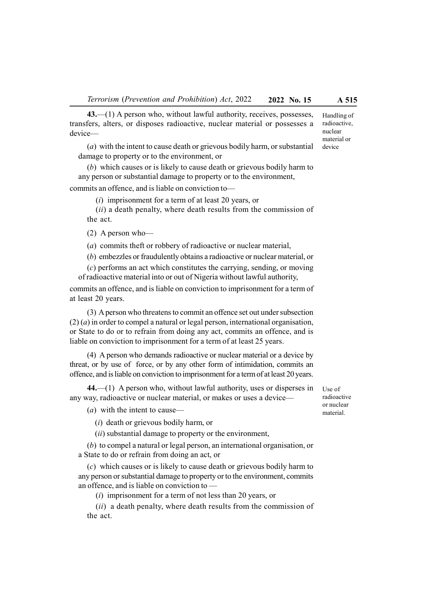43.—(1) A person who, without lawful authority, receives, possesses, transfers, alters, or disposes radioactive, nuclear material or possesses a device—

(a) with the intent to cause death or grievous bodily harm, or substantial damage to property or to the environment, or

(b) which causes or is likely to cause death or grievous bodily harm to any person or substantial damage to property or to the environment, commits an offence, and is liable on conviction to—

(i) imprisonment for a term of at least 20 years, or

(*ii*) a death penalty, where death results from the commission of the act.

(2) A person who—

(a) commits theft or robbery of radioactive or nuclear material,

(b) embezzles or fraudulently obtains a radioactive or nuclear material, or

 $(c)$  performs an act which constitutes the carrying, sending, or moving of radioactive material into or out of Nigeria without lawful authority,

commits an offence, and is liable on conviction to imprisonment for a term of at least 20 years.

(3) A person who threatens to commit an offence set out under subsection  $(2)$   $(a)$  in order to compel a natural or legal person, international organisation, or State to do or to refrain from doing any act, commits an offence, and is liable on conviction to imprisonment for a term of at least 25 years.

(4) A person who demands radioactive or nuclear material or a device by threat, or by use of force, or by any other form of intimidation, commits an offence, and is liable on conviction to imprisonment for a term of at least 20 years.

44.—(1) A person who, without lawful authority, uses or disperses in any way, radioactive or nuclear material, or makes or uses a device—

(a) with the intent to cause—

(i) death or grievous bodily harm, or

 $(ii)$  substantial damage to property or the environment,

(b) to compel a natural or legal person, an international organisation, or a State to do or refrain from doing an act, or

(c) which causes or is likely to cause death or grievous bodily harm to any person or substantial damage to property or to the environment, commits an offence, and is liable on conviction to —

(i) imprisonment for a term of not less than 20 years, or

(*ii*) a death penalty, where death results from the commission of the act.

Use of radioactive or nuclear material.

Handling of radioactive, nuclear material or device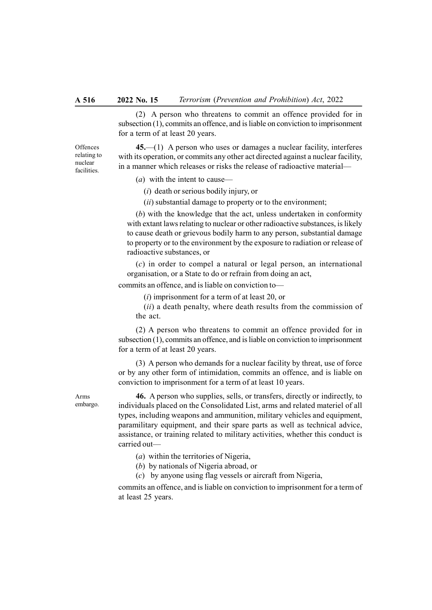#### A 516 2022 No. 15 Terrorism (Prevention and Prohibition) Act, 2022

(2) A person who threatens to commit an offence provided for in subsection (1), commits an offence, and is liable on conviction to imprisonment for a term of at least 20 years.

**Offences** relating to nuclear facilities.

45.—(1) A person who uses or damages a nuclear facility, interferes with its operation, or commits any other act directed against a nuclear facility. in a manner which releases or risks the release of radioactive material—

(a) with the intent to cause—

(i) death or serious bodily injury, or

 $(ii)$  substantial damage to property or to the environment;

(b) with the knowledge that the act, unless undertaken in conformity with extant laws relating to nuclear or other radioactive substances, is likely to cause death or grievous bodily harm to any person, substantial damage to property or to the environment by the exposure to radiation or release of radioactive substances, or

(c) in order to compel a natural or legal person, an international organisation, or a State to do or refrain from doing an act,

commits an offence, and is liable on conviction to—

 $(i)$  imprisonment for a term of at least 20, or

 $(ii)$  a death penalty, where death results from the commission of the act.

(2) A person who threatens to commit an offence provided for in subsection (1), commits an offence, and is liable on conviction to imprisonment for a term of at least 20 years.

(3) A person who demands for a nuclear facility by threat, use of force or by any other form of intimidation, commits an offence, and is liable on conviction to imprisonment for a term of at least 10 years.

Arms embargo.

46. A person who supplies, sells, or transfers, directly or indirectly, to individuals placed on the Consolidated List, arms and related materiel of all types, including weapons and ammunition, military vehicles and equipment, paramilitary equipment, and their spare parts as well as technical advice, assistance, or training related to military activities, whether this conduct is carried out—

- (a) within the territories of Nigeria,
- (b) by nationals of Nigeria abroad, or
- (c) by anyone using flag vessels or aircraft from Nigeria,

commits an offence, and is liable on conviction to imprisonment for a term of at least 25 years.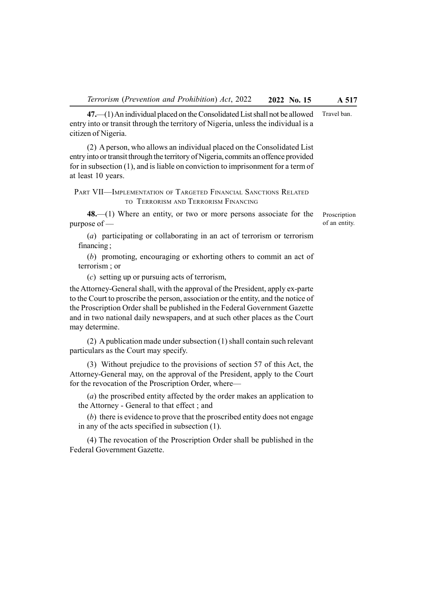47.—(1) An individual placed on the Consolidated List shall not be allowed entry into or transit through the territory of Nigeria, unless the individual is a Travel ban.

citizen of Nigeria. (2) A person, who allows an individual placed on the Consolidated List entry into or transit through the territory of Nigeria, commits an offence provided for in subsection (1), and is liable on conviction to imprisonment for a term of

PART VII—IMPLEMENTATION OF TARGETED FINANCIAL SANCTIONS RELATED TO TERRORISM AND TERRORISM FINANCING

48.—(1) Where an entity, or two or more persons associate for the purpose of —

Proscription of an entity.

(a) participating or collaborating in an act of terrorism or terrorism financing ;

(b) promoting, encouraging or exhorting others to commit an act of terrorism ; or

(c) setting up or pursuing acts of terrorism,

at least 10 years.

the Attorney-General shall, with the approval of the President, apply ex-parte to the Court to proscribe the person, association or the entity, and the notice of the Proscription Order shall be published in the Federal Government Gazette and in two national daily newspapers, and at such other places as the Court may determine.

(2) A publication made under subsection (1) shall contain such relevant particulars as the Court may specify.

(3) Without prejudice to the provisions of section 57 of this Act, the Attorney-General may, on the approval of the President, apply to the Court for the revocation of the Proscription Order, where—

(a) the proscribed entity affected by the order makes an application to the Attorney - General to that effect ; and

(b) there is evidence to prove that the proscribed entity does not engage in any of the acts specified in subsection (1).

(4) The revocation of the Proscription Order shall be published in the Federal Government Gazette.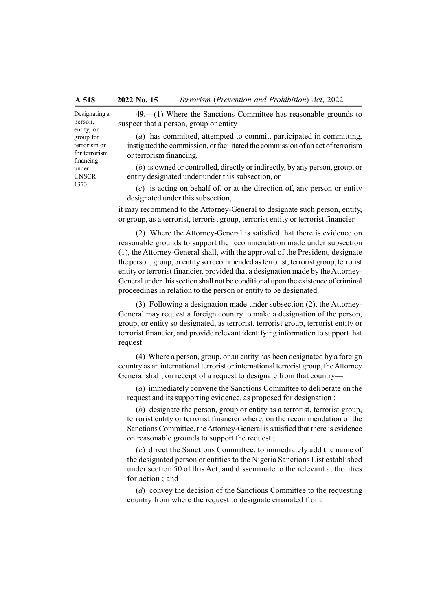Designating a person, entity, or group for terrorism or for terrorism financing under UNSCR 1373.

49.—(1) Where the Sanctions Committee has reasonable grounds to suspect that a person, group or entity—

(a) has committed, attempted to commit, participated in committing, instigated the commission, or facilitated the commission of an act of terrorism or terrorism financing,

(b) is owned or controlled, directly or indirectly, by any person, group, or entity designated under under this subsection, or

 $(c)$  is acting on behalf of, or at the direction of, any person or entity designated under this subsection,

it may recommend to the Attorney-General to designate such person, entity, or group, as a terrorist, terrorist group, terrorist entity or terrorist financier.

(2) Where the Attorney-General is satisfied that there is evidence on reasonable grounds to support the recommendation made under subsection (1), the Attorney-General shall, with the approval of the President, designate the person, group, or entity so recommended as terrorist, terrorist group, terrorist entity or terrorist financier, provided that a designation made by the Attorney-General under this section shall not be conditional upon the existence of criminal proceedings in relation to the person or entity to be designated.

(3) Following a designation made under subsection (2), the Attorney-General may request a foreign country to make a designation of the person, group, or entity so designated, as terrorist, terrorist group, terrorist entity or terrorist financier, and provide relevant identifying information to support that request.

(4) Where a person, group, or an entity has been designated by a foreign country as an international terrorist or international terrorist group, the Attorney General shall, on receipt of a request to designate from that country—

(a) immediately convene the Sanctions Committee to deliberate on the request and its supporting evidence, as proposed for designation ;

(b) designate the person, group or entity as a terrorist, terrorist group, terrorist entity or terrorist financier where, on the recommendation of the Sanctions Committee, the Attorney-General is satisfied that there is evidence on reasonable grounds to support the request ;

(c) direct the Sanctions Committee, to immediately add the name of the designated person or entities to the Nigeria Sanctions List established under section 50 of this Act, and disseminate to the relevant authorities for action ; and

(d) convey the decision of the Sanctions Committee to the requesting country from where the request to designate emanated from.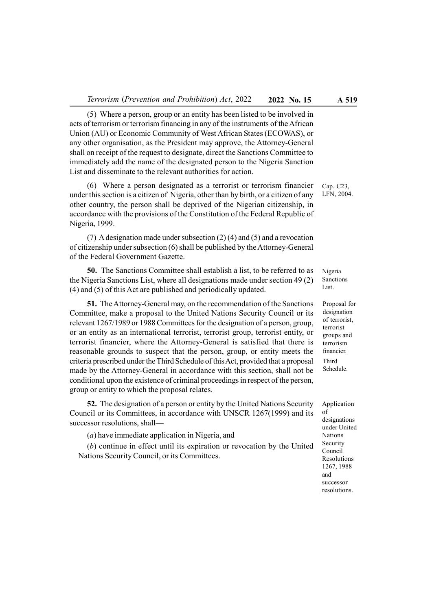(5) Where a person, group or an entity has been listed to be involved in acts of terrorism or terrorism financing in any of the instruments of the African Union (AU) or Economic Community of West African States (ECOWAS), or any other organisation, as the President may approve, the Attorney-General shall on receipt of the request to designate, direct the Sanctions Committee to immediately add the name of the designated person to the Nigeria Sanction List and disseminate to the relevant authorities for action.

(6) Where a person designated as a terrorist or terrorism financier under this section is a citizen of Nigeria, other than by birth, or a citizen of any other country, the person shall be deprived of the Nigerian citizenship, in accordance with the provisions of the Constitution of the Federal Republic of Nigeria, 1999.

(7) A designation made under subsection (2) (4) and (5) and a revocation of citizenship under subsection (6) shall be published by the Attorney-General of the Federal Government Gazette.

50. The Sanctions Committee shall establish a list, to be referred to as the Nigeria Sanctions List, where all designations made under section 49 (2) (4) and (5) of this Act are published and periodically updated.

51. The Attorney-General may, on the recommendation of the Sanctions Committee, make a proposal to the United Nations Security Council or its relevant 1267/1989 or 1988 Committees for the designation of a person, group, or an entity as an international terrorist, terrorist group, terrorist entity, or terrorist financier, where the Attorney-General is satisfied that there is reasonable grounds to suspect that the person, group, or entity meets the criteria prescribed under the Third Schedule of this Act, provided that a proposal made by the Attorney-General in accordance with this section, shall not be conditional upon the existence of criminal proceedings in respect of the person, group or entity to which the proposal relates.

52. The designation of a person or entity by the United Nations Security Council or its Committees, in accordance with UNSCR 1267(1999) and its successor resolutions, shall—

(a) have immediate application in Nigeria, and

(b) continue in effect until its expiration or revocation by the United Nations Security Council, or its Committees.

Cap. C23, LFN, 2004.

Nigeria Sanctions List.

Proposal for designation of terrorist, terrorist groups and terrorism financier. Third Schedule.

Application of designations under United Nations Security Council Resolutions 1267, 1988 and successor resolutions.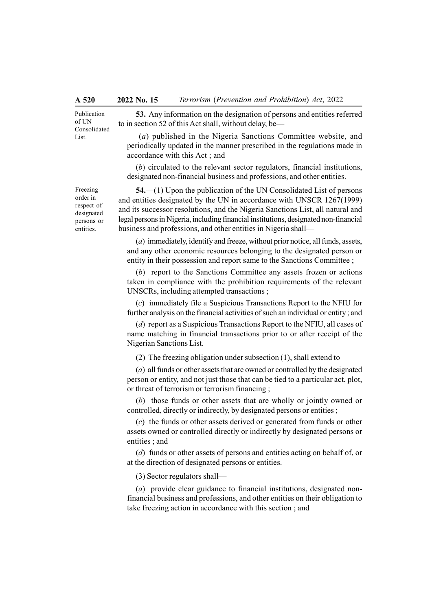Publication of UN Consolidated List.

53. Any information on the designation of persons and entities referred to in section 52 of this Act shall, without delay, be—

 (a) published in the Nigeria Sanctions Committee website, and periodically updated in the manner prescribed in the regulations made in accordance with this Act ; and

(b) circulated to the relevant sector regulators, financial institutions, designated non-financial business and professions, and other entities.

54.—(1) Upon the publication of the UN Consolidated List of persons and entities designated by the UN in accordance with UNSCR 1267(1999) and its successor resolutions, and the Nigeria Sanctions List, all natural and legal persons in Nigeria, including financial institutions, designated non-financial business and professions, and other entities in Nigeria shall—

(a) immediately, identify and freeze, without prior notice, all funds, assets, and any other economic resources belonging to the designated person or entity in their possession and report same to the Sanctions Committee ;

(b) report to the Sanctions Committee any assets frozen or actions taken in compliance with the prohibition requirements of the relevant UNSCRs, including attempted transactions ;

(c) immediately file a Suspicious Transactions Report to the NFIU for further analysis on the financial activities of such an individual or entity ; and

(d) report as a Suspicious Transactions Report to the NFIU, all cases of name matching in financial transactions prior to or after receipt of the Nigerian Sanctions List.

(2) The freezing obligation under subsection (1), shall extend to—

(a) all funds or other assets that are owned or controlled by the designated person or entity, and not just those that can be tied to a particular act, plot, or threat of terrorism or terrorism financing ;

(b) those funds or other assets that are wholly or jointly owned or controlled, directly or indirectly, by designated persons or entities ;

(c) the funds or other assets derived or generated from funds or other assets owned or controlled directly or indirectly by designated persons or entities ; and

(d) funds or other assets of persons and entities acting on behalf of, or at the direction of designated persons or entities.

(3) Sector regulators shall—

(a) provide clear guidance to financial institutions, designated nonfinancial business and professions, and other entities on their obligation to take freezing action in accordance with this section ; and

Freezing order in respect of designated persons or entities.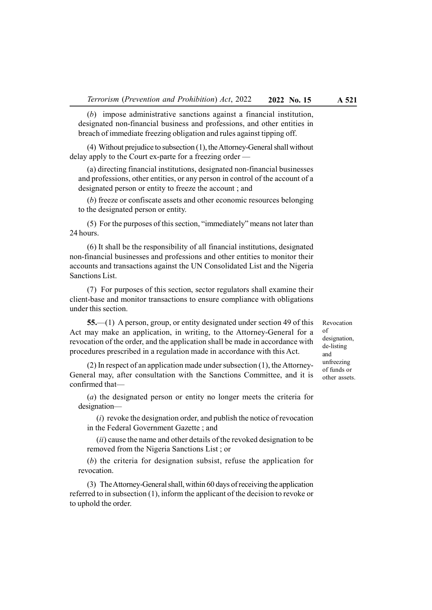(b) impose administrative sanctions against a financial institution, designated non-financial business and professions, and other entities in breach of immediate freezing obligation and rules against tipping off.

(4) Without prejudice to subsection (1), the Attorney-General shall without delay apply to the Court ex-parte for a freezing order —

(a) directing financial institutions, designated non-financial businesses and professions, other entities, or any person in control of the account of a designated person or entity to freeze the account ; and

(b) freeze or confiscate assets and other economic resources belonging to the designated person or entity.

(5) For the purposes of this section, "immediately" means not later than 24 hours.

(6) It shall be the responsibility of all financial institutions, designated non-financial businesses and professions and other entities to monitor their accounts and transactions against the UN Consolidated List and the Nigeria Sanctions List.

(7) For purposes of this section, sector regulators shall examine their client-base and monitor transactions to ensure compliance with obligations under this section.

55.—(1) A person, group, or entity designated under section 49 of this Act may make an application, in writing, to the Attorney-General for a revocation of the order, and the application shall be made in accordance with procedures prescribed in a regulation made in accordance with this Act.

(2) In respect of an application made under subsection (1), the Attorney-General may, after consultation with the Sanctions Committee, and it is confirmed that—

(a) the designated person or entity no longer meets the criteria for designation—

 $(i)$  revoke the designation order, and publish the notice of revocation in the Federal Government Gazette ; and

(ii) cause the name and other details of the revoked designation to be removed from the Nigeria Sanctions List ; or

(b) the criteria for designation subsist, refuse the application for revocation.

(3) The Attorney-General shall, within 60 days of receiving the application referred to in subsection (1), inform the applicant of the decision to revoke or to uphold the order.

Revocation of designation, de-listing and unfreezing of funds or other assets.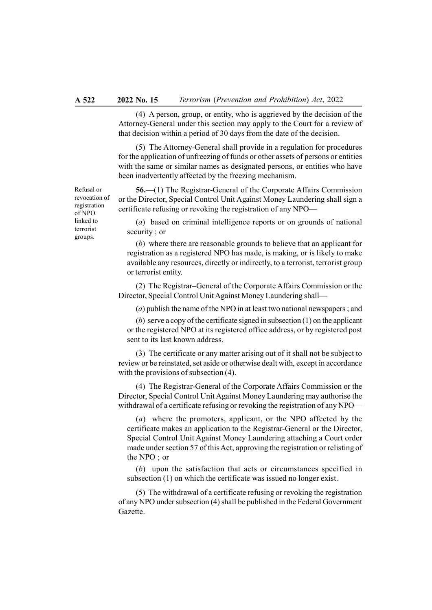#### A 522 2022 No. 15 Terrorism (Prevention and Prohibition) Act, 2022

(4) A person, group, or entity, who is aggrieved by the decision of the Attorney-General under this section may apply to the Court for a review of that decision within a period of 30 days from the date of the decision.

(5) The Attorney-General shall provide in a regulation for procedures for the application of unfreezing of funds or other assets of persons or entities with the same or similar names as designated persons, or entities who have been inadvertently affected by the freezing mechanism.

56.—(1) The Registrar-General of the Corporate Affairs Commission or the Director, Special Control Unit Against Money Laundering shall sign a certificate refusing or revoking the registration of any NPO—

(a) based on criminal intelligence reports or on grounds of national security ; or

(b) where there are reasonable grounds to believe that an applicant for registration as a registered NPO has made, is making, or is likely to make available any resources, directly or indirectly, to a terrorist, terrorist group or terrorist entity.

(2) The Registrar–General of the Corporate Affairs Commission or the Director, Special Control Unit Against Money Laundering shall—

(a) publish the name of the NPO in at least two national newspapers ; and

(b) serve a copy of the certificate signed in subsection (1) on the applicant or the registered NPO at its registered office address, or by registered post sent to its last known address.

(3) The certificate or any matter arising out of it shall not be subject to review or be reinstated, set aside or otherwise dealt with, except in accordance with the provisions of subsection (4).

(4) The Registrar-General of the Corporate Affairs Commission or the Director, Special Control Unit Against Money Laundering may authorise the withdrawal of a certificate refusing or revoking the registration of any NPO—

(a) where the promoters, applicant, or the NPO affected by the certificate makes an application to the Registrar-General or the Director, Special Control Unit Against Money Laundering attaching a Court order made under section 57 of this Act, approving the registration or relisting of the NPO ; or

(b) upon the satisfaction that acts or circumstances specified in subsection (1) on which the certificate was issued no longer exist.

(5) The withdrawal of a certificate refusing or revoking the registration of any NPO under subsection (4) shall be published in the Federal Government Gazette.

Refusal or revocation of registration of NPO linked to terrorist groups.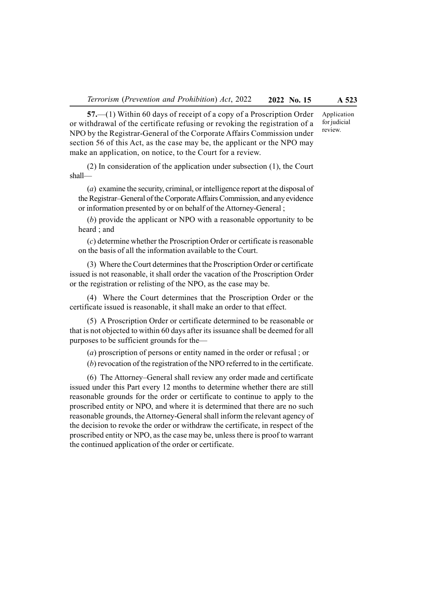57.—(1) Within 60 days of receipt of a copy of a Proscription Order or withdrawal of the certificate refusing or revoking the registration of a NPO by the Registrar-General of the Corporate Affairs Commission under section 56 of this Act, as the case may be, the applicant or the NPO may make an application, on notice, to the Court for a review.

(2) In consideration of the application under subsection (1), the Court shall—

(a) examine the security, criminal, or intelligence report at the disposal of the Registrar–General of the Corporate Affairs Commission, and any evidence or information presented by or on behalf of the Attorney-General ;

(b) provide the applicant or NPO with a reasonable opportunity to be heard ; and

(c) determine whether the Proscription Order or certificate is reasonable on the basis of all the information available to the Court.

(3) Where the Court determines that the Proscription Order or certificate issued is not reasonable, it shall order the vacation of the Proscription Order or the registration or relisting of the NPO, as the case may be.

(4) Where the Court determines that the Proscription Order or the certificate issued is reasonable, it shall make an order to that effect.

(5) A Proscription Order or certificate determined to be reasonable or that is not objected to within 60 days after its issuance shall be deemed for all purposes to be sufficient grounds for the—

(a) proscription of persons or entity named in the order or refusal ; or

(b) revocation of the registration of the NPO referred to in the certificate.

(6) The Attorney–General shall review any order made and certificate issued under this Part every 12 months to determine whether there are still reasonable grounds for the order or certificate to continue to apply to the proscribed entity or NPO, and where it is determined that there are no such reasonable grounds, the Attorney-General shall inform the relevant agency of the decision to revoke the order or withdraw the certificate, in respect of the proscribed entity or NPO, as the case may be, unless there is proof to warrant the continued application of the order or certificate.

Application for judicial review.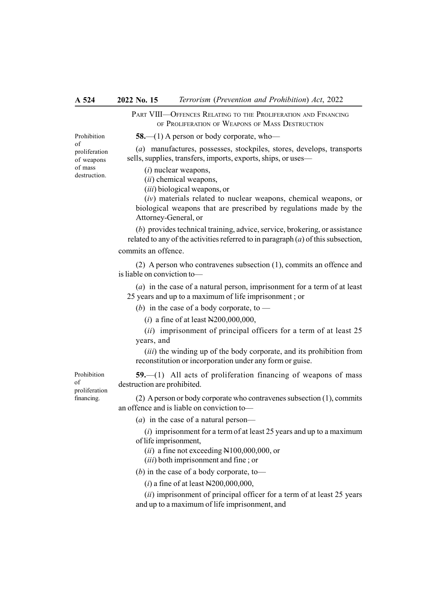PART VIII—OFFENCES RELATING TO THE PROLIFERATION AND FINANCING OF PROLIFERATION OF WEAPONS OF MASS DESTRUCTION

58.—(1) A person or body corporate, who—

(a) manufactures, possesses, stockpiles, stores, develops, transports sells, supplies, transfers, imports, exports, ships, or uses—

(i) nuclear weapons,

(ii) chemical weapons,

(iii) biological weapons, or

(iv) materials related to nuclear weapons, chemical weapons, or biological weapons that are prescribed by regulations made by the Attorney-General, or

(b) provides technical training, advice, service, brokering, or assistance related to any of the activities referred to in paragraph  $(a)$  of this subsection, commits an offence.

(2) A person who contravenes subsection (1), commits an offence and is liable on conviction to—

(a) in the case of a natural person, imprisonment for a term of at least 25 years and up to a maximum of life imprisonment ; or

(b) in the case of a body corporate, to  $-$ 

(*i*) a fine of at least  $N200,000,000$ ,

 $(ii)$  imprisonment of principal officers for a term of at least 25 years, and

(*iii*) the winding up of the body corporate, and its prohibition from reconstitution or incorporation under any form or guise.

59.—(1) All acts of proliferation financing of weapons of mass destruction are prohibited.

(2) A person or body corporate who contravenes subsection (1), commits an offence and is liable on conviction to—

(*a*) in the case of a natural person—

 $(i)$  imprisonment for a term of at least 25 years and up to a maximum of life imprisonment,

 $(ii)$  a fine not exceeding N100,000,000, or

(*iii*) both imprisonment and fine; or

(b) in the case of a body corporate, to—

 $(i)$  a fine of at least N200,000,000,

(ii) imprisonment of principal officer for a term of at least 25 years and up to a maximum of life imprisonment, and

Prohibition of proliferation of weapons of mass destruction.

Prohibition of

proliferation financing.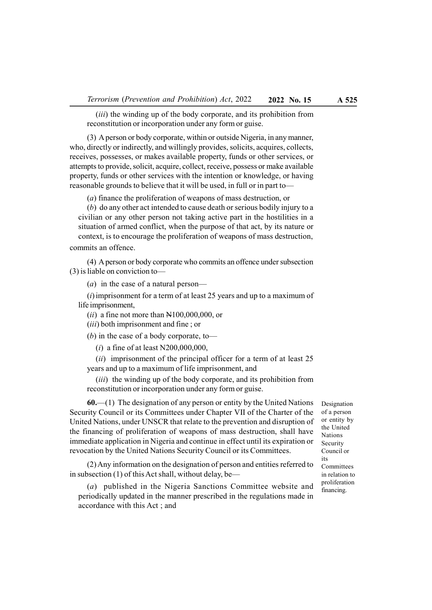(*iii*) the winding up of the body corporate, and its prohibition from reconstitution or incorporation under any form or guise.

(3) A person or body corporate, within or outside Nigeria, in any manner, who, directly or indirectly, and willingly provides, solicits, acquires, collects, receives, possesses, or makes available property, funds or other services, or attempts to provide, solicit, acquire, collect, receive, possess or make available property, funds or other services with the intention or knowledge, or having reasonable grounds to believe that it will be used, in full or in part to—

(a) finance the proliferation of weapons of mass destruction, or

(b) do any other act intended to cause death or serious bodily injury to a civilian or any other person not taking active part in the hostilities in a situation of armed conflict, when the purpose of that act, by its nature or context, is to encourage the proliferation of weapons of mass destruction, commits an offence.

(4) A person or body corporate who commits an offence under subsection (3) is liable on conviction to—

(*a*) in the case of a natural person—

 $(i)$  imprisonment for a term of at least 25 years and up to a maximum of life imprisonment,

 $(ii)$  a fine not more than  $N100,000,000$ , or

(*iii*) both imprisonment and fine; or

(b) in the case of a body corporate, to—

(*i*) a fine of at least N200,000,000,

 $(ii)$  imprisonment of the principal officer for a term of at least 25 years and up to a maximum of life imprisonment, and

(*iii*) the winding up of the body corporate, and its prohibition from reconstitution or incorporation under any form or guise.

 $60$ .—(1) The designation of any person or entity by the United Nations Security Council or its Committees under Chapter VII of the Charter of the United Nations, under UNSCR that relate to the prevention and disruption of the financing of proliferation of weapons of mass destruction, shall have immediate application in Nigeria and continue in effect until its expiration or revocation by the United Nations Security Council or its Committees.

(2) Any information on the designation of person and entities referred to in subsection (1) of this Act shall, without delay, be—

(a) published in the Nigeria Sanctions Committee website and periodically updated in the manner prescribed in the regulations made in accordance with this Act ; and

Designation of a person or entity by the United Nations Security Council or its Committees in relation to proliferation financing.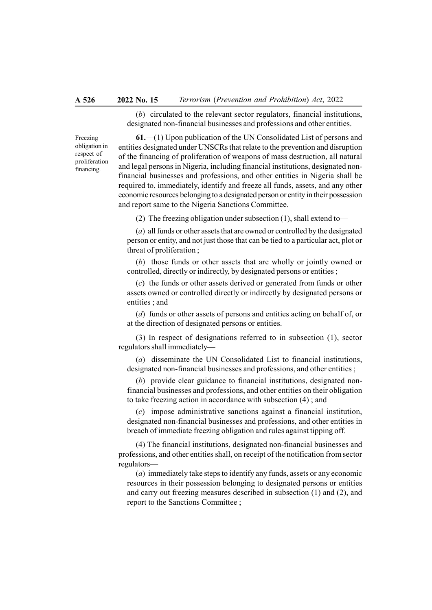#### A 526 2022 No. 15 Terrorism (Prevention and Prohibition) Act, 2022

(b) circulated to the relevant sector regulators, financial institutions, designated non-financial businesses and professions and other entities.

Freezing obligation in respect of proliferation financing.

61.—(1) Upon publication of the UN Consolidated List of persons and entities designated under UNSCRs that relate to the prevention and disruption of the financing of proliferation of weapons of mass destruction, all natural and legal persons in Nigeria, including financial institutions, designated nonfinancial businesses and professions, and other entities in Nigeria shall be required to, immediately, identify and freeze all funds, assets, and any other economic resources belonging to a designated person or entity in their possession and report same to the Nigeria Sanctions Committee.

(2) The freezing obligation under subsection (1), shall extend to—

(a) all funds or other assets that are owned or controlled by the designated person or entity, and not just those that can be tied to a particular act, plot or threat of proliferation ;

(b) those funds or other assets that are wholly or jointly owned or controlled, directly or indirectly, by designated persons or entities ;

(c) the funds or other assets derived or generated from funds or other assets owned or controlled directly or indirectly by designated persons or entities ; and

(d) funds or other assets of persons and entities acting on behalf of, or at the direction of designated persons or entities.

(3) In respect of designations referred to in subsection (1), sector regulators shall immediately—

(a) disseminate the UN Consolidated List to financial institutions, designated non-financial businesses and professions, and other entities ;

(b) provide clear guidance to financial institutions, designated nonfinancial businesses and professions, and other entities on their obligation to take freezing action in accordance with subsection (4) ; and

(c) impose administrative sanctions against a financial institution, designated non-financial businesses and professions, and other entities in breach of immediate freezing obligation and rules against tipping off.

(4) The financial institutions, designated non-financial businesses and professions, and other entities shall, on receipt of the notification from sector regulators—

(a) immediately take steps to identify any funds, assets or any economic resources in their possession belonging to designated persons or entities and carry out freezing measures described in subsection (1) and (2), and report to the Sanctions Committee ;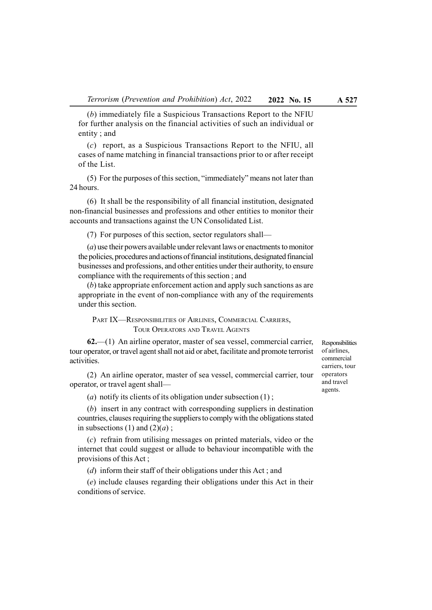(b) immediately file a Suspicious Transactions Report to the NFIU for further analysis on the financial activities of such an individual or entity ; and

(c) report, as a Suspicious Transactions Report to the NFIU, all cases of name matching in financial transactions prior to or after receipt of the List.

(5) For the purposes of this section, "immediately" means not later than 24 hours.

(6) It shall be the responsibility of all financial institution, designated non-financial businesses and professions and other entities to monitor their accounts and transactions against the UN Consolidated List.

(7) For purposes of this section, sector regulators shall—

(a) use their powers available under relevant laws or enactments to monitor the policies, procedures and actions of financial institutions, designated financial businesses and professions, and other entities under their authority, to ensure compliance with the requirements of this section ; and

(b) take appropriate enforcement action and apply such sanctions as are appropriate in the event of non-compliance with any of the requirements under this section.

PART IX-RESPONSIBILITIES OF AIRLINES, COMMERCIAL CARRIERS, TOUR OPERATORS AND TRAVEL AGENTS

62.—(1) An airline operator, master of sea vessel, commercial carrier, tour operator, or travel agent shall not aid or abet, facilitate and promote terrorist activities.

(2) An airline operator, master of sea vessel, commercial carrier, tour operator, or travel agent shall—

(*a*) notify its clients of its obligation under subsection  $(1)$ ;

(b) insert in any contract with corresponding suppliers in destination countries, clauses requiring the suppliers to comply with the obligations stated in subsections (1) and  $(2)(a)$ ;

(c) refrain from utilising messages on printed materials, video or the internet that could suggest or allude to behaviour incompatible with the provisions of this Act ;

(d) inform their staff of their obligations under this Act ; and

(e) include clauses regarding their obligations under this Act in their conditions of service.

Responsibilities of airlines, commercial carriers, tour operators and travel agents.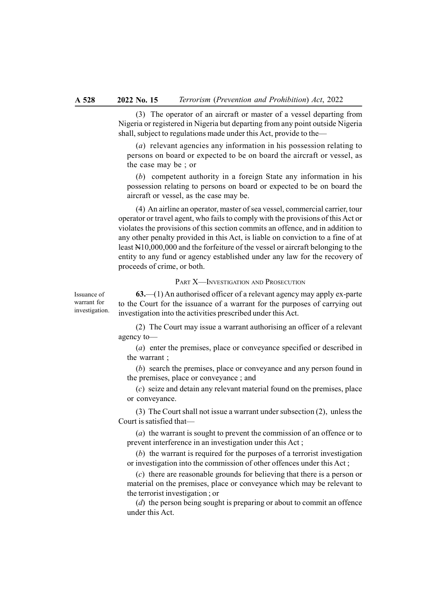(3) The operator of an aircraft or master of a vessel departing from Nigeria or registered in Nigeria but departing from any point outside Nigeria shall, subject to regulations made under this Act, provide to the—

(a) relevant agencies any information in his possession relating to persons on board or expected to be on board the aircraft or vessel, as the case may be ; or

(b) competent authority in a foreign State any information in his possession relating to persons on board or expected to be on board the aircraft or vessel, as the case may be.

(4) An airline an operator, master of sea vessel, commercial carrier, tour operator or travel agent, who fails to comply with the provisions of this Act or violates the provisions of this section commits an offence, and in addition to any other penalty provided in this Act, is liable on conviction to a fine of at least N10,000,000 and the forfeiture of the vessel or aircraft belonging to the entity to any fund or agency established under any law for the recovery of proceeds of crime, or both.

# PART X—INVESTIGATION AND PROSECUTION

Issuance of warrant for investigation.

 $63$ —(1) An authorised officer of a relevant agency may apply ex-parte to the Court for the issuance of a warrant for the purposes of carrying out investigation into the activities prescribed under this Act.

(2) The Court may issue a warrant authorising an officer of a relevant agency to—

(a) enter the premises, place or conveyance specified or described in the warrant ;

(b) search the premises, place or conveyance and any person found in the premises, place or conveyance ; and

(c) seize and detain any relevant material found on the premises, place or conveyance.

(3) The Court shall not issue a warrant under subsection (2), unless the Court is satisfied that—

(a) the warrant is sought to prevent the commission of an offence or to prevent interference in an investigation under this Act ;

(b) the warrant is required for the purposes of a terrorist investigation or investigation into the commission of other offences under this Act ;

(c) there are reasonable grounds for believing that there is a person or material on the premises, place or conveyance which may be relevant to the terrorist investigation ; or

(d) the person being sought is preparing or about to commit an offence under this Act.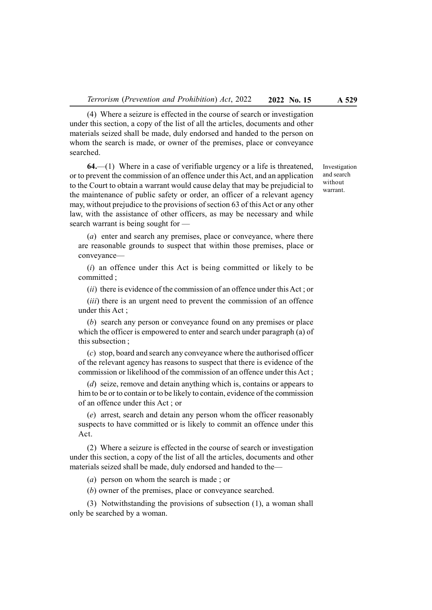(4) Where a seizure is effected in the course of search or investigation under this section, a copy of the list of all the articles, documents and other materials seized shall be made, duly endorsed and handed to the person on whom the search is made, or owner of the premises, place or conveyance searched.

64.—(1) Where in a case of verifiable urgency or a life is threatened, or to prevent the commission of an offence under this Act, and an application to the Court to obtain a warrant would cause delay that may be prejudicial to the maintenance of public safety or order, an officer of a relevant agency may, without prejudice to the provisions of section 63 of this Act or any other law, with the assistance of other officers, as may be necessary and while search warrant is being sought for —

(a) enter and search any premises, place or conveyance, where there are reasonable grounds to suspect that within those premises, place or conveyance—

 $(i)$  an offence under this Act is being committed or likely to be committed ;

 $(ii)$  there is evidence of the commission of an offence under this Act; or

(*iii*) there is an urgent need to prevent the commission of an offence under this Act ;

(b) search any person or conveyance found on any premises or place which the officer is empowered to enter and search under paragraph (a) of this subsection ;

(c) stop, board and search any conveyance where the authorised officer of the relevant agency has reasons to suspect that there is evidence of the commission or likelihood of the commission of an offence under this Act ;

(d) seize, remove and detain anything which is, contains or appears to him to be or to contain or to be likely to contain, evidence of the commission of an offence under this Act ; or

(e) arrest, search and detain any person whom the officer reasonably suspects to have committed or is likely to commit an offence under this Act.

(2) Where a seizure is effected in the course of search or investigation under this section, a copy of the list of all the articles, documents and other materials seized shall be made, duly endorsed and handed to the—

(a) person on whom the search is made ; or

(b) owner of the premises, place or conveyance searched.

(3) Notwithstanding the provisions of subsection (1), a woman shall only be searched by a woman.

Investigation and search without warrant.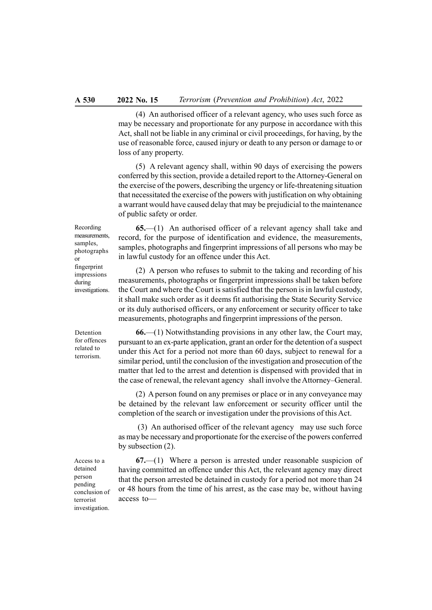(4) An authorised officer of a relevant agency, who uses such force as may be necessary and proportionate for any purpose in accordance with this Act, shall not be liable in any criminal or civil proceedings, for having, by the use of reasonable force, caused injury or death to any person or damage to or loss of any property.

(5) A relevant agency shall, within 90 days of exercising the powers conferred by this section, provide a detailed report to the Attorney-General on the exercise of the powers, describing the urgency or life-threatening situation that necessitated the exercise of the powers with justification on why obtaining a warrant would have caused delay that may be prejudicial to the maintenance of public safety or order.

Recording measurements, samples, photographs or fingerprint impressions during investigations.

65.—(1) An authorised officer of a relevant agency shall take and record, for the purpose of identification and evidence, the measurements, samples, photographs and fingerprint impressions of all persons who may be in lawful custody for an offence under this Act.

(2) A person who refuses to submit to the taking and recording of his measurements, photographs or fingerprint impressions shall be taken before the Court and where the Court is satisfied that the person is in lawful custody, it shall make such order as it deems fit authorising the State Security Service or its duly authorised officers, or any enforcement or security officer to take measurements, photographs and fingerprint impressions of the person.

Detention for offences related to terrorism.

66.—(1) Notwithstanding provisions in any other law, the Court may, pursuant to an ex-parte application, grant an order for the detention of a suspect under this Act for a period not more than 60 days, subject to renewal for a similar period, until the conclusion of the investigation and prosecution of the matter that led to the arrest and detention is dispensed with provided that in the case of renewal, the relevant agency shall involve the Attorney–General.

(2) A person found on any premises or place or in any conveyance may be detained by the relevant law enforcement or security officer until the completion of the search or investigation under the provisions of this Act.

 (3) An authorised officer of the relevant agency may use such force as may be necessary and proportionate for the exercise of the powers conferred by subsection (2).

67.—(1) Where a person is arrested under reasonable suspicion of having committed an offence under this Act, the relevant agency may direct that the person arrested be detained in custody for a period not more than 24 or 48 hours from the time of his arrest, as the case may be, without having access to—

Access to a detained person pending conclusion of terrorist investigation.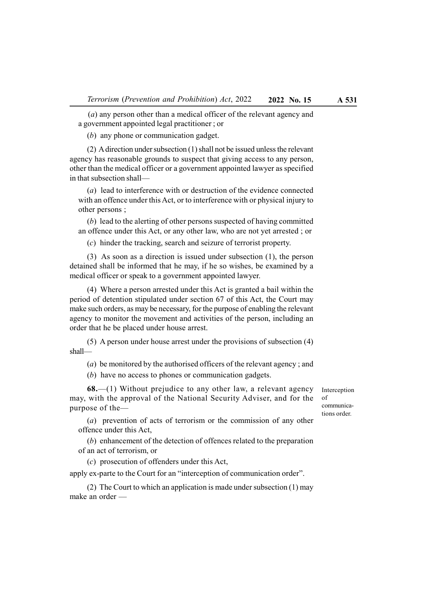(a) any person other than a medical officer of the relevant agency and a government appointed legal practitioner ; or

(b) any phone or communication gadget.

(2) A direction under subsection (1) shall not be issued unless the relevant agency has reasonable grounds to suspect that giving access to any person, other than the medical officer or a government appointed lawyer as specified in that subsection shall—

(a) lead to interference with or destruction of the evidence connected with an offence under this Act, or to interference with or physical injury to other persons ;

(b) lead to the alerting of other persons suspected of having committed an offence under this Act, or any other law, who are not yet arrested ; or

(c) hinder the tracking, search and seizure of terrorist property.

(3) As soon as a direction is issued under subsection (1), the person detained shall be informed that he may, if he so wishes, be examined by a medical officer or speak to a government appointed lawyer.

(4) Where a person arrested under this Act is granted a bail within the period of detention stipulated under section 67 of this Act, the Court may make such orders, as may be necessary, for the purpose of enabling the relevant agency to monitor the movement and activities of the person, including an order that he be placed under house arrest.

(5) A person under house arrest under the provisions of subsection (4) shall—

(a) be monitored by the authorised officers of the relevant agency ; and

(b) have no access to phones or communication gadgets.

 $68$ —(1) Without prejudice to any other law, a relevant agency may, with the approval of the National Security Adviser, and for the purpose of the—

Interception of communications order.

(a) prevention of acts of terrorism or the commission of any other offence under this Act,

(b) enhancement of the detection of offences related to the preparation of an act of terrorism, or

(c) prosecution of offenders under this Act,

apply ex-parte to the Court for an "interception of communication order".

(2) The Court to which an application is made under subsection (1) may make an order —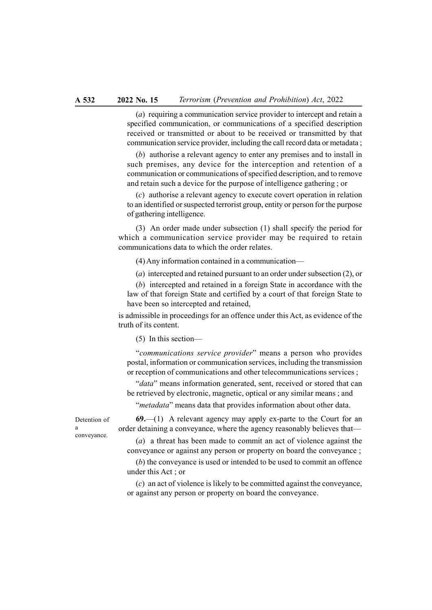(a) requiring a communication service provider to intercept and retain a specified communication, or communications of a specified description received or transmitted or about to be received or transmitted by that communication service provider, including the call record data or metadata ;

(b) authorise a relevant agency to enter any premises and to install in such premises, any device for the interception and retention of a communication or communications of specified description, and to remove and retain such a device for the purpose of intelligence gathering ; or

(c) authorise a relevant agency to execute covert operation in relation to an identified or suspected terrorist group, entity or person for the purpose of gathering intelligence.

(3) An order made under subsection (1) shall specify the period for which a communication service provider may be required to retain communications data to which the order relates.

(4) Any information contained in a communication—

(a) intercepted and retained pursuant to an order under subsection (2), or

(b) intercepted and retained in a foreign State in accordance with the law of that foreign State and certified by a court of that foreign State to have been so intercepted and retained,

is admissible in proceedings for an offence under this Act, as evidence of the truth of its content.

(5) In this section—

"communications service provider" means a person who provides postal, information or communication services, including the transmission or reception of communications and other telecommunications services ;

"data" means information generated, sent, received or stored that can be retrieved by electronic, magnetic, optical or any similar means ; and

"*metadata*" means data that provides information about other data.

 $69$ —(1) A relevant agency may apply ex-parte to the Court for an order detaining a conveyance, where the agency reasonably believes that—

(a) a threat has been made to commit an act of violence against the conveyance or against any person or property on board the conveyance ;

(b) the conveyance is used or intended to be used to commit an offence under this Act ; or

(c) an act of violence is likely to be committed against the conveyance, or against any person or property on board the conveyance.

Detention of a conveyance.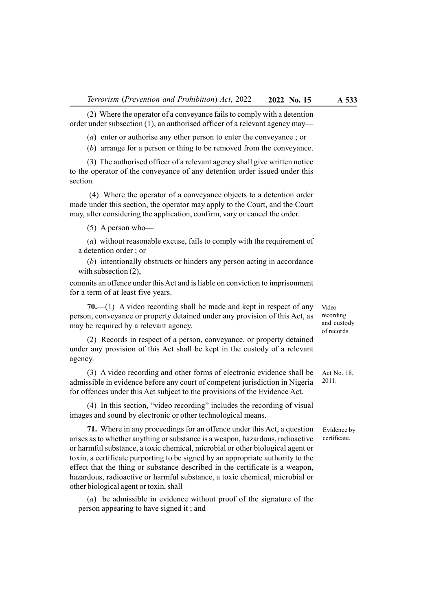(2) Where the operator of a conveyance fails to comply with a detention order under subsection (1), an authorised officer of a relevant agency may—

(a) enter or authorise any other person to enter the conveyance ; or

(b) arrange for a person or thing to be removed from the conveyance.

(3) The authorised officer of a relevant agency shall give written notice to the operator of the conveyance of any detention order issued under this section.

 (4) Where the operator of a conveyance objects to a detention order made under this section, the operator may apply to the Court, and the Court may, after considering the application, confirm, vary or cancel the order.

(5) A person who—

(a) without reasonable excuse, fails to comply with the requirement of a detention order ; or

(b) intentionally obstructs or hinders any person acting in accordance with subsection (2),

commits an offence under this Act and is liable on conviction to imprisonment for a term of at least five years.

 $70$ .—(1) A video recording shall be made and kept in respect of any person, conveyance or property detained under any provision of this Act, as may be required by a relevant agency.

(2) Records in respect of a person, conveyance, or property detained under any provision of this Act shall be kept in the custody of a relevant agency.

(3) A video recording and other forms of electronic evidence shall be admissible in evidence before any court of competent jurisdiction in Nigeria for offences under this Act subject to the provisions of the Evidence Act.

(4) In this section, "video recording" includes the recording of visual images and sound by electronic or other technological means.

71. Where in any proceedings for an offence under this Act, a question arises as to whether anything or substance is a weapon, hazardous, radioactive or harmful substance, a toxic chemical, microbial or other biological agent or toxin, a certificate purporting to be signed by an appropriate authority to the effect that the thing or substance described in the certificate is a weapon, hazardous, radioactive or harmful substance, a toxic chemical, microbial or other biological agent or toxin, shall—

(a) be admissible in evidence without proof of the signature of the person appearing to have signed it ; and

Video recording and custody of records.

Act No. 18, 2011.

Evidence by certificate.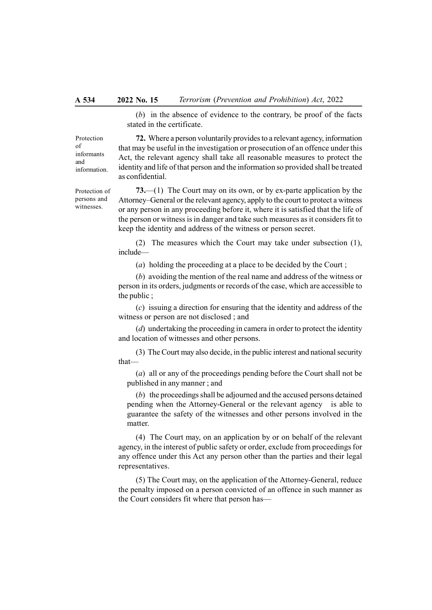(b) in the absence of evidence to the contrary, be proof of the facts stated in the certificate.

Protection of informants and information.

Protection of persons and witnesses.

72. Where a person voluntarily provides to a relevant agency, information that may be useful in the investigation or prosecution of an offence under this Act, the relevant agency shall take all reasonable measures to protect the identity and life of that person and the information so provided shall be treated as confidential.

73.—(1) The Court may on its own, or by ex-parte application by the Attorney–General or the relevant agency, apply to the court to protect a witness or any person in any proceeding before it, where it is satisfied that the life of the person or witness is in danger and take such measures as it considers fit to keep the identity and address of the witness or person secret.

(2) The measures which the Court may take under subsection (1), include—

(a) holding the proceeding at a place to be decided by the Court ;

(b) avoiding the mention of the real name and address of the witness or person in its orders, judgments or records of the case, which are accessible to the public ;

(c) issuing a direction for ensuring that the identity and address of the witness or person are not disclosed ; and

(d) undertaking the proceeding in camera in order to protect the identity and location of witnesses and other persons.

(3) The Court may also decide, in the public interest and national security that—

(a) all or any of the proceedings pending before the Court shall not be published in any manner ; and

(b) the proceedings shall be adjourned and the accused persons detained pending when the Attorney-General or the relevant agency is able to guarantee the safety of the witnesses and other persons involved in the matter.

(4) The Court may, on an application by or on behalf of the relevant agency, in the interest of public safety or order, exclude from proceedings for any offence under this Act any person other than the parties and their legal representatives.

(5) The Court may, on the application of the Attorney-General, reduce the penalty imposed on a person convicted of an offence in such manner as the Court considers fit where that person has—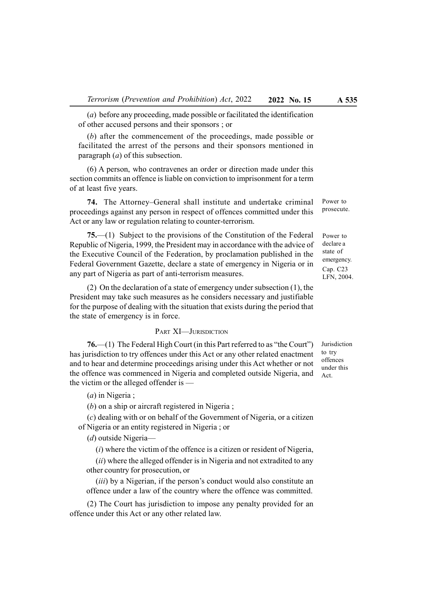(a) before any proceeding, made possible or facilitated the identification of other accused persons and their sponsors ; or

(b) after the commencement of the proceedings, made possible or facilitated the arrest of the persons and their sponsors mentioned in paragraph (a) of this subsection.

(6) A person, who contravenes an order or direction made under this section commits an offence is liable on conviction to imprisonment for a term of at least five years.

74. The Attorney–General shall institute and undertake criminal proceedings against any person in respect of offences committed under this Act or any law or regulation relating to counter-terrorism.

75.—(1) Subject to the provisions of the Constitution of the Federal Republic of Nigeria, 1999, the President may in accordance with the advice of the Executive Council of the Federation, by proclamation published in the Federal Government Gazette, declare a state of emergency in Nigeria or in any part of Nigeria as part of anti-terrorism measures.

(2) On the declaration of a state of emergency under subsection (1), the President may take such measures as he considers necessary and justifiable for the purpose of dealing with the situation that exists during the period that the state of emergency is in force.

## PART XI—JURISDICTION

76.—(1) The Federal High Court (in this Part referred to as "the Court") has jurisdiction to try offences under this Act or any other related enactment and to hear and determine proceedings arising under this Act whether or not the offence was commenced in Nigeria and completed outside Nigeria, and the victim or the alleged offender is —

(a) in Nigeria ;

(b) on a ship or aircraft registered in Nigeria ;

(c) dealing with or on behalf of the Government of Nigeria, or a citizen of Nigeria or an entity registered in Nigeria ; or

(d) outside Nigeria—

 $(i)$  where the victim of the offence is a citizen or resident of Nigeria,

(ii) where the alleged offender is in Nigeria and not extradited to any other country for prosecution, or

(*iii*) by a Nigerian, if the person's conduct would also constitute an offence under a law of the country where the offence was committed.

(2) The Court has jurisdiction to impose any penalty provided for an offence under this Act or any other related law.

Power to

Power to prosecute.

declare a state of emergency. Cap. C23 LFN, 2004.

Jurisdiction to try offences under this Act.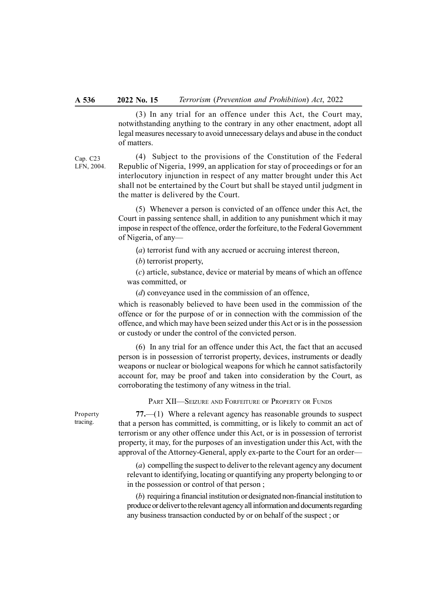(3) In any trial for an offence under this Act, the Court may, notwithstanding anything to the contrary in any other enactment, adopt all legal measures necessary to avoid unnecessary delays and abuse in the conduct of matters.

Cap. C23 LFN, 2004.

(4) Subject to the provisions of the Constitution of the Federal Republic of Nigeria, 1999, an application for stay of proceedings or for an interlocutory injunction in respect of any matter brought under this Act shall not be entertained by the Court but shall be stayed until judgment in the matter is delivered by the Court.

(5) Whenever a person is convicted of an offence under this Act, the Court in passing sentence shall, in addition to any punishment which it may impose in respect of the offence, order the forfeiture, to the Federal Government of Nigeria, of any—

(*a*) terrorist fund with any accrued or accruing interest thereon,

(b) terrorist property,

(c) article, substance, device or material by means of which an offence was committed, or

(d) conveyance used in the commission of an offence,

which is reasonably believed to have been used in the commission of the offence or for the purpose of or in connection with the commission of the offence, and which may have been seized under this Act or is in the possession or custody or under the control of the convicted person.

(6) In any trial for an offence under this Act, the fact that an accused person is in possession of terrorist property, devices, instruments or deadly weapons or nuclear or biological weapons for which he cannot satisfactorily account for, may be proof and taken into consideration by the Court, as corroborating the testimony of any witness in the trial.

PART XII—SEIZURE AND FORFEITURE OF PROPERTY OR FUNDS

77.—(1) Where a relevant agency has reasonable grounds to suspect that a person has committed, is committing, or is likely to commit an act of terrorism or any other offence under this Act, or is in possession of terrorist property, it may, for the purposes of an investigation under this Act, with the approval of the Attorney-General, apply ex-parte to the Court for an order—

(a) compelling the suspect to deliver to the relevant agency any document relevant to identifying, locating or quantifying any property belonging to or in the possession or control of that person ;

(b) requiring a financial institution or designated non-financial institution to produce or deliver to the relevant agency all information and documents regarding any business transaction conducted by or on behalf of the suspect ; or

Property tracing.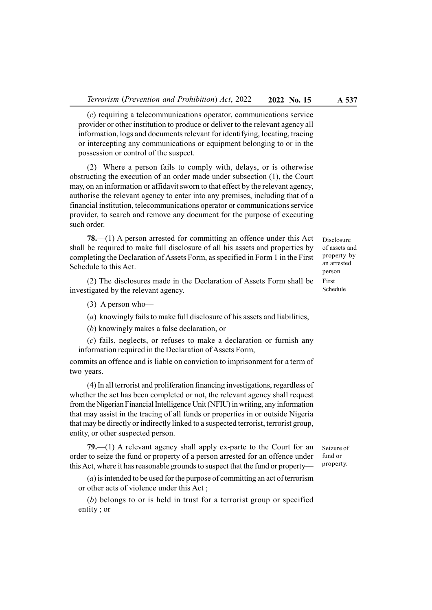(c) requiring a telecommunications operator, communications service provider or other institution to produce or deliver to the relevant agency all information, logs and documents relevant for identifying, locating, tracing or intercepting any communications or equipment belonging to or in the possession or control of the suspect.

(2) Where a person fails to comply with, delays, or is otherwise obstructing the execution of an order made under subsection (1), the Court may, on an information or affidavit sworn to that effect by the relevant agency, authorise the relevant agency to enter into any premises, including that of a financial institution, telecommunications operator or communications service provider, to search and remove any document for the purpose of executing such order.

78.—(1) A person arrested for committing an offence under this Act shall be required to make full disclosure of all his assets and properties by completing the Declaration of Assets Form, as specified in Form 1 in the First Schedule to this Act.

(2) The disclosures made in the Declaration of Assets Form shall be investigated by the relevant agency.

(3) A person who—

(a) knowingly fails to make full disclosure of his assets and liabilities,

(b) knowingly makes a false declaration, or

(c) fails, neglects, or refuses to make a declaration or furnish any information required in the Declaration of Assets Form,

commits an offence and is liable on conviction to imprisonment for a term of two years.

(4) In all terrorist and proliferation financing investigations, regardless of whether the act has been completed or not, the relevant agency shall request from the Nigerian Financial Intelligence Unit (NFIU) in writing, any information that may assist in the tracing of all funds or properties in or outside Nigeria that may be directly or indirectly linked to a suspected terrorist, terrorist group, entity, or other suspected person.

79.—(1) A relevant agency shall apply ex-parte to the Court for an order to seize the fund or property of a person arrested for an offence under this Act, where it has reasonable grounds to suspect that the fund or property—

(a) is intended to be used for the purpose of committing an act of terrorism or other acts of violence under this Act ;

(b) belongs to or is held in trust for a terrorist group or specified entity ; or

Disclosure of assets and property by an arrested person First Schedule

Seizure of fund or property.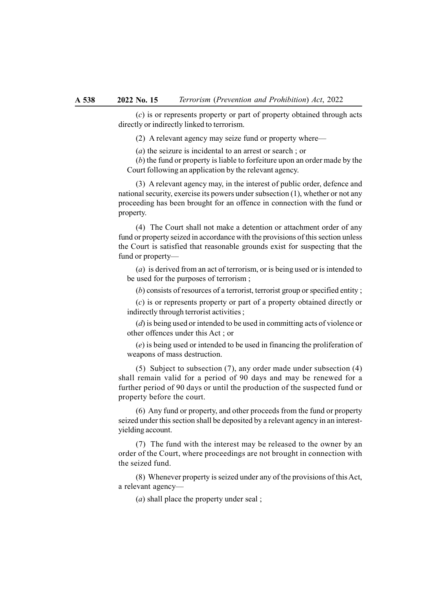(c) is or represents property or part of property obtained through acts directly or indirectly linked to terrorism.

(2) A relevant agency may seize fund or property where—

(a) the seizure is incidental to an arrest or search ; or

(b) the fund or property is liable to forfeiture upon an order made by the Court following an application by the relevant agency.

(3) A relevant agency may, in the interest of public order, defence and national security, exercise its powers under subsection (1), whether or not any proceeding has been brought for an offence in connection with the fund or property.

(4) The Court shall not make a detention or attachment order of any fund or property seized in accordance with the provisions of this section unless the Court is satisfied that reasonable grounds exist for suspecting that the fund or property—

(a) is derived from an act of terrorism, or is being used or is intended to be used for the purposes of terrorism ;

(b) consists of resources of a terrorist, terrorist group or specified entity ;

(c) is or represents property or part of a property obtained directly or indirectly through terrorist activities ;

(d) is being used or intended to be used in committing acts of violence or other offences under this Act ; or

(e) is being used or intended to be used in financing the proliferation of weapons of mass destruction.

(5) Subject to subsection (7), any order made under subsection (4) shall remain valid for a period of 90 days and may be renewed for a further period of 90 days or until the production of the suspected fund or property before the court.

(6) Any fund or property, and other proceeds from the fund or property seized under this section shall be deposited by a relevant agency in an interestyielding account.

(7) The fund with the interest may be released to the owner by an order of the Court, where proceedings are not brought in connection with the seized fund.

(8) Whenever property is seized under any of the provisions of this Act, a relevant agency—

(a) shall place the property under seal ;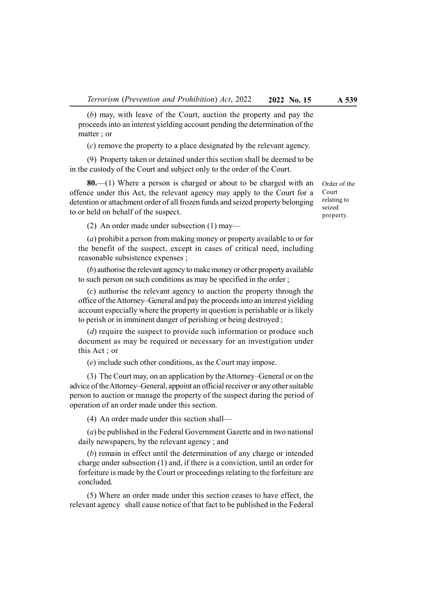(b) may, with leave of the Court, auction the property and pay the proceeds into an interest yielding account pending the determination of the matter ; or

(c) remove the property to a place designated by the relevant agency.

(9) Property taken or detained under this section shall be deemed to be in the custody of the Court and subject only to the order of the Court.

80.—(1) Where a person is charged or about to be charged with an offence under this Act, the relevant agency may apply to the Court for a detention or attachment order of all frozen funds and seized property belonging to or held on behalf of the suspect.

Court relating to seized property.

Order of the

(2) An order made under subsection (1) may—

(a) prohibit a person from making money or property available to or for the benefit of the suspect, except in cases of critical need, including reasonable subsistence expenses ;

(b) authorise the relevant agency to make money or other property available to such person on such conditions as may be specified in the order ;

(c) authorise the relevant agency to auction the property through the office of the Attorney–General and pay the proceeds into an interest yielding account especially where the property in question is perishable or is likely to perish or in imminent danger of perishing or being destroyed ;

(*d*) require the suspect to provide such information or produce such document as may be required or necessary for an investigation under this Act ; or

(e) include such other conditions, as the Court may impose.

(3) The Court may, on an application by the Attorney–General or on the advice of the Attorney–General, appoint an official receiver or any other suitable person to auction or manage the property of the suspect during the period of operation of an order made under this section.

(4) An order made under this section shall—

(a) be published in the Federal Government Gazette and in two national daily newspapers, by the relevant agency ; and

(b) remain in effect until the determination of any charge or intended charge under subsection (1) and, if there is a conviction, until an order for forfeiture is made by the Court or proceedings relating to the forfeiture are concluded.

(5) Where an order made under this section ceases to have effect, the relevant agency shall cause notice of that fact to be published in the Federal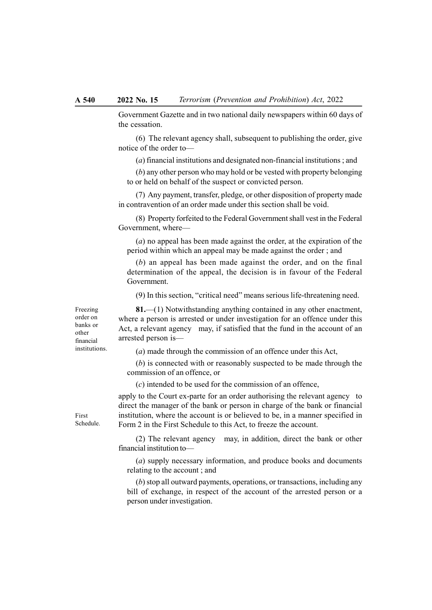Government Gazette and in two national daily newspapers within 60 days of the cessation.

(6) The relevant agency shall, subsequent to publishing the order, give notice of the order to—

(a) financial institutions and designated non-financial institutions ; and

(b) any other person who may hold or be vested with property belonging to or held on behalf of the suspect or convicted person.

(7) Any payment, transfer, pledge, or other disposition of property made in contravention of an order made under this section shall be void.

(8) Property forfeited to the Federal Government shall vest in the Federal Government, where—

(a) no appeal has been made against the order, at the expiration of the period within which an appeal may be made against the order ; and

(b) an appeal has been made against the order, and on the final determination of the appeal, the decision is in favour of the Federal Government.

(9) In this section, "critical need" means serious life-threatening need.

81.—(1) Notwithstanding anything contained in any other enactment, where a person is arrested or under investigation for an offence under this Act, a relevant agency may, if satisfied that the fund in the account of an arrested person is—

(a) made through the commission of an offence under this Act,

(b) is connected with or reasonably suspected to be made through the commission of an offence, or

(c) intended to be used for the commission of an offence,

apply to the Court ex-parte for an order authorising the relevant agency to direct the manager of the bank or person in charge of the bank or financial institution, where the account is or believed to be, in a manner specified in Form 2 in the First Schedule to this Act, to freeze the account.

(2) The relevant agency may, in addition, direct the bank or other financial institution to—

(a) supply necessary information, and produce books and documents relating to the account ; and

(b) stop all outward payments, operations, or transactions, including any bill of exchange, in respect of the account of the arrested person or a person under investigation.

financial institutions.

Freezing order on banks or other

First Schedule.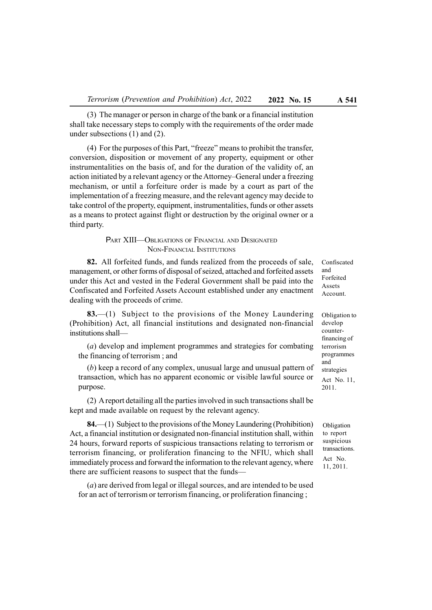(3) The manager or person in charge of the bank or a financial institution shall take necessary steps to comply with the requirements of the order made under subsections (1) and (2).

(4) For the purposes of this Part, "freeze" means to prohibit the transfer, conversion, disposition or movement of any property, equipment or other instrumentalities on the basis of, and for the duration of the validity of, an action initiated by a relevant agency or the Attorney–General under a freezing mechanism, or until a forfeiture order is made by a court as part of the implementation of a freezing measure, and the relevant agency may decide to take control of the property, equipment, instrumentalities, funds or other assets as a means to protect against flight or destruction by the original owner or a third party.

# PART XIII—OBLIGATIONS OF FINANCIAL AND DESIGNATED NON-FINANCIAL INSTITUTIONS

82. All forfeited funds, and funds realized from the proceeds of sale, management, or other forms of disposal of seized, attached and forfeited assets under this Act and vested in the Federal Government shall be paid into the Confiscated and Forfeited Assets Account established under any enactment dealing with the proceeds of crime.

83.—(1) Subject to the provisions of the Money Laundering (Prohibition) Act, all financial institutions and designated non-financial institutions shall—

(a) develop and implement programmes and strategies for combating the financing of terrorism ; and

(b) keep a record of any complex, unusual large and unusual pattern of transaction, which has no apparent economic or visible lawful source or purpose.

(2) A report detailing all the parties involved in such transactions shall be kept and made available on request by the relevant agency.

84.—(1) Subject to the provisions of the Money Laundering (Prohibition) Act, a financial institution or designated non-financial institution shall, within 24 hours, forward reports of suspicious transactions relating to terrorism or terrorism financing, or proliferation financing to the NFIU, which shall immediately process and forward the information to the relevant agency, where there are sufficient reasons to suspect that the funds—

(a) are derived from legal or illegal sources, and are intended to be used for an act of terrorism or terrorism financing, or proliferation financing ;

Confiscated and Forfeited Assets Account.

Obligation to develop counterfinancing of terrorism programmes and strategies Act No. 11, 2011.

**Obligation** to report suspicious transactions. Act No. 11, 2011.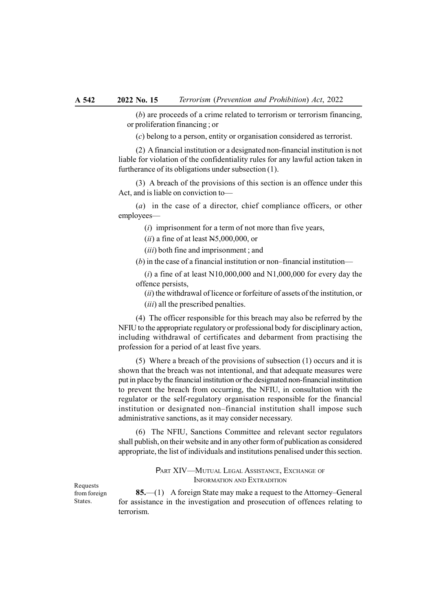(b) are proceeds of a crime related to terrorism or terrorism financing, or proliferation financing ; or

(c) belong to a person, entity or organisation considered as terrorist.

(2) A financial institution or a designated non-financial institution is not liable for violation of the confidentiality rules for any lawful action taken in furtherance of its obligations under subsection (1).

(3) A breach of the provisions of this section is an offence under this Act, and is liable on conviction to—

(a) in the case of a director, chief compliance officers, or other employees—

 $(i)$  imprisonment for a term of not more than five years,

 $(ii)$  a fine of at least N5,000,000, or

(*iii*) both fine and imprisonment ; and

(b) in the case of a financial institution or non–financial institution—

 $(i)$  a fine of at least N10,000,000 and N1,000,000 for every day the offence persists,

(ii) the withdrawal of licence or forfeiture of assets of the institution, or (*iii*) all the prescribed penalties.

(4) The officer responsible for this breach may also be referred by the NFIU to the appropriate regulatory or professional body for disciplinary action, including withdrawal of certificates and debarment from practising the profession for a period of at least five years.

(5) Where a breach of the provisions of subsection (1) occurs and it is shown that the breach was not intentional, and that adequate measures were put in place by the financial institution or the designated non-financial institution to prevent the breach from occurring, the NFIU, in consultation with the regulator or the self-regulatory organisation responsible for the financial institution or designated non–financial institution shall impose such administrative sanctions, as it may consider necessary.

(6) The NFIU, Sanctions Committee and relevant sector regulators shall publish, on their website and in any other form of publication as considered appropriate, the list of individuals and institutions penalised under this section.

> PART XIV—MUTUAL LEGAL ASSISTANCE, EXCHANGE OF INFORMATION AND EXTRADITION

Requests from foreign States.

85.—(1) A foreign State may make a request to the Attorney–General for assistance in the investigation and prosecution of offences relating to terrorism.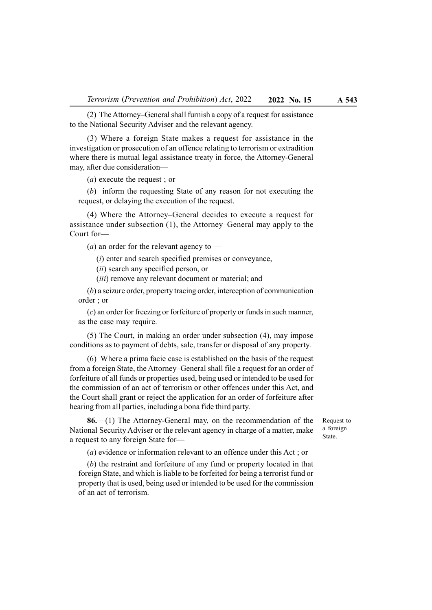(2) The Attorney–General shall furnish a copy of a request for assistance to the National Security Adviser and the relevant agency.

(3) Where a foreign State makes a request for assistance in the investigation or prosecution of an offence relating to terrorism or extradition where there is mutual legal assistance treaty in force, the Attorney-General may, after due consideration—

(a) execute the request ; or

(b) inform the requesting State of any reason for not executing the request, or delaying the execution of the request.

(4) Where the Attorney–General decides to execute a request for assistance under subsection (1), the Attorney–General may apply to the Court for—

 $(a)$  an order for the relevant agency to —

(i) enter and search specified premises or conveyance,

(ii) search any specified person, or

(*iii*) remove any relevant document or material; and

(b) a seizure order, property tracing order, interception of communication order ; or

(c) an order for freezing or forfeiture of property or funds in such manner, as the case may require.

(5) The Court, in making an order under subsection (4), may impose conditions as to payment of debts, sale, transfer or disposal of any property.

(6) Where a prima facie case is established on the basis of the request from a foreign State, the Attorney–General shall file a request for an order of forfeiture of all funds or properties used, being used or intended to be used for the commission of an act of terrorism or other offences under this Act, and the Court shall grant or reject the application for an order of forfeiture after hearing from all parties, including a bona fide third party.

86.—(1) The Attorney-General may, on the recommendation of the National Security Adviser or the relevant agency in charge of a matter, make a request to any foreign State for—

Request to a foreign State.

(a) evidence or information relevant to an offence under this Act ; or

(b) the restraint and forfeiture of any fund or property located in that foreign State, and which is liable to be forfeited for being a terrorist fund or property that is used, being used or intended to be used for the commission of an act of terrorism.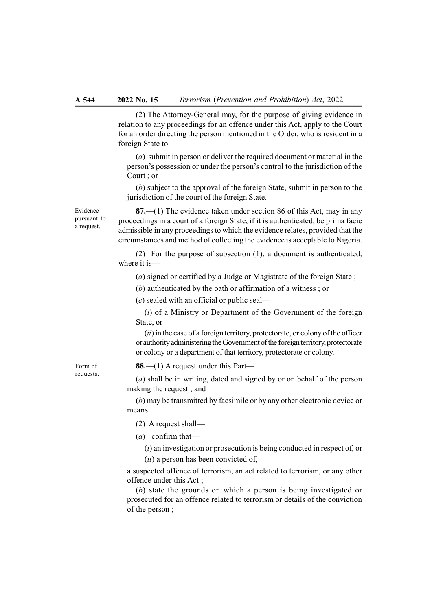(2) The Attorney-General may, for the purpose of giving evidence in relation to any proceedings for an offence under this Act, apply to the Court for an order directing the person mentioned in the Order, who is resident in a foreign State to—

(a) submit in person or deliver the required document or material in the person's possession or under the person's control to the jurisdiction of the Court ; or

(b) subject to the approval of the foreign State, submit in person to the jurisdiction of the court of the foreign State.

Evidence pursuant to a request.

87.—(1) The evidence taken under section 86 of this Act, may in any proceedings in a court of a foreign State, if it is authenticated, be prima facie admissible in any proceedings to which the evidence relates, provided that the circumstances and method of collecting the evidence is acceptable to Nigeria.

(2) For the purpose of subsection (1), a document is authenticated, where it is—

(a) signed or certified by a Judge or Magistrate of the foreign State ;

(b) authenticated by the oath or affirmation of a witness ; or

(c) sealed with an official or public seal—

 $(i)$  of a Ministry or Department of the Government of the foreign State, or

 $(ii)$  in the case of a foreign territory, protectorate, or colony of the officer or authority administering the Government of the foreign territory, protectorate or colony or a department of that territory, protectorate or colony.

Form of requests. 88.—(1) A request under this Part—

(a) shall be in writing, dated and signed by or on behalf of the person making the request ; and

(b) may be transmitted by facsimile or by any other electronic device or means.

(2) A request shall—

 $(a)$  confirm that—

 $(i)$  an investigation or prosecution is being conducted in respect of, or  $(ii)$  a person has been convicted of,

a suspected offence of terrorism, an act related to terrorism, or any other offence under this Act ;

(b) state the grounds on which a person is being investigated or prosecuted for an offence related to terrorism or details of the conviction of the person ;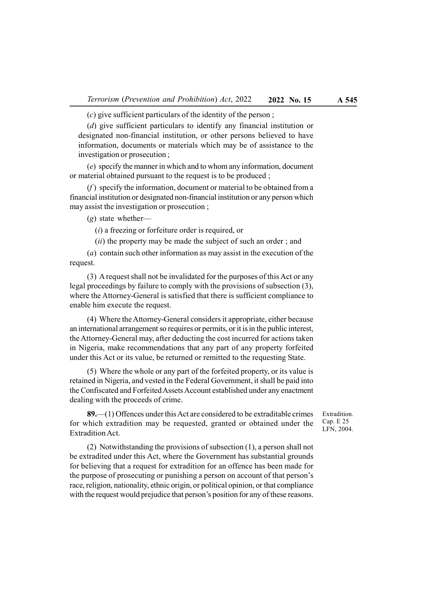(c) give sufficient particulars of the identity of the person ;

(d) give sufficient particulars to identify any financial institution or designated non-financial institution, or other persons believed to have information, documents or materials which may be of assistance to the investigation or prosecution ;

(e) specify the manner in which and to whom any information, document or material obtained pursuant to the request is to be produced ;

 $(f)$  specify the information, document or material to be obtained from a financial institution or designated non-financial institution or any person which may assist the investigation or prosecution ;

(g) state whether—

 $(i)$  a freezing or forfeiture order is required, or

 $(ii)$  the property may be made the subject of such an order; and

(a) contain such other information as may assist in the execution of the request.

(3) A request shall not be invalidated for the purposes of this Act or any legal proceedings by failure to comply with the provisions of subsection (3), where the Attorney-General is satisfied that there is sufficient compliance to enable him execute the request.

(4) Where the Attorney-General considers it appropriate, either because an international arrangement so requires or permits, or it is in the public interest, the Attorney-General may, after deducting the cost incurred for actions taken in Nigeria, make recommendations that any part of any property forfeited under this Act or its value, be returned or remitted to the requesting State.

(5) Where the whole or any part of the forfeited property, or its value is retained in Nigeria, and vested in the Federal Government, it shall be paid into the Confiscated and Forfeited Assets Account established under any enactment dealing with the proceeds of crime.

89.—(1) Offences under this Act are considered to be extraditable crimes for which extradition may be requested, granted or obtained under the Extradition Act.

Extradition. Cap. E 25 LFN, 2004.

(2) Notwithstanding the provisions of subsection (1), a person shall not be extradited under this Act, where the Government has substantial grounds for believing that a request for extradition for an offence has been made for the purpose of prosecuting or punishing a person on account of that person's race, religion, nationality, ethnic origin, or political opinion, or that compliance with the request would prejudice that person's position for any of these reasons.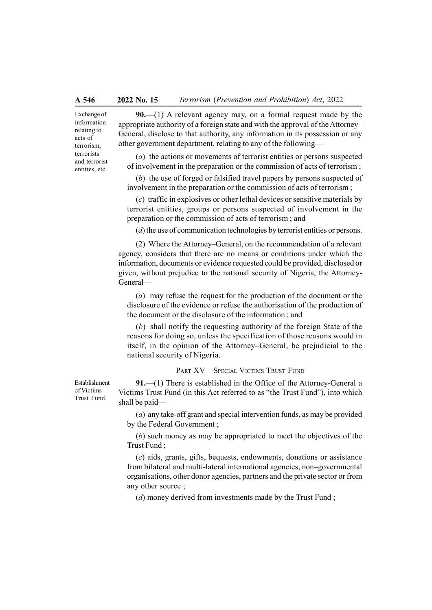Exchange of information relating to acts of terrorism, terrorists and terrorist entities, etc.

90.—(1) A relevant agency may, on a formal request made by the appropriate authority of a foreign state and with the approval of the Attorney– General, disclose to that authority, any information in its possession or any other government department, relating to any of the following—

(a) the actions or movements of terrorist entities or persons suspected of involvement in the preparation or the commission of acts of terrorism ;

(b) the use of forged or falsified travel papers by persons suspected of involvement in the preparation or the commission of acts of terrorism ;

(c) traffic in explosives or other lethal devices or sensitive materials by terrorist entities, groups or persons suspected of involvement in the preparation or the commission of acts of terrorism ; and

(*d*) the use of communication technologies by terrorist entities or persons.

(2) Where the Attorney–General, on the recommendation of a relevant agency, considers that there are no means or conditions under which the information, documents or evidence requested could be provided, disclosed or given, without prejudice to the national security of Nigeria, the Attorney-General—

(a) may refuse the request for the production of the document or the disclosure of the evidence or refuse the authorisation of the production of the document or the disclosure of the information ; and

(b) shall notify the requesting authority of the foreign State of the reasons for doing so, unless the specification of those reasons would in itself, in the opinion of the Attorney–General, be prejudicial to the national security of Nigeria.

PART XV—SPECIAL VICTIMS TRUST FUND

91.—(1) There is established in the Office of the Attorney-General a Victims Trust Fund (in this Act referred to as "the Trust Fund"), into which shall be paid—

(a) any take-off grant and special intervention funds, as may be provided by the Federal Government ;

(b) such money as may be appropriated to meet the objectives of the Trust Fund ;

(c) aids, grants, gifts, bequests, endowments, donations or assistance from bilateral and multi-lateral international agencies, non–governmental organisations, other donor agencies, partners and the private sector or from any other source ;

(d) money derived from investments made by the Trust Fund;

Establishment of Victims Trust Fund.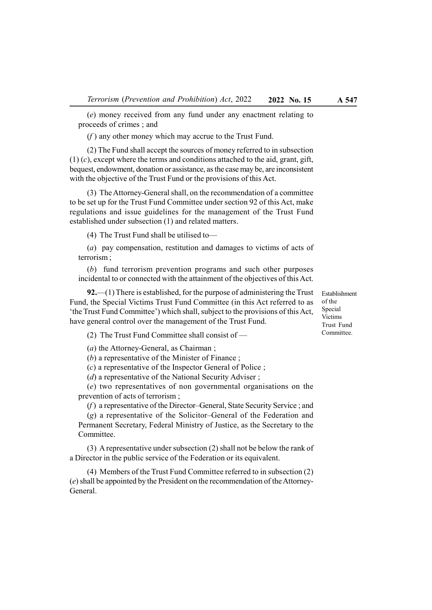(e) money received from any fund under any enactment relating to proceeds of crimes ; and

 $(f)$  any other money which may accrue to the Trust Fund.

(2) The Fund shall accept the sources of money referred to in subsection  $(1)$  (c), except where the terms and conditions attached to the aid, grant, gift, bequest, endowment, donation or assistance, as the case may be, are inconsistent with the objective of the Trust Fund or the provisions of this Act.

(3) The Attorney-General shall, on the recommendation of a committee to be set up for the Trust Fund Committee under section 92 of this Act, make regulations and issue guidelines for the management of the Trust Fund established under subsection (1) and related matters.

(4) The Trust Fund shall be utilised to—

(a) pay compensation, restitution and damages to victims of acts of terrorism ;

(b) fund terrorism prevention programs and such other purposes incidental to or connected with the attainment of the objectives of this Act.

92.—(1) There is established, for the purpose of administering the Trust Fund, the Special Victims Trust Fund Committee (in this Act referred to as 'the Trust Fund Committee') which shall, subject to the provisions of this Act, have general control over the management of the Trust Fund.

(2) The Trust Fund Committee shall consist of —

(a) the Attorney-General, as Chairman ;

(b) a representative of the Minister of Finance ;

(c) a representative of the Inspector General of Police ;

(d) a representative of the National Security Adviser;

(e) two representatives of non governmental organisations on the prevention of acts of terrorism ;

 $(f)$  a representative of the Director–General, State Security Service; and

(g) a representative of the Solicitor–General of the Federation and Permanent Secretary, Federal Ministry of Justice, as the Secretary to the Committee.

(3) A representative under subsection (2) shall not be below the rank of a Director in the public service of the Federation or its equivalent.

(4) Members of the Trust Fund Committee referred to in subsection (2) (e) shall be appointed by the President on the recommendation of the Attorney-General.

Establishment of the Special Victims Trust Fund Committee.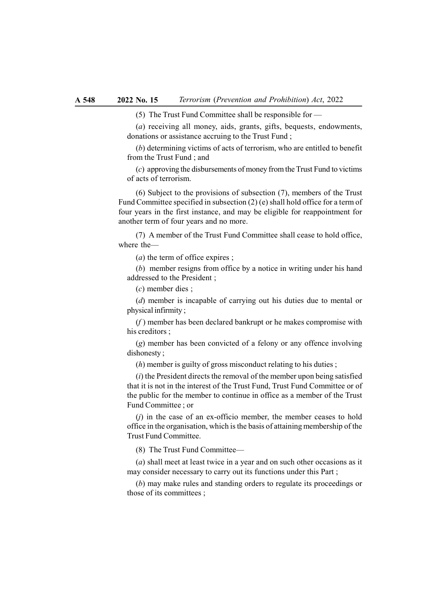(5) The Trust Fund Committee shall be responsible for —

(a) receiving all money, aids, grants, gifts, bequests, endowments, donations or assistance accruing to the Trust Fund ;

(b) determining victims of acts of terrorism, who are entitled to benefit from the Trust Fund ; and

(c) approving the disbursements of money from the Trust Fund to victims of acts of terrorism.

(6) Subject to the provisions of subsection (7), members of the Trust Fund Committee specified in subsection (2) (e) shall hold office for a term of four years in the first instance, and may be eligible for reappointment for another term of four years and no more.

(7) A member of the Trust Fund Committee shall cease to hold office, where the—

(a) the term of office expires ;

(b) member resigns from office by a notice in writing under his hand addressed to the President ;

(c) member dies ;

(d) member is incapable of carrying out his duties due to mental or physical infirmity ;

 $(f)$  member has been declared bankrupt or he makes compromise with his creditors ;

(g) member has been convicted of a felony or any offence involving dishonesty ;

(h) member is guilty of gross misconduct relating to his duties ;

 $(i)$  the President directs the removal of the member upon being satisfied that it is not in the interest of the Trust Fund, Trust Fund Committee or of the public for the member to continue in office as a member of the Trust Fund Committee ; or

 $(i)$  in the case of an ex-officio member, the member ceases to hold office in the organisation, which is the basis of attaining membership of the Trust Fund Committee.

(8) The Trust Fund Committee—

(a) shall meet at least twice in a year and on such other occasions as it may consider necessary to carry out its functions under this Part ;

(b) may make rules and standing orders to regulate its proceedings or those of its committees ;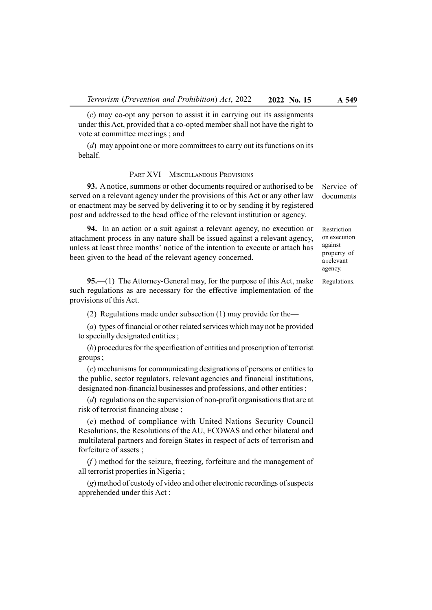(c) may co-opt any person to assist it in carrying out its assignments under this Act, provided that a co-opted member shall not have the right to vote at committee meetings ; and

(d) may appoint one or more committees to carry out its functions on its behalf.

## PART XVI—MISCELLANEOUS PROVISIONS

93. A notice, summons or other documents required or authorised to be served on a relevant agency under the provisions of this Act or any other law or enactment may be served by delivering it to or by sending it by registered post and addressed to the head office of the relevant institution or agency.

94. In an action or a suit against a relevant agency, no execution or attachment process in any nature shall be issued against a relevant agency, unless at least three months' notice of the intention to execute or attach has been given to the head of the relevant agency concerned.

95.—(1) The Attorney-General may, for the purpose of this Act, make such regulations as are necessary for the effective implementation of the provisions of this Act.

(2) Regulations made under subsection (1) may provide for the—

(a) types of financial or other related services which may not be provided to specially designated entities ;

(b) procedures for the specification of entities and proscription of terrorist groups ;

(c) mechanisms for communicating designations of persons or entities to the public, sector regulators, relevant agencies and financial institutions, designated non-financial businesses and professions, and other entities ;

(d) regulations on the supervision of non-profit organisations that are at risk of terrorist financing abuse ;

(e) method of compliance with United Nations Security Council Resolutions, the Resolutions of the AU, ECOWAS and other bilateral and multilateral partners and foreign States in respect of acts of terrorism and forfeiture of assets ;

 $(f)$  method for the seizure, freezing, forfeiture and the management of all terrorist properties in Nigeria ;

(g) method of custody of video and other electronic recordings of suspects apprehended under this Act ;

Service of documents

Restriction on execution against property of a relevant agency.

Regulations.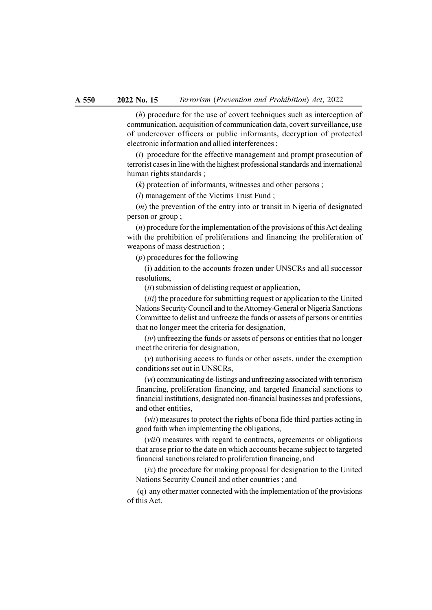(h) procedure for the use of covert techniques such as interception of communication, acquisition of communication data, covert surveillance, use of undercover officers or public informants, decryption of protected electronic information and allied interferences ;

(i) procedure for the effective management and prompt prosecution of terrorist cases in line with the highest professional standards and international human rights standards ;

 $(k)$  protection of informants, witnesses and other persons;

(l) management of the Victims Trust Fund ;

 $(m)$  the prevention of the entry into or transit in Nigeria of designated person or group ;

 $(n)$  procedure for the implementation of the provisions of this Act dealing with the prohibition of proliferations and financing the proliferation of weapons of mass destruction ;

 $(p)$  procedures for the following—

(i) addition to the accounts frozen under UNSCRs and all successor resolutions,

 $(ii)$  submission of delisting request or application,

(iii) the procedure for submitting request or application to the United Nations Security Council and to the Attorney-General or Nigeria Sanctions Committee to delist and unfreeze the funds or assets of persons or entities that no longer meet the criteria for designation,

 $(iv)$  unfreezing the funds or assets of persons or entities that no longer meet the criteria for designation,

(v) authorising access to funds or other assets, under the exemption conditions set out in UNSCRs,

(vi) communicating de-listings and unfreezing associated with terrorism financing, proliferation financing, and targeted financial sanctions to financial institutions, designated non-financial businesses and professions, and other entities,

(vii) measures to protect the rights of bona fide third parties acting in good faith when implementing the obligations,

(viii) measures with regard to contracts, agreements or obligations that arose prior to the date on which accounts became subject to targeted financial sanctions related to proliferation financing, and

 $(ix)$  the procedure for making proposal for designation to the United Nations Security Council and other countries ; and

 (q) any other matter connected with the implementation of the provisions of this Act.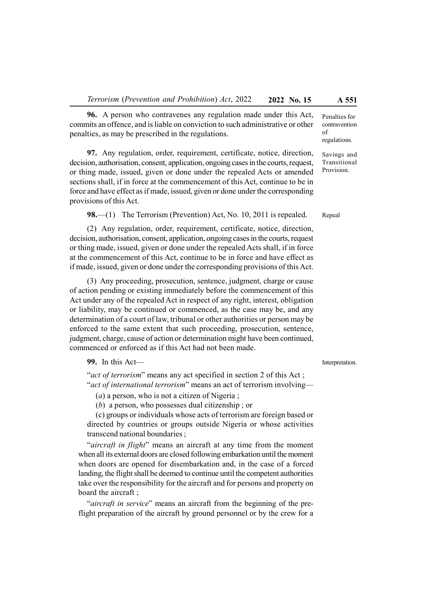96. A person who contravenes any regulation made under this Act, commits an offence, and is liable on conviction to such administrative or other penalties, as may be prescribed in the regulations.

97. Any regulation, order, requirement, certificate, notice, direction, decision, authorisation, consent, application, ongoing cases in the courts, request, or thing made, issued, given or done under the repealed Acts or amended sections shall, if in force at the commencement of this Act, continue to be in force and have effect as if made, issued, given or done under the corresponding provisions of this Act.

98.—(1) The Terrorism (Prevention) Act, No. 10, 2011 is repealed.

(2) Any regulation, order, requirement, certificate, notice, direction, decision, authorisation, consent, application, ongoing cases in the courts, request or thing made, issued, given or done under the repealed Acts shall, if in force at the commencement of this Act, continue to be in force and have effect as if made, issued, given or done under the corresponding provisions of this Act.

(3) Any proceeding, prosecution, sentence, judgment, charge or cause of action pending or existing immediately before the commencement of this Act under any of the repealed Act in respect of any right, interest, obligation or liability, may be continued or commenced, as the case may be, and any determination of a court of law, tribunal or other authorities or person may be enforced to the same extent that such proceeding, prosecution, sentence, judgment, charge, cause of action or determination might have been continued, commenced or enforced as if this Act had not been made.

#### 99. In this Act—

"act of terrorism" means any act specified in section 2 of this Act; "act of international terrorism" means an act of terrorism involving—

 $(a)$  a person, who is not a citizen of Nigeria;

(b) a person, who possesses dual citizenship ; or

(c) groups or individuals whose acts of terrorism are foreign based or directed by countries or groups outside Nigeria or whose activities transcend national boundaries ;

"*aircraft in flight*" means an aircraft at any time from the moment when all its external doors are closed following embarkation until the moment when doors are opened for disembarkation and, in the case of a forced landing, the flight shall be deemed to continue until the competent authorities take over the responsibility for the aircraft and for persons and property on board the aircraft ;

"aircraft in service" means an aircraft from the beginning of the preflight preparation of the aircraft by ground personnel or by the crew for a

Interpretation.

contravention of regulations.

Penalties for

Savings and Transitional Provision.

Repeal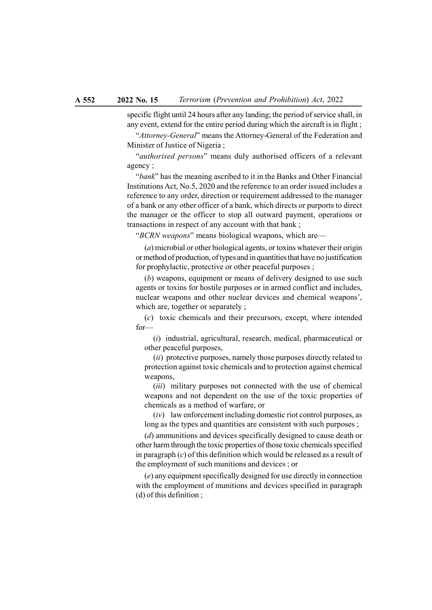specific flight until 24 hours after any landing; the period of service shall, in any event, extend for the entire period during which the aircraft is in flight ;

"Attorney-General" means the Attorney-General of the Federation and Minister of Justice of Nigeria ;

"authorised persons" means duly authorised officers of a relevant agency ;

"bank" has the meaning ascribed to it in the Banks and Other Financial Institutions Act, No.5, 2020 and the reference to an order issued includes a reference to any order, direction or requirement addressed to the manager of a bank or any other officer of a bank, which directs or purports to direct the manager or the officer to stop all outward payment, operations or transactions in respect of any account with that bank ;

"BCRN weapons" means biological weapons, which are—

(a) microbial or other biological agents, or toxins whatever their origin or method of production, of types and in quantities that have no justification for prophylactic, protective or other peaceful purposes ;

(b) weapons, equipment or means of delivery designed to use such agents or toxins for hostile purposes or in armed conflict and includes, nuclear weapons and other nuclear devices and chemical weapons', which are, together or separately ;

(c) toxic chemicals and their precursors, except, where intended for—

(i) industrial, agricultural, research, medical, pharmaceutical or other peaceful purposes,

(ii) protective purposes, namely those purposes directly related to protection against toxic chemicals and to protection against chemical weapons,

(*iii*) military purposes not connected with the use of chemical weapons and not dependent on the use of the toxic properties of chemicals as a method of warfare, or

 $(iv)$  law enforcement including domestic riot control purposes, as long as the types and quantities are consistent with such purposes;

(d) ammunitions and devices specifically designed to cause death or other harm through the toxic properties of those toxic chemicals specified in paragraph  $(c)$  of this definition which would be released as a result of the employment of such munitions and devices ; or

(e) any equipment specifically designed for use directly in connection with the employment of munitions and devices specified in paragraph (d) of this definition ;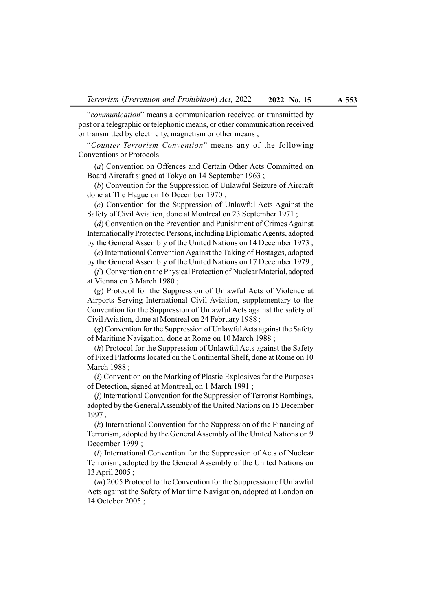"communication" means a communication received or transmitted by post or a telegraphic or telephonic means, or other communication received or transmitted by electricity, magnetism or other means ;

"Counter-Terrorism Convention" means any of the following Conventions or Protocols—

(a) Convention on Offences and Certain Other Acts Committed on Board Aircraft signed at Tokyo on 14 September 1963 ;

(b) Convention for the Suppression of Unlawful Seizure of Aircraft done at The Hague on 16 December 1970 ;

(c) Convention for the Suppression of Unlawful Acts Against the Safety of Civil Aviation, done at Montreal on 23 September 1971 ;

(d) Convention on the Prevention and Punishment of Crimes Against Internationally Protected Persons, including Diplomatic Agents, adopted by the General Assembly of the United Nations on 14 December 1973 ;

(e) International Convention Against the Taking of Hostages, adopted by the General Assembly of the United Nations on 17 December 1979 ;

 $(f)$  Convention on the Physical Protection of Nuclear Material, adopted at Vienna on 3 March 1980 ;

(g) Protocol for the Suppression of Unlawful Acts of Violence at Airports Serving International Civil Aviation, supplementary to the Convention for the Suppression of Unlawful Acts against the safety of Civil Aviation, done at Montreal on 24 February 1988 ;

(g) Convention for the Suppression of Unlawful Acts against the Safety of Maritime Navigation, done at Rome on 10 March 1988 ;

(h) Protocol for the Suppression of Unlawful Acts against the Safety of Fixed Platforms located on the Continental Shelf, done at Rome on 10 March 1988 ;

 $(i)$  Convention on the Marking of Plastic Explosives for the Purposes of Detection, signed at Montreal, on 1 March 1991 ;

(j) International Convention for the Suppression of Terrorist Bombings, adopted by the General Assembly of the United Nations on 15 December 1997 ;

(k) International Convention for the Suppression of the Financing of Terrorism, adopted by the General Assembly of the United Nations on 9 December 1999 ;

(l) International Convention for the Suppression of Acts of Nuclear Terrorism, adopted by the General Assembly of the United Nations on 13 April 2005 ;

(m) 2005 Protocol to the Convention for the Suppression of Unlawful Acts against the Safety of Maritime Navigation, adopted at London on 14 October 2005 ;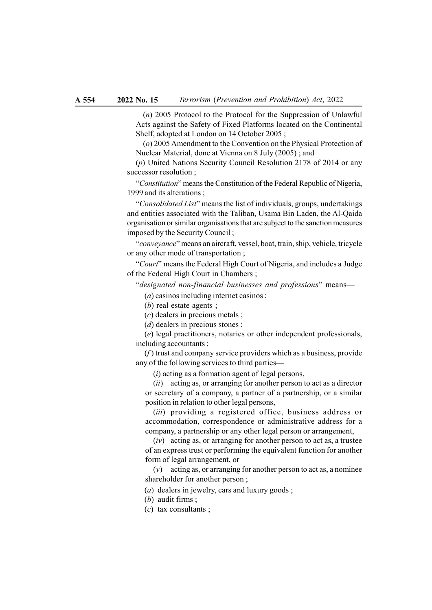(n) 2005 Protocol to the Protocol for the Suppression of Unlawful Acts against the Safety of Fixed Platforms located on the Continental Shelf, adopted at London on 14 October 2005 ;

(o) 2005 Amendment to the Convention on the Physical Protection of Nuclear Material, done at Vienna on 8 July (2005) ; and

(p) United Nations Security Council Resolution 2178 of 2014 or any successor resolution ;

"Constitution" means the Constitution of the Federal Republic of Nigeria, 1999 and its alterations ;

"Consolidated List" means the list of individuals, groups, undertakings and entities associated with the Taliban, Usama Bin Laden, the Al-Qaida organisation or similar organisations that are subject to the sanction measures imposed by the Security Council ;

"conveyance" means an aircraft, vessel, boat, train, ship, vehicle, tricycle or any other mode of transportation ;

"Court" means the Federal High Court of Nigeria, and includes a Judge of the Federal High Court in Chambers ;

"designated non-financial businesses and professions" means—

(a) casinos including internet casinos ;

(b) real estate agents ;

(c) dealers in precious metals ;

(*d*) dealers in precious stones ;

(e) legal practitioners, notaries or other independent professionals, including accountants ;

 $(f)$  trust and company service providers which as a business, provide any of the following services to third parties—

 $(i)$  acting as a formation agent of legal persons,

(ii) acting as, or arranging for another person to act as a director or secretary of a company, a partner of a partnership, or a similar position in relation to other legal persons,

(*iii*) providing a registered office, business address or accommodation, correspondence or administrative address for a company, a partnership or any other legal person or arrangement,

 $(iv)$  acting as, or arranging for another person to act as, a trustee of an express trust or performing the equivalent function for another form of legal arrangement, or

 $(v)$  acting as, or arranging for another person to act as, a nominee shareholder for another person ;

(a) dealers in jewelry, cars and luxury goods ;

(b) audit firms :

(c) tax consultants ;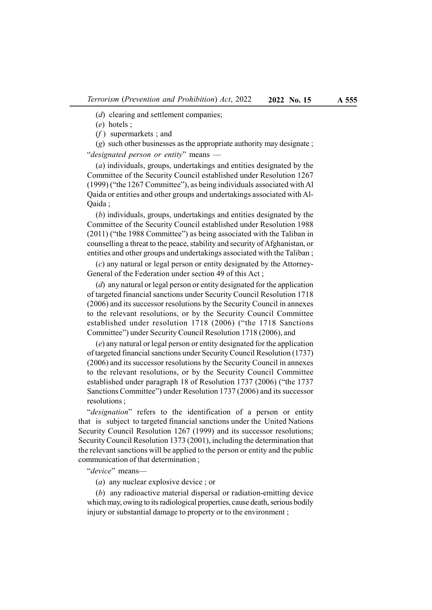(*d*) clearing and settlement companies;

(e) hotels ;

 $(f)$  supermarkets ; and

(g) such other businesses as the appropriate authority may designate ; "designated person or entity" means -

(a) individuals, groups, undertakings and entities designated by the Committee of the Security Council established under Resolution 1267 (1999) ("the 1267 Committee"), as being individuals associated with Al Qaida or entities and other groups and undertakings associated with Al-Qaida ;

(b) individuals, groups, undertakings and entities designated by the Committee of the Security Council established under Resolution 1988 (2011) ("the 1988 Committee") as being associated with the Taliban in counselling a threat to the peace, stability and security of Afghanistan, or entities and other groups and undertakings associated with the Taliban ;

(c) any natural or legal person or entity designated by the Attorney-General of the Federation under section 49 of this Act ;

(d) any natural or legal person or entity designated for the application of targeted financial sanctions under Security Council Resolution 1718 (2006) and its successor resolutions by the Security Council in annexes to the relevant resolutions, or by the Security Council Committee established under resolution 1718 (2006) ("the 1718 Sanctions Committee") under Security Council Resolution 1718 (2006), and

(e) any natural or legal person or entity designated for the application of targeted financial sanctions under Security Council Resolution (1737) (2006) and its successor resolutions by the Security Council in annexes to the relevant resolutions, or by the Security Council Committee established under paragraph 18 of Resolution 1737 (2006) ("the 1737 Sanctions Committee") under Resolution 1737 (2006) and its successor resolutions ;

"designation" refers to the identification of a person or entity that is subject to targeted financial sanctions under the United Nations Security Council Resolution 1267 (1999) and its successor resolutions; Security Council Resolution 1373 (2001), including the determination that the relevant sanctions will be applied to the person or entity and the public communication of that determination ;

"device" means—

(a) any nuclear explosive device ; or

(b) any radioactive material dispersal or radiation-emitting device which may, owing to its radiological properties, cause death, serious bodily injury or substantial damage to property or to the environment: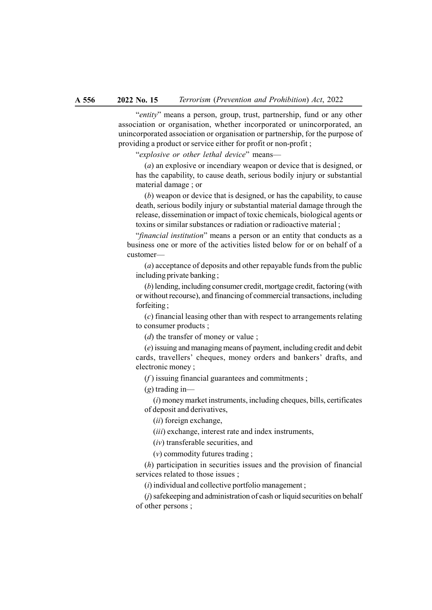"entity" means a person, group, trust, partnership, fund or any other association or organisation, whether incorporated or unincorporated, an unincorporated association or organisation or partnership, for the purpose of providing a product or service either for profit or non-profit ;

"explosive or other lethal device" means-

(a) an explosive or incendiary weapon or device that is designed, or has the capability, to cause death, serious bodily injury or substantial material damage ; or

(b) weapon or device that is designed, or has the capability, to cause death, serious bodily injury or substantial material damage through the release, dissemination or impact of toxic chemicals, biological agents or toxins or similar substances or radiation or radioactive material ;

"financial institution" means a person or an entity that conducts as a business one or more of the activities listed below for or on behalf of a customer—

(a) acceptance of deposits and other repayable funds from the public including private banking ;

(b) lending, including consumer credit, mortgage credit, factoring (with or without recourse), and financing of commercial transactions, including forfeiting ;

(c) financial leasing other than with respect to arrangements relating to consumer products ;

(*d*) the transfer of money or value ;

(e) issuing and managing means of payment, including credit and debit cards, travellers' cheques, money orders and bankers' drafts, and electronic money ;

 $(f)$  issuing financial guarantees and commitments ;

 $(g)$  trading in-

 $(i)$  money market instruments, including cheques, bills, certificates of deposit and derivatives,

(ii) foreign exchange,

(iii) exchange, interest rate and index instruments,

(iv) transferable securities, and

(v) commodity futures trading ;

(h) participation in securities issues and the provision of financial services related to those issues ;

 $(i)$  individual and collective portfolio management;

 $(i)$  safekeeping and administration of cash or liquid securities on behalf of other persons ;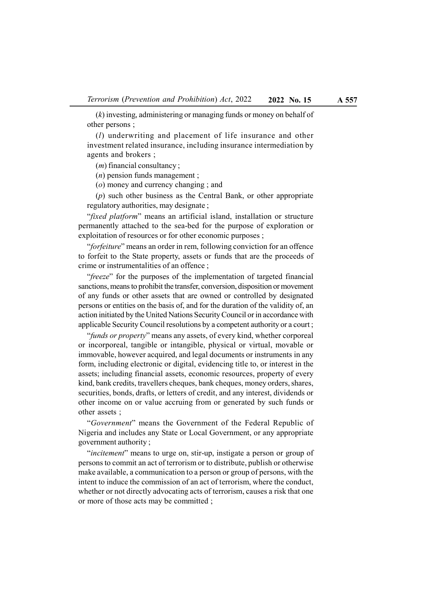(k) investing, administering or managing funds or money on behalf of other persons ;

(l) underwriting and placement of life insurance and other investment related insurance, including insurance intermediation by agents and brokers ;

 $(m)$  financial consultancy;

(n) pension funds management ;

(o) money and currency changing ; and

(p) such other business as the Central Bank, or other appropriate regulatory authorities, may designate ;

"fixed platform" means an artificial island, installation or structure permanently attached to the sea-bed for the purpose of exploration or exploitation of resources or for other economic purposes ;

"forfeiture" means an order in rem, following conviction for an offence to forfeit to the State property, assets or funds that are the proceeds of crime or instrumentalities of an offence ;

"freeze" for the purposes of the implementation of targeted financial sanctions, means to prohibit the transfer, conversion, disposition or movement of any funds or other assets that are owned or controlled by designated persons or entities on the basis of, and for the duration of the validity of, an action initiated by the United Nations Security Council or in accordance with applicable Security Council resolutions by a competent authority or a court ;

"funds or property" means any assets, of every kind, whether corporeal or incorporeal, tangible or intangible, physical or virtual, movable or immovable, however acquired, and legal documents or instruments in any form, including electronic or digital, evidencing title to, or interest in the assets; including financial assets, economic resources, property of every kind, bank credits, travellers cheques, bank cheques, money orders, shares, securities, bonds, drafts, or letters of credit, and any interest, dividends or other income on or value accruing from or generated by such funds or other assets ;

"Government" means the Government of the Federal Republic of Nigeria and includes any State or Local Government, or any appropriate government authority ;

"*incitement*" means to urge on, stir-up, instigate a person or group of persons to commit an act of terrorism or to distribute, publish or otherwise make available, a communication to a person or group of persons, with the intent to induce the commission of an act of terrorism, where the conduct, whether or not directly advocating acts of terrorism, causes a risk that one or more of those acts may be committed ;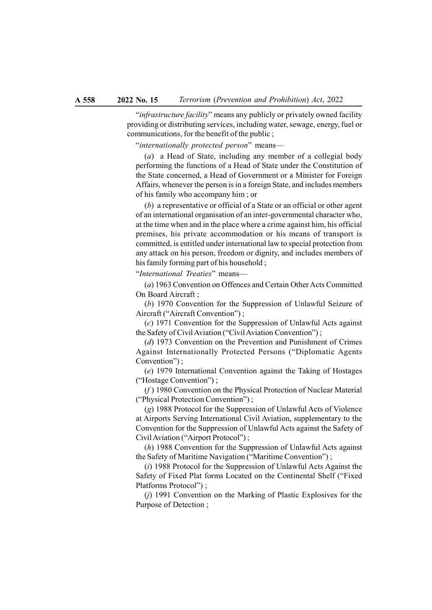"infrastructure facility" means any publicly or privately owned facility providing or distributing services, including water, sewage, energy, fuel or communications, for the benefit of the public ;

"internationally protected person" means—

(a) a Head of State, including any member of a collegial body performing the functions of a Head of State under the Constitution of the State concerned, a Head of Government or a Minister for Foreign Affairs, whenever the person is in a foreign State, and includes members of his family who accompany him ; or

(b) a representative or official of a State or an official or other agent of an international organisation of an inter-governmental character who, at the time when and in the place where a crime against him, his official premises, his private accommodation or his means of transport is committed, is entitled under international law to special protection from any attack on his person, freedom or dignity, and includes members of his family forming part of his household ;

"International Treaties" means—

(a) 1963 Convention on Offences and Certain Other Acts Committed On Board Aircraft ;

(b) 1970 Convention for the Suppression of Unlawful Seizure of Aircraft ("Aircraft Convention") ;

(c) 1971 Convention for the Suppression of Unlawful Acts against the Safety of Civil Aviation ("Civil Aviation Convention") ;

(d) 1973 Convention on the Prevention and Punishment of Crimes Against Internationally Protected Persons ("Diplomatic Agents Convention") ;

(e) 1979 International Convention against the Taking of Hostages ("Hostage Convention") ;

 $(f)$  1980 Convention on the Physical Protection of Nuclear Material ("Physical Protection Convention") ;

(g) 1988 Protocol for the Suppression of Unlawful Acts of Violence at Airports Serving International Civil Aviation, supplementary to the Convention for the Suppression of Unlawful Acts against the Safety of Civil Aviation ("Airport Protocol") ;

(h) 1988 Convention for the Suppression of Unlawful Acts against the Safety of Maritime Navigation ("Maritime Convention") ;

 $(i)$  1988 Protocol for the Suppression of Unlawful Acts Against the Safety of Fixed Plat forms Located on the Continental Shelf ("Fixed Platforms Protocol") ;

(j) 1991 Convention on the Marking of Plastic Explosives for the Purpose of Detection ;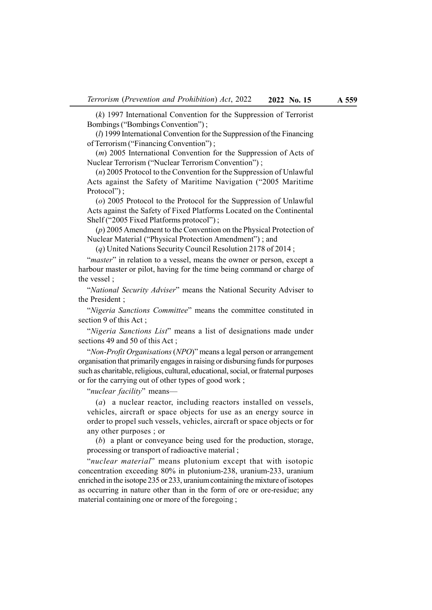(k) 1997 International Convention for the Suppression of Terrorist Bombings ("Bombings Convention") ;

 $(l)$  1999 International Convention for the Suppression of the Financing of Terrorism ("Financing Convention") ;

(m) 2005 International Convention for the Suppression of Acts of Nuclear Terrorism ("Nuclear Terrorism Convention") ;

(n) 2005 Protocol to the Convention for the Suppression of Unlawful Acts against the Safety of Maritime Navigation ("2005 Maritime Protocol":

(o) 2005 Protocol to the Protocol for the Suppression of Unlawful Acts against the Safety of Fixed Platforms Located on the Continental Shelf ("2005 Fixed Platforms protocol") ;

(p) 2005 Amendment to the Convention on the Physical Protection of Nuclear Material ("Physical Protection Amendment") ; and

(q) United Nations Security Council Resolution 2178 of 2014 ;

"*master*" in relation to a vessel, means the owner or person, except a harbour master or pilot, having for the time being command or charge of the vessel ;

"National Security Adviser" means the National Security Adviser to the President ;

"Nigeria Sanctions Committee" means the committee constituted in section 9 of this Act ;

"Nigeria Sanctions List" means a list of designations made under sections 49 and 50 of this Act ;

"Non-Profit Organisations (NPO)" means a legal person or arrangement organisation that primarily engages in raising or disbursing funds for purposes such as charitable, religious, cultural, educational, social, or fraternal purposes or for the carrying out of other types of good work ;

"nuclear facility" means—

(a) a nuclear reactor, including reactors installed on vessels, vehicles, aircraft or space objects for use as an energy source in order to propel such vessels, vehicles, aircraft or space objects or for any other purposes ; or

(b) a plant or conveyance being used for the production, storage, processing or transport of radioactive material ;

"nuclear material" means plutonium except that with isotopic concentration exceeding 80% in plutonium-238, uranium-233, uranium enriched in the isotope 235 or 233, uranium containing the mixture of isotopes as occurring in nature other than in the form of ore or ore-residue; any material containing one or more of the foregoing ;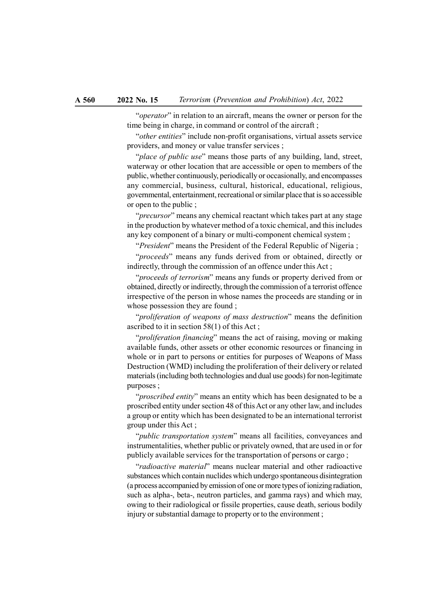"*operator*" in relation to an aircraft, means the owner or person for the time being in charge, in command or control of the aircraft ;

"other entities" include non-profit organisations, virtual assets service providers, and money or value transfer services ;

"place of public use" means those parts of any building, land, street, waterway or other location that are accessible or open to members of the public, whether continuously, periodically or occasionally, and encompasses any commercial, business, cultural, historical, educational, religious, governmental, entertainment, recreational or similar place that is so accessible or open to the public ;

"*precursor*" means any chemical reactant which takes part at any stage in the production by whatever method of a toxic chemical, and this includes any key component of a binary or multi-component chemical system ;

"*President*" means the President of the Federal Republic of Nigeria ;

"*proceeds*" means any funds derived from or obtained, directly or indirectly, through the commission of an offence under this Act ;

"*proceeds of terrorism*" means any funds or property derived from or obtained, directly or indirectly, through the commission of a terrorist offence irrespective of the person in whose names the proceeds are standing or in whose possession they are found ;

"proliferation of weapons of mass destruction" means the definition ascribed to it in section 58(1) of this Act ;

"*proliferation financing*" means the act of raising, moving or making available funds, other assets or other economic resources or financing in whole or in part to persons or entities for purposes of Weapons of Mass Destruction (WMD) including the proliferation of their delivery or related materials (including both technologies and dual use goods) for non-legitimate purposes ;

"*proscribed entity*" means an entity which has been designated to be a proscribed entity under section 48 of this Act or any other law, and includes a group or entity which has been designated to be an international terrorist group under this Act ;

"*public transportation system*" means all facilities, conveyances and instrumentalities, whether public or privately owned, that are used in or for publicly available services for the transportation of persons or cargo ;

"radioactive material" means nuclear material and other radioactive substances which contain nuclides which undergo spontaneous disintegration (a process accompanied by emission of one or more types of ionizing radiation, such as alpha-, beta-, neutron particles, and gamma rays) and which may, owing to their radiological or fissile properties, cause death, serious bodily injury or substantial damage to property or to the environment ;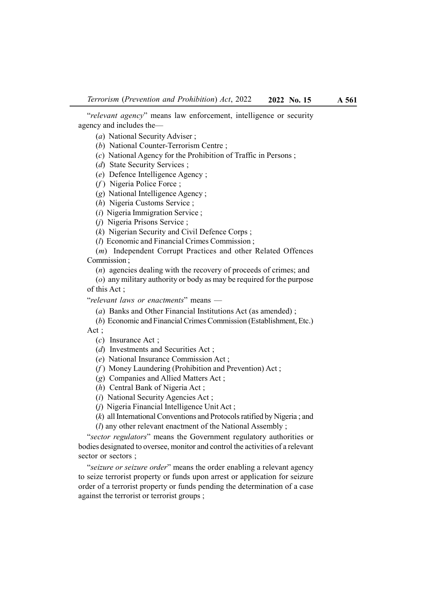"relevant agency" means law enforcement, intelligence or security agency and includes the—

(a) National Security Adviser ;

(b) National Counter-Terrorism Centre ;

(c) National Agency for the Prohibition of Traffic in Persons ;

(d) State Security Services ;

(e) Defence Intelligence Agency ;

 $(f)$  Nigeria Police Force;

(g) National Intelligence Agency ;

(h) Nigeria Customs Service ;

(i) Nigeria Immigration Service ;

(j) Nigeria Prisons Service ;

(k) Nigerian Security and Civil Defence Corps ;

(l) Economic and Financial Crimes Commission ;

(m) Independent Corrupt Practices and other Related Offences Commission ;

(n) agencies dealing with the recovery of proceeds of crimes; and

(o) any military authority or body as may be required for the purpose of this Act ;

"relevant laws or enactments" means —

(a) Banks and Other Financial Institutions Act (as amended) ;

(b) Economic and Financial Crimes Commission (Establishment, Etc.)

Act ;

(c) Insurance Act ;

(d) Investments and Securities Act;

(e) National Insurance Commission Act ;

( $f$ ) Money Laundering (Prohibition and Prevention) Act;

(g) Companies and Allied Matters Act ;

(h) Central Bank of Nigeria Act ;

(i) National Security Agencies Act ;

(j) Nigeria Financial Intelligence Unit Act ;

(k) all International Conventions and Protocols ratified by Nigeria ; and

(l) any other relevant enactment of the National Assembly ;

"sector regulators" means the Government regulatory authorities or bodies designated to oversee, monitor and control the activities of a relevant sector or sectors ;

"seizure or seizure order" means the order enabling a relevant agency to seize terrorist property or funds upon arrest or application for seizure order of a terrorist property or funds pending the determination of a case against the terrorist or terrorist groups ;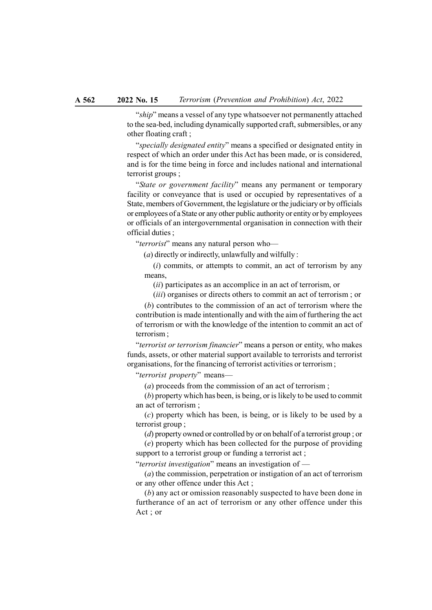"ship" means a vessel of any type whatsoever not permanently attached to the sea-bed, including dynamically supported craft, submersibles, or any other floating craft ;

"specially designated entity" means a specified or designated entity in respect of which an order under this Act has been made, or is considered, and is for the time being in force and includes national and international terrorist groups ;

"State or government facility" means any permanent or temporary facility or conveyance that is used or occupied by representatives of a State, members of Government, the legislature or the judiciary or by officials or employees of a State or any other public authority or entity or by employees or officials of an intergovernmental organisation in connection with their official duties ;

"terrorist" means any natural person who—

 $(a)$  directly or indirectly, unlawfully and wilfully :

 $(i)$  commits, or attempts to commit, an act of terrorism by any means,

(ii) participates as an accomplice in an act of terrorism, or

(iii) organises or directs others to commit an act of terrorism ; or

(b) contributes to the commission of an act of terrorism where the contribution is made intentionally and with the aim of furthering the act of terrorism or with the knowledge of the intention to commit an act of terrorism ;

"terrorist or terrorism financier" means a person or entity, who makes funds, assets, or other material support available to terrorists and terrorist organisations, for the financing of terrorist activities or terrorism ;

"terrorist property" means—

(a) proceeds from the commission of an act of terrorism ;

(b) property which has been, is being, or is likely to be used to commit an act of terrorism ;

(c) property which has been, is being, or is likely to be used by a terrorist group ;

(d) property owned or controlled by or on behalf of a terrorist group ; or (e) property which has been collected for the purpose of providing

support to a terrorist group or funding a terrorist act ;

"terrorist investigation" means an investigation of —

 $(a)$  the commission, perpetration or instigation of an act of terrorism or any other offence under this Act ;

(b) any act or omission reasonably suspected to have been done in furtherance of an act of terrorism or any other offence under this Act ; or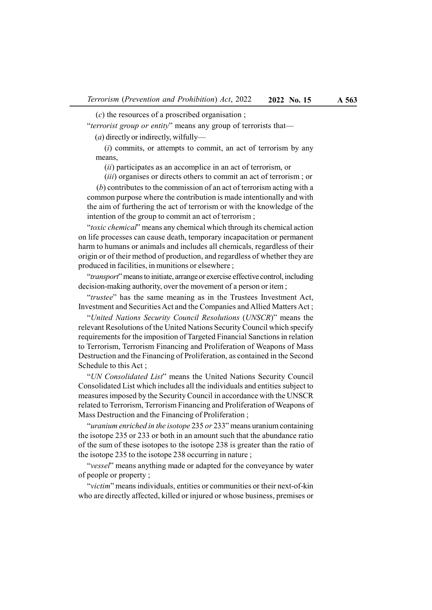$(c)$  the resources of a proscribed organisation;

"terrorist group or entity" means any group of terrorists that— (a) directly or indirectly, wilfully—

 $(i)$  commits, or attempts to commit, an act of terrorism by any means,

(ii) participates as an accomplice in an act of terrorism, or

(*iii*) organises or directs others to commit an act of terrorism; or (b) contributes to the commission of an act of terrorism acting with a common purpose where the contribution is made intentionally and with the aim of furthering the act of terrorism or with the knowledge of the intention of the group to commit an act of terrorism ;

"toxic chemical" means any chemical which through its chemical action on life processes can cause death, temporary incapacitation or permanent harm to humans or animals and includes all chemicals, regardless of their origin or of their method of production, and regardless of whether they are produced in facilities, in munitions or elsewhere ;

"*transport*" means to initiate, arrange or exercise effective control, including decision-making authority, over the movement of a person or item ;

"trustee" has the same meaning as in the Trustees Investment Act, Investment and Securities Act and the Companies and Allied Matters Act ;

"United Nations Security Council Resolutions (UNSCR)" means the relevant Resolutions of the United Nations Security Council which specify requirements for the imposition of Targeted Financial Sanctions in relation to Terrorism, Terrorism Financing and Proliferation of Weapons of Mass Destruction and the Financing of Proliferation, as contained in the Second Schedule to this Act ;

"UN Consolidated List" means the United Nations Security Council Consolidated List which includes all the individuals and entities subject to measures imposed by the Security Council in accordance with the UNSCR related to Terrorism, Terrorism Financing and Proliferation of Weapons of Mass Destruction and the Financing of Proliferation ;

"uranium enriched in the isotope 235 or 233" means uranium containing the isotope 235 or 233 or both in an amount such that the abundance ratio of the sum of these isotopes to the isotope 238 is greater than the ratio of the isotope 235 to the isotope 238 occurring in nature ;

"vessel" means anything made or adapted for the conveyance by water of people or property ;

"victim" means individuals, entities or communities or their next-of-kin who are directly affected, killed or injured or whose business, premises or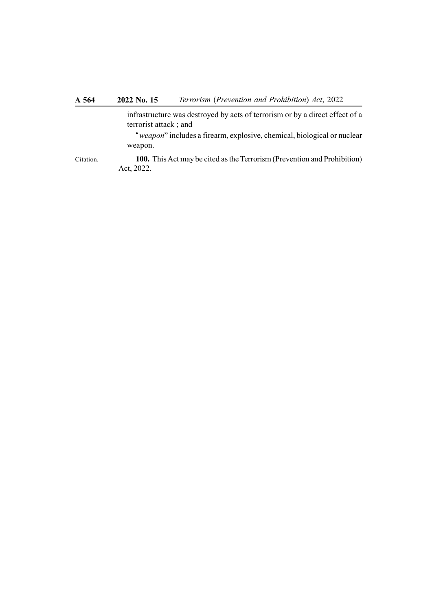infrastructure was destroyed by acts of terrorism or by a direct effect of a terrorist attack ; and

"weapon" includes a firearm, explosive, chemical, biological or nuclear weapon.

100. This Act may be cited as the Terrorism (Prevention and Prohibition) Act, 2022. Citation.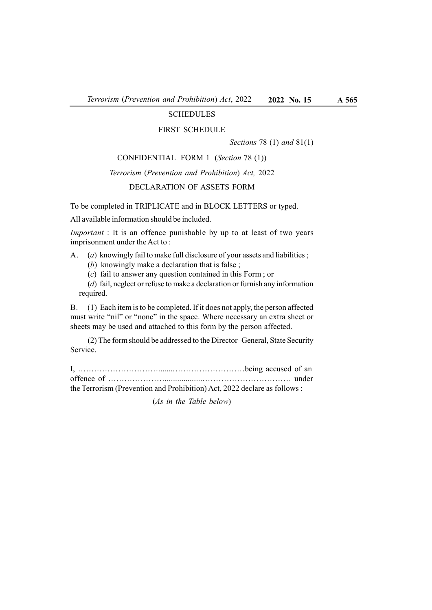# SCHEDULES

#### FIRST SCHEDULE

Sections 78 (1) and 81(1)

#### CONFIDENTIAL FORM 1 (Section 78 (1))

#### Terrorism (Prevention and Prohibition) Act, 2022

# DECLARATION OF ASSETS FORM

To be completed in TRIPLICATE and in BLOCK LETTERS or typed.

All available information should be included.

Important : It is an offence punishable by up to at least of two years imprisonment under the Act to :

- A. (a) knowingly fail to make full disclosure of your assets and liabilities ;
	- (b) knowingly make a declaration that is false ;
	- (c) fail to answer any question contained in this Form ; or

(d) fail, neglect or refuse to make a declaration or furnish any information required.

B. (1) Each item is to be completed. If it does not apply, the person affected must write "nil" or "none" in the space. Where necessary an extra sheet or sheets may be used and attached to this form by the person affected.

(2) The form should be addressed to the Director–General, State Security Service.

I, ………………………….......………………………being accused of an offence of …………………..................…………………………… under the Terrorism (Prevention and Prohibition) Act, 2022 declare as follows :

(As in the Table below)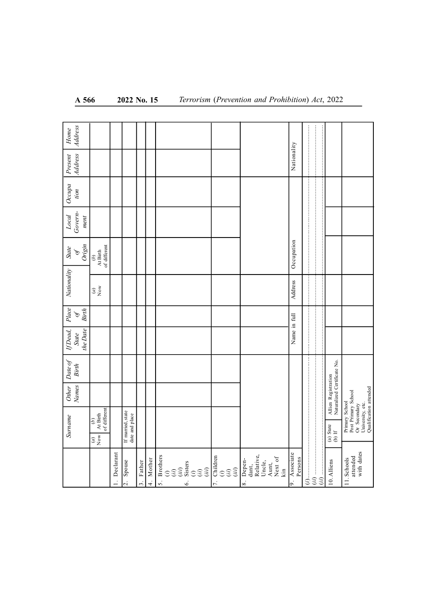| A 566                                                          |                                                                                                      |              | 2022 No. 15                         |                          |                         |                                         |           | Terrorism (Prevention and Prohibition) Act, 2022                                            |                                        |                                                                                                                     |                      |                                                    |                                                                                                     |
|----------------------------------------------------------------|------------------------------------------------------------------------------------------------------|--------------|-------------------------------------|--------------------------|-------------------------|-----------------------------------------|-----------|---------------------------------------------------------------------------------------------|----------------------------------------|---------------------------------------------------------------------------------------------------------------------|----------------------|----------------------------------------------------|-----------------------------------------------------------------------------------------------------|
| Address<br>$Home$<br><b>Address</b><br>Present                 |                                                                                                      |              |                                     |                          |                         |                                         |           |                                                                                             | Nationality                            |                                                                                                                     |                      |                                                    |                                                                                                     |
| $Occupa$ tion                                                  |                                                                                                      |              |                                     |                          |                         |                                         |           |                                                                                             |                                        |                                                                                                                     |                      |                                                    |                                                                                                     |
| $\begin{array}{c} Local\\ Government \end{array}$<br>ment      |                                                                                                      |              |                                     |                          |                         |                                         |           |                                                                                             |                                        |                                                                                                                     |                      |                                                    |                                                                                                     |
| $\frac{\partial f}{\partial n}$<br><b>State</b><br>Nationality | $\begin{array}{c} (b)\\ {\mathop{\mathrm{At\,Birth}}}\qquad\\ \textrm{of\,differential} \end{array}$ |              |                                     |                          |                         |                                         |           |                                                                                             | Occupation<br>Address                  |                                                                                                                     |                      |                                                    |                                                                                                     |
| Place<br>Birth<br>$\mathscr{P}$                                | $\stackrel{\frown}{\sigma}$                                                                          |              |                                     |                          |                         |                                         |           |                                                                                             |                                        |                                                                                                                     | <br>:<br>:<br>:<br>: |                                                    |                                                                                                     |
| the Date<br>${fDead, \atop State}$                             |                                                                                                      |              |                                     |                          |                         |                                         |           |                                                                                             | Name in full                           |                                                                                                                     |                      |                                                    |                                                                                                     |
| Date of<br><b>Birth</b><br><b>Names</b><br><b>Other</b>        |                                                                                                      |              |                                     |                          |                         |                                         |           |                                                                                             |                                        | $\left( i\right)$ , and a consequence of the consequence of the consequence of the consequence of $\left( i\right)$ |                      | Allien Registration<br>Naturalized Certificate No. | Primary School<br>Post Primary School<br>Or Secondary<br>University, etc.<br>Qualification attended |
| Surname                                                        | $\begin{tabular}{c} (b) \\ At Birth \\ of different \end{tabular}$<br>$\overset{(a)}{\mathrm{Now}}$  |              | If married, state<br>date and place |                          |                         |                                         |           |                                                                                             |                                        |                                                                                                                     |                      | (a) State<br>(b) If                                |                                                                                                     |
|                                                                |                                                                                                      | 1. Declarant | Spouse<br>$\frac{1}{2}$ .           | Father<br>$\dot{\Omega}$ | Mother<br>$\frac{4}{4}$ | <b>Brothers</b><br>5.<br>$\ddot{\circ}$ | $\vec{r}$ | Depen-<br>dant,<br>Relative,<br>Relative,<br>Next of<br>Aunt,<br>Next of<br>Kin<br>$\infty$ | Associate<br>Persons<br>$\overline{5}$ |                                                                                                                     | $(i)$ .              | 10. Alliens                                        | attended<br>with dates<br>11. Schools                                                               |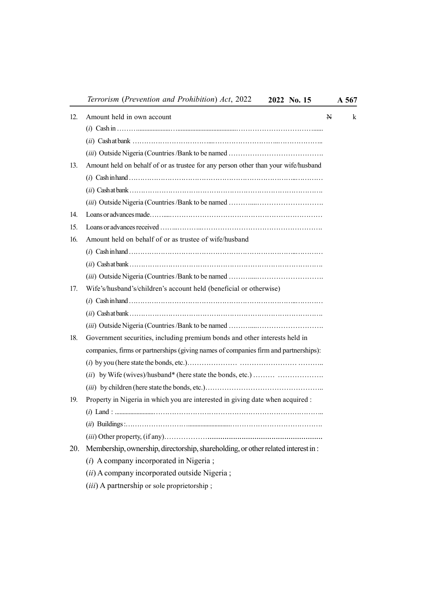Terrorism (Prevention and Prohibition) Act, 2022 2022 No. 15 A 567

|     | $1$ errorism (1 revention and 1 romotition) Act, $2022$<br>2022 NO. 13                                   |   | A 307 |   |
|-----|----------------------------------------------------------------------------------------------------------|---|-------|---|
| 12. | Amount held in own account                                                                               | N |       | k |
|     |                                                                                                          |   |       |   |
|     |                                                                                                          |   |       |   |
|     |                                                                                                          |   |       |   |
| 13. | Amount held on behalf of or as trustee for any person other than your wife/husband                       |   |       |   |
|     |                                                                                                          |   |       |   |
|     |                                                                                                          |   |       |   |
|     |                                                                                                          |   |       |   |
| 14. |                                                                                                          |   |       |   |
| 15. | Loans or advances received  music material contracts and a series of a series of a series of a series of |   |       |   |
| 16. | Amount held on behalf of or as trustee of wife/husband                                                   |   |       |   |
|     |                                                                                                          |   |       |   |
|     |                                                                                                          |   |       |   |
|     |                                                                                                          |   |       |   |
| 17. | Wife's/husband's/children's account held (beneficial or otherwise)                                       |   |       |   |
|     |                                                                                                          |   |       |   |
|     |                                                                                                          |   |       |   |
|     |                                                                                                          |   |       |   |
| 18. | Government securities, including premium bonds and other interests held in                               |   |       |   |
|     | companies, firms or partnerships (giving names of companies firm and partnerships):                      |   |       |   |
|     |                                                                                                          |   |       |   |
|     |                                                                                                          |   |       |   |
|     |                                                                                                          |   |       |   |
| 19. | Property in Nigeria in which you are interested in giving date when acquired :                           |   |       |   |
|     |                                                                                                          |   |       |   |
|     |                                                                                                          |   |       |   |
|     |                                                                                                          |   |       |   |
| 20. | Membership, ownership, directorship, shareholding, or other related interest in:                         |   |       |   |
|     |                                                                                                          |   |       |   |

- (i) A company incorporated in Nigeria ;
- (ii) A company incorporated outside Nigeria ;
- (iii) A partnership or sole proprietorship ;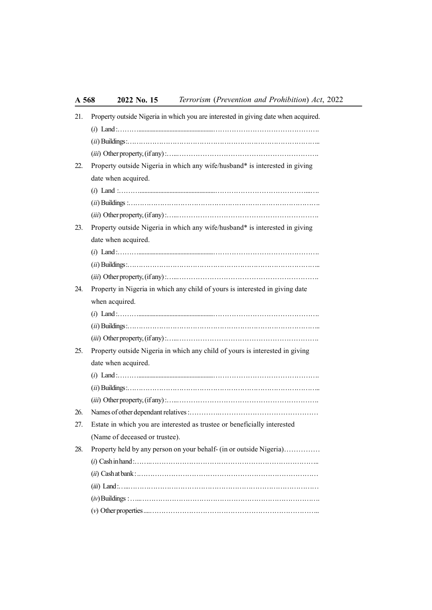| 21. | Property outside Nigeria in which you are interested in giving date when acquired. |
|-----|------------------------------------------------------------------------------------|
|     |                                                                                    |
|     |                                                                                    |
|     |                                                                                    |
| 22. | Property outside Nigeria in which any wife/husband* is interested in giving        |
|     | date when acquired.                                                                |
|     |                                                                                    |
|     |                                                                                    |
|     |                                                                                    |
| 23. | Property outside Nigeria in which any wife/husband* is interested in giving        |
|     | date when acquired.                                                                |
|     |                                                                                    |
|     |                                                                                    |
|     |                                                                                    |
| 24. | Property in Nigeria in which any child of yours is interested in giving date       |
|     | when acquired.                                                                     |
|     |                                                                                    |
|     |                                                                                    |
|     |                                                                                    |
| 25. | Property outside Nigeria in which any child of yours is interested in giving       |
|     | date when acquired.                                                                |
|     |                                                                                    |
|     |                                                                                    |
|     |                                                                                    |
| 26. |                                                                                    |
| 27. | Estate in which you are interested as trustee or beneficially interested           |
|     | (Name of deceased or trustee).                                                     |
| 28. | Property held by any person on your behalf- (in or outside Nigeria)                |
|     |                                                                                    |
|     |                                                                                    |
|     |                                                                                    |
|     |                                                                                    |
|     |                                                                                    |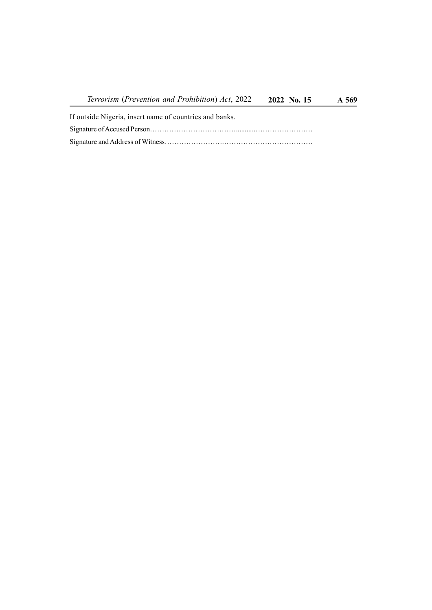Terrorism (Prevention and Prohibition) Act, 2022 2022 No. 15 A 569

If outside Nigeria, insert name of countries and banks. Signature of Accused Person………………………………...........…………………… Signature and Address of Witness…………………….……………………………….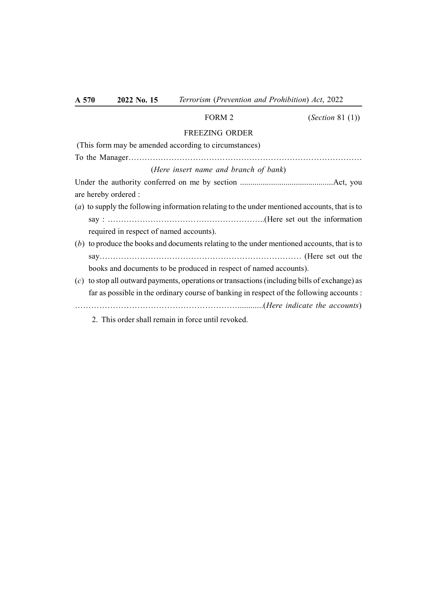# FORM 2 (*Section 81 (1)*) FREEZING ORDER (This form may be amended according to circumstances) To the Manager…………………………………………………………………………… (Here insert name and branch of bank)

Under the authority conferred on me by section .............................................Act, you are hereby ordered :

- (a) to supply the following information relating to the under mentioned accounts, that is to say : …………………………………………………..(Here set out the information required in respect of named accounts).
- (b) to produce the books and documents relating to the under mentioned accounts, that is to say………………………………………………………………… (Here set out the books and documents to be produced in respect of named accounts).
- (c) to stop all outward payments, operations or transactions (including bills of exchange) as far as possible in the ordinary course of banking in respect of the following accounts : ……………………………………………………............(Here indicate the accounts)
	- 2. This order shall remain in force until revoked.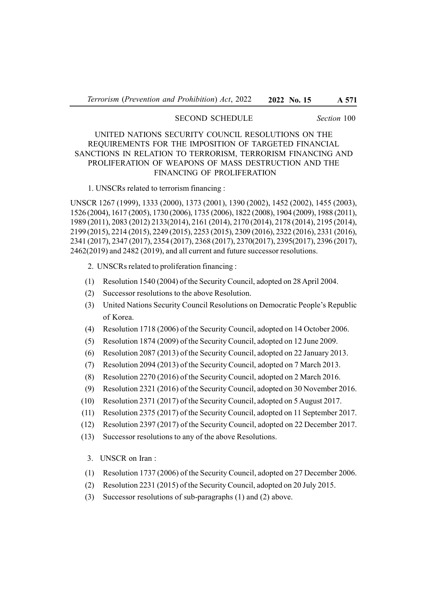# SECOND SCHEDULE Section 100

# UNITED NATIONS SECURITY COUNCIL RESOLUTIONS ON THE REQUIREMENTS FOR THE IMPOSITION OF TARGETED FINANCIAL SANCTIONS IN RELATION TO TERRORISM, TERRORISM FINANCING AND PROLIFERATION OF WEAPONS OF MASS DESTRUCTION AND THE FINANCING OF PROLIFERATION

#### 1. UNSCRs related to terrorism financing :

UNSCR 1267 (1999), 1333 (2000), 1373 (2001), 1390 (2002), 1452 (2002), 1455 (2003), 1526 (2004), 1617 (2005), 1730 (2006), 1735 (2006), 1822 (2008), 1904 (2009), 1988 (2011), 1989 (2011), 2083 (2012) 2133(2014), 2161 (2014), 2170 (2014), 2178 (2014), 2195 (2014), 2199 (2015), 2214 (2015), 2249 (2015), 2253 (2015), 2309 (2016), 2322 (2016), 2331 (2016), 2341 (2017), 2347 (2017), 2354 (2017), 2368 (2017), 2370(2017), 2395(2017), 2396 (2017), 2462(2019) and 2482 (2019), and all current and future successor resolutions.

- 2. UNSCRs related to proliferation financing :
- (1) Resolution 1540 (2004) of the Security Council, adopted on 28 April 2004.
- (2) Successor resolutions to the above Resolution.
- (3) United Nations Security Council Resolutions on Democratic People's Republic of Korea.
- (4) Resolution 1718 (2006) of the Security Council, adopted on 14 October 2006.
- (5) Resolution 1874 (2009) of the Security Council, adopted on 12 June 2009.
- (6) Resolution 2087 (2013) of the Security Council, adopted on 22 January 2013.
- (7) Resolution 2094 (2013) of the Security Council, adopted on 7 March 2013.
- (8) Resolution 2270 (2016) of the Security Council, adopted on 2 March 2016.
- (9) Resolution 2321 (2016) of the Security Council, adopted on 30 November 2016.
- (10) Resolution 2371 (2017) of the Security Council, adopted on 5 August 2017.
- (11) Resolution 2375 (2017) of the Security Council, adopted on 11 September 2017.
- (12) Resolution 2397 (2017) of the Security Council, adopted on 22 December 2017.
- (13) Successor resolutions to any of the above Resolutions.

3. UNSCR on Iran :

- (1) Resolution 1737 (2006) of the Security Council, adopted on 27 December 2006.
- (2) Resolution 2231 (2015) of the Security Council, adopted on 20 July 2015.
- (3) Successor resolutions of sub-paragraphs (1) and (2) above.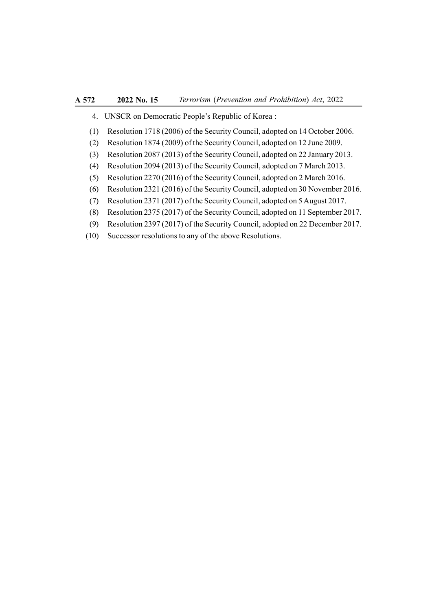- 4. UNSCR on Democratic People's Republic of Korea :
- (1) Resolution 1718 (2006) of the Security Council, adopted on 14 October 2006.
- (2) Resolution 1874 (2009) of the Security Council, adopted on 12 June 2009.
- (3) Resolution 2087 (2013) of the Security Council, adopted on 22 January 2013.
- (4) Resolution 2094 (2013) of the Security Council, adopted on 7 March 2013.
- (5) Resolution 2270 (2016) of the Security Council, adopted on 2 March 2016.
- (6) Resolution 2321 (2016) of the Security Council, adopted on 30 November 2016.
- (7) Resolution 2371 (2017) of the Security Council, adopted on 5 August 2017.
- (8) Resolution 2375 (2017) of the Security Council, adopted on 11 September 2017.
- (9) Resolution 2397 (2017) of the Security Council, adopted on 22 December 2017.
- (10) Successor resolutions to any of the above Resolutions.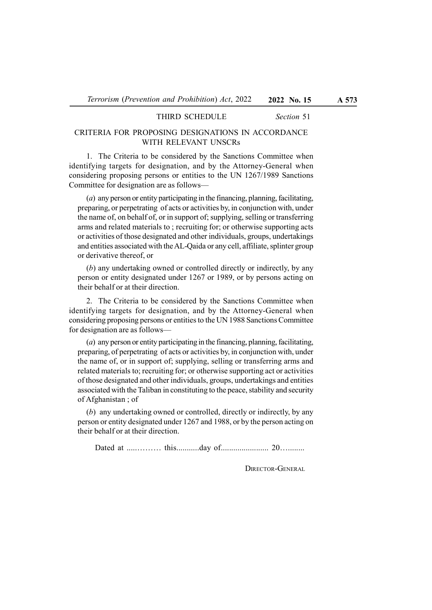### THIRD SCHEDULE Section 51

# CRITERIA FOR PROPOSING DESIGNATIONS IN ACCORDANCE WITH RELEVANT UNSCRs

1. The Criteria to be considered by the Sanctions Committee when identifying targets for designation, and by the Attorney-General when considering proposing persons or entities to the UN 1267/1989 Sanctions Committee for designation are as follows—

(a) any person or entity participating in the financing, planning, facilitating, preparing, or perpetrating of acts or activities by, in conjunction with, under the name of, on behalf of, or in support of; supplying, selling or transferring arms and related materials to ; recruiting for; or otherwise supporting acts or activities of those designated and other individuals, groups, undertakings and entities associated with the AL-Qaida or any cell, affiliate, splinter group or derivative thereof, or

(b) any undertaking owned or controlled directly or indirectly, by any person or entity designated under 1267 or 1989, or by persons acting on their behalf or at their direction.

2. The Criteria to be considered by the Sanctions Committee when identifying targets for designation, and by the Attorney-General when considering proposing persons or entities to the UN 1988 Sanctions Committee for designation are as follows—

(a) any person or entity participating in the financing, planning, facilitating, preparing, of perpetrating of acts or activities by, in conjunction with, under the name of, or in support of; supplying, selling or transferring arms and related materials to; recruiting for; or otherwise supporting act or activities of those designated and other individuals, groups, undertakings and entities associated with the Taliban in constituting to the peace, stability and security of Afghanistan ; of

(b) any undertaking owned or controlled, directly or indirectly, by any person or entity designated under 1267 and 1988, or by the person acting on their behalf or at their direction.

Dated at .....……… this...........day of....................... 20…........

DIRECTOR-GENERAL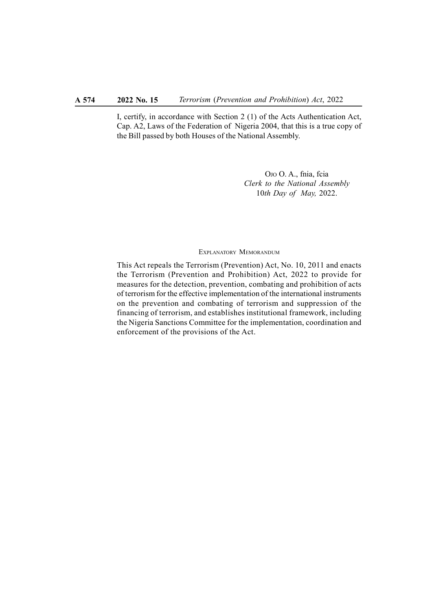I, certify, in accordance with Section 2 (1) of the Acts Authentication Act, Cap. A2, Laws of the Federation of Nigeria 2004, that this is a true copy of the Bill passed by both Houses of the National Assembly.

> OJO O. A., fnia, fcia Clerk to the National Assembly 10th Day of May, 2022.

#### EXPLANATORY MEMORANDUM

This Act repeals the Terrorism (Prevention) Act, No. 10, 2011 and enacts the Terrorism (Prevention and Prohibition) Act, 2022 to provide for measures for the detection, prevention, combating and prohibition of acts of terrorism for the effective implementation of the international instruments on the prevention and combating of terrorism and suppression of the financing of terrorism, and establishes institutional framework, including the Nigeria Sanctions Committee for the implementation, coordination and enforcement of the provisions of the Act.